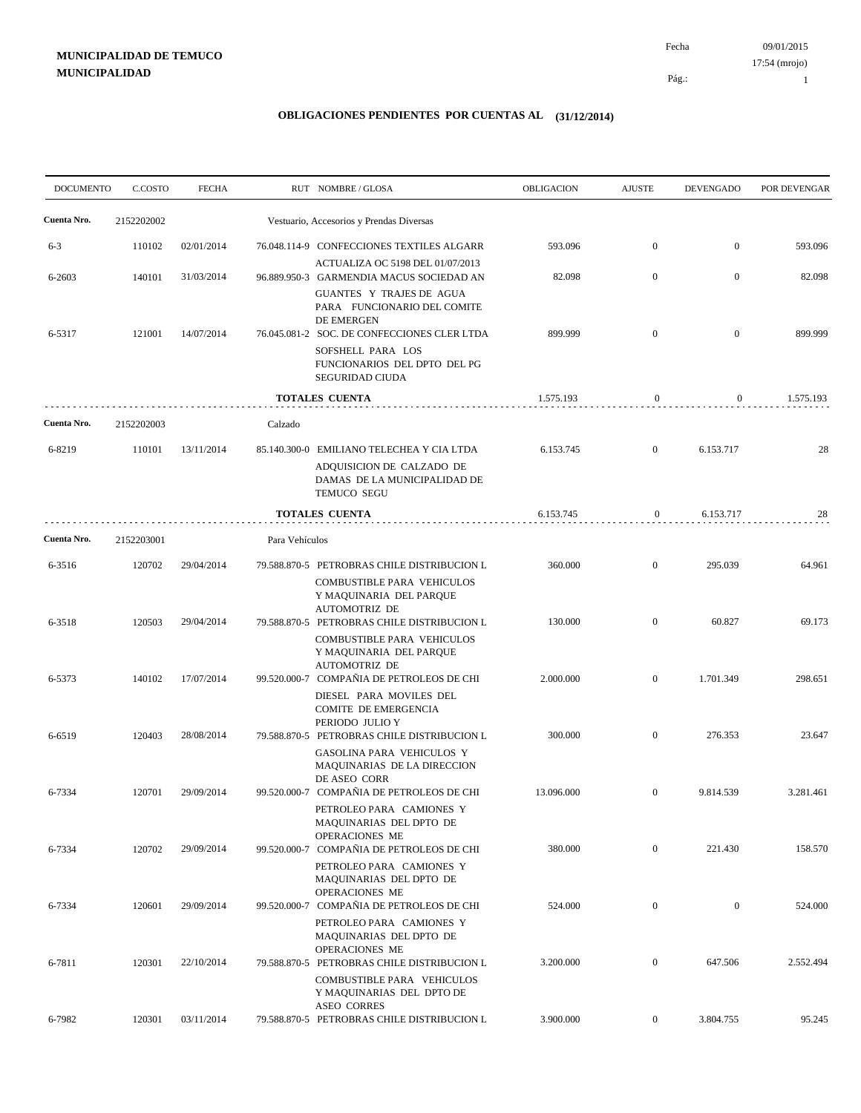09/01/2015 Fecha 17:54 (mrojo)

Pág.:

1

| <b>DOCUMENTO</b> | C.COSTO    | <b>FECHA</b> |                | RUT NOMBRE/GLOSA                                                                                                             | <b>OBLIGACION</b> | <b>AJUSTE</b>    | <b>DEVENGADO</b> | POR DEVENGAR |
|------------------|------------|--------------|----------------|------------------------------------------------------------------------------------------------------------------------------|-------------------|------------------|------------------|--------------|
| Cuenta Nro.      | 2152202002 |              |                | Vestuario, Accesorios y Prendas Diversas                                                                                     |                   |                  |                  |              |
| $6 - 3$          | 110102     | 02/01/2014   |                | 76.048.114-9 CONFECCIONES TEXTILES ALGARR                                                                                    | 593.096           | $\mathbf{0}$     | $\overline{0}$   | 593.096      |
| 6-2603           | 140101     | 31/03/2014   |                | ACTUALIZA OC 5198 DEL 01/07/2013<br>96.889.950-3 GARMENDIA MACUS SOCIEDAD AN                                                 | 82.098            | $\mathbf{0}$     | $\boldsymbol{0}$ | 82.098       |
| 6-5317           | 121001     | 14/07/2014   |                | GUANTES Y TRAJES DE AGUA<br>PARA FUNCIONARIO DEL COMITE<br>DE EMERGEN<br>76.045.081-2 SOC. DE CONFECCIONES CLER LTDA         | 899.999           | $\mathbf{0}$     | $\boldsymbol{0}$ | 899.999      |
|                  |            |              |                | SOFSHELL PARA LOS<br>FUNCIONARIOS DEL DPTO DEL PG<br><b>SEGURIDAD CIUDA</b>                                                  |                   |                  |                  |              |
|                  |            |              |                | <b>TOTALES CUENTA</b>                                                                                                        | 1.575.193         | $\mathbf{0}$     | $\mathbf{0}$     | 1.575.193    |
| Cuenta Nro.      | 2152202003 |              | Calzado        |                                                                                                                              |                   |                  |                  |              |
| 6-8219           | 110101     | 13/11/2014   |                | 85.140.300-0 EMILIANO TELECHEA Y CIA LTDA<br>ADQUISICION DE CALZADO DE<br>DAMAS DE LA MUNICIPALIDAD DE<br><b>TEMUCO SEGU</b> | 6.153.745         | $\overline{0}$   | 6.153.717        | 28           |
|                  |            |              |                | <b>TOTALES CUENTA</b>                                                                                                        | 6.153.745         | $\boldsymbol{0}$ | 6.153.717        | 28           |
| Cuenta Nro.      | 2152203001 |              | Para Vehículos |                                                                                                                              |                   |                  |                  |              |
| 6-3516           | 120702     | 29/04/2014   |                | 79.588.870-5 PETROBRAS CHILE DISTRIBUCION L                                                                                  | 360.000           | $\boldsymbol{0}$ | 295.039          | 64.961       |
| 6-3518           | 120503     | 29/04/2014   |                | COMBUSTIBLE PARA VEHICULOS<br>Y MAQUINARIA DEL PARQUE<br><b>AUTOMOTRIZ DE</b><br>79.588.870-5 PETROBRAS CHILE DISTRIBUCION L | 130.000           | $\overline{0}$   | 60.827           | 69.173       |
| 6-5373           | 140102     | 17/07/2014   |                | COMBUSTIBLE PARA VEHICULOS<br>Y MAQUINARIA DEL PARQUE<br><b>AUTOMOTRIZ DE</b><br>99.520.000-7 COMPAÑIA DE PETROLEOS DE CHI   | 2.000.000         | $\boldsymbol{0}$ | 1.701.349        | 298.651      |
|                  |            |              |                | DIESEL PARA MOVILES DEL<br>COMITE DE EMERGENCIA<br>PERIODO JULIO Y                                                           |                   |                  |                  |              |
| 6-6519           | 120403     | 28/08/2014   |                | 79.588.870-5 PETROBRAS CHILE DISTRIBUCION L<br>GASOLINA PARA VEHICULOS Y<br>MAQUINARIAS DE LA DIRECCION                      | 300.000           | $\overline{0}$   | 276.353          | 23.647       |
| 6-7334           | 120701     | 29/09/2014   |                | DE ASEO CORR<br>99.520.000-7 COMPAÑIA DE PETROLEOS DE CHI<br>PETROLEO PARA CAMIONES Y<br>MAQUINARIAS DEL DPTO DE             | 13.096.000        | $\mathbf{0}$     | 9.814.539        | 3.281.461    |
| 6-7334           | 120702     | 29/09/2014   |                | OPERACIONES ME<br>99.520.000-7 COMPAÑIA DE PETROLEOS DE CHI                                                                  | 380.000           | $\overline{0}$   | 221.430          | 158.570      |
| 6-7334           | 120601     | 29/09/2014   |                | PETROLEO PARA CAMIONES Y<br>MAQUINARIAS DEL DPTO DE<br>OPERACIONES ME<br>99.520.000-7 COMPAÑIA DE PETROLEOS DE CHI           | 524.000           | $\boldsymbol{0}$ | $\mathbf{0}$     | 524.000      |
| 6-7811           | 120301     | 22/10/2014   |                | PETROLEO PARA CAMIONES Y<br>MAQUINARIAS DEL DPTO DE<br>OPERACIONES ME<br>79.588.870-5 PETROBRAS CHILE DISTRIBUCION L         | 3.200.000         | $\boldsymbol{0}$ | 647.506          | 2.552.494    |
|                  |            |              |                | COMBUSTIBLE PARA VEHICULOS<br>Y MAQUINARIAS DEL DPTO DE<br><b>ASEO CORRES</b>                                                |                   |                  |                  |              |
| 6-7982           | 120301     | 03/11/2014   |                | 79.588.870-5 PETROBRAS CHILE DISTRIBUCION L                                                                                  | 3.900.000         | $\overline{0}$   | 3.804.755        | 95.245       |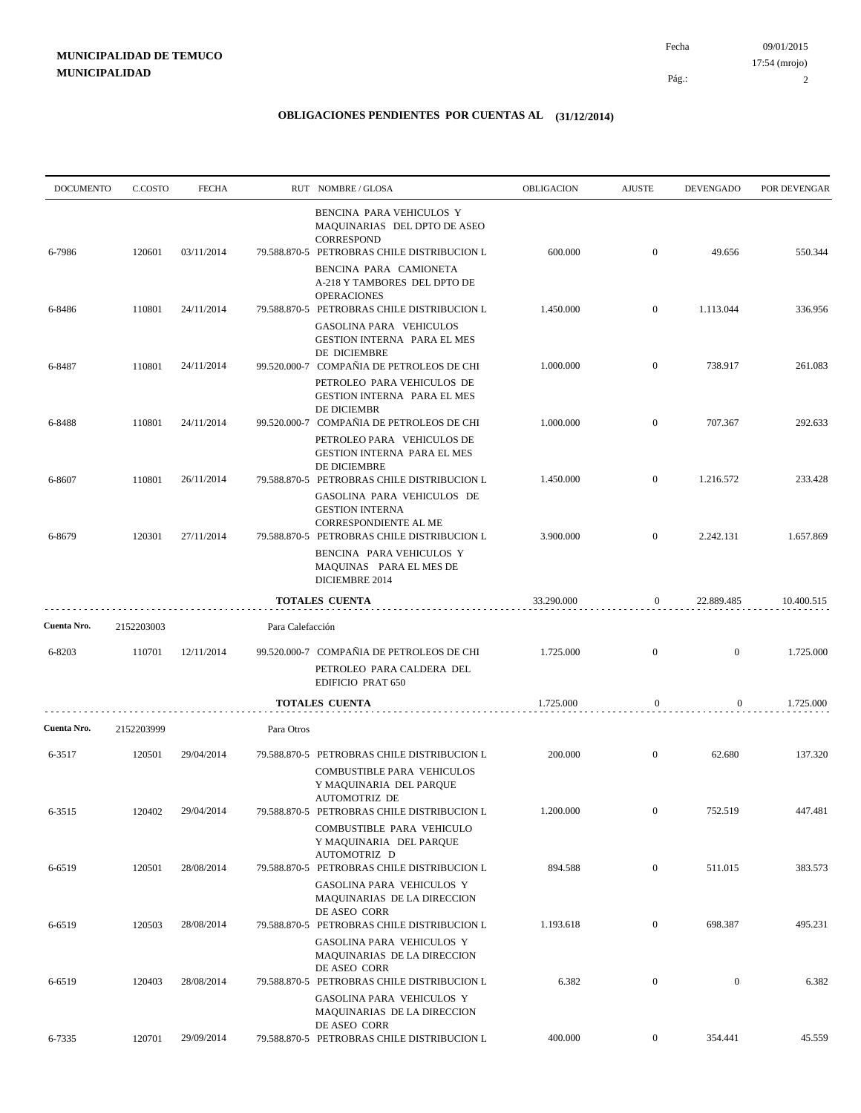09/01/2015 Pág.: Fecha 17:54 (mrojo)

2

| BENCINA PARA VEHICULOS Y<br>MAQUINARIAS DEL DPTO DE ASEO<br><b>CORRESPOND</b><br>$\mathbf{0}$<br>03/11/2014<br>600.000<br>49.656<br>6-7986<br>120601<br>79.588.870-5 PETROBRAS CHILE DISTRIBUCION L<br>BENCINA PARA CAMIONETA<br>A-218 Y TAMBORES DEL DPTO DE<br><b>OPERACIONES</b><br>110801<br>79.588.870-5 PETROBRAS CHILE DISTRIBUCION L<br>1.450.000<br>$\mathbf{0}$<br>1.113.044<br>6-8486<br>24/11/2014<br>GASOLINA PARA VEHICULOS<br>GESTION INTERNA PARA EL MES<br>DE DICIEMBRE<br>99.520.000-7 COMPAÑIA DE PETROLEOS DE CHI<br>110801<br>1.000.000<br>$\mathbf{0}$<br>738.917<br>6-8487<br>24/11/2014<br>PETROLEO PARA VEHICULOS DE<br>GESTION INTERNA PARA EL MES<br>DE DICIEMBR<br>99.520.000-7 COMPAÑIA DE PETROLEOS DE CHI<br>1.000.000<br>707.367<br>110801<br>24/11/2014<br>$\mathbf{0}$<br>6-8488<br>PETROLEO PARA VEHICULOS DE<br><b>GESTION INTERNA PARA EL MES</b><br>DE DICIEMBRE<br>1.450.000<br>$\mathbf{0}$<br>1.216.572<br>110801<br>26/11/2014<br>79.588.870-5 PETROBRAS CHILE DISTRIBUCION L<br>6-8607<br>GASOLINA PARA VEHICULOS DE<br><b>GESTION INTERNA</b><br>CORRESPONDIENTE AL ME<br>120301<br>27/11/2014<br>79.588.870-5 PETROBRAS CHILE DISTRIBUCION L<br>$\overline{0}$<br>2.242.131<br>6-8679<br>3.900.000<br>BENCINA PARA VEHICULOS Y<br>MAQUINAS PARA EL MES DE<br>DICIEMBRE 2014<br>33.290.000<br>22.889.485<br><b>TOTALES CUENTA</b><br>0 | 550.344<br>336.956<br>261.083<br>292.633<br>233.428<br>1.657.869 |
|------------------------------------------------------------------------------------------------------------------------------------------------------------------------------------------------------------------------------------------------------------------------------------------------------------------------------------------------------------------------------------------------------------------------------------------------------------------------------------------------------------------------------------------------------------------------------------------------------------------------------------------------------------------------------------------------------------------------------------------------------------------------------------------------------------------------------------------------------------------------------------------------------------------------------------------------------------------------------------------------------------------------------------------------------------------------------------------------------------------------------------------------------------------------------------------------------------------------------------------------------------------------------------------------------------------------------------------------------------------------------------|------------------------------------------------------------------|
|                                                                                                                                                                                                                                                                                                                                                                                                                                                                                                                                                                                                                                                                                                                                                                                                                                                                                                                                                                                                                                                                                                                                                                                                                                                                                                                                                                                    |                                                                  |
|                                                                                                                                                                                                                                                                                                                                                                                                                                                                                                                                                                                                                                                                                                                                                                                                                                                                                                                                                                                                                                                                                                                                                                                                                                                                                                                                                                                    |                                                                  |
|                                                                                                                                                                                                                                                                                                                                                                                                                                                                                                                                                                                                                                                                                                                                                                                                                                                                                                                                                                                                                                                                                                                                                                                                                                                                                                                                                                                    |                                                                  |
|                                                                                                                                                                                                                                                                                                                                                                                                                                                                                                                                                                                                                                                                                                                                                                                                                                                                                                                                                                                                                                                                                                                                                                                                                                                                                                                                                                                    |                                                                  |
|                                                                                                                                                                                                                                                                                                                                                                                                                                                                                                                                                                                                                                                                                                                                                                                                                                                                                                                                                                                                                                                                                                                                                                                                                                                                                                                                                                                    |                                                                  |
|                                                                                                                                                                                                                                                                                                                                                                                                                                                                                                                                                                                                                                                                                                                                                                                                                                                                                                                                                                                                                                                                                                                                                                                                                                                                                                                                                                                    |                                                                  |
|                                                                                                                                                                                                                                                                                                                                                                                                                                                                                                                                                                                                                                                                                                                                                                                                                                                                                                                                                                                                                                                                                                                                                                                                                                                                                                                                                                                    |                                                                  |
|                                                                                                                                                                                                                                                                                                                                                                                                                                                                                                                                                                                                                                                                                                                                                                                                                                                                                                                                                                                                                                                                                                                                                                                                                                                                                                                                                                                    |                                                                  |
|                                                                                                                                                                                                                                                                                                                                                                                                                                                                                                                                                                                                                                                                                                                                                                                                                                                                                                                                                                                                                                                                                                                                                                                                                                                                                                                                                                                    |                                                                  |
|                                                                                                                                                                                                                                                                                                                                                                                                                                                                                                                                                                                                                                                                                                                                                                                                                                                                                                                                                                                                                                                                                                                                                                                                                                                                                                                                                                                    | 10.400.515                                                       |
| Cuenta Nro.<br>Para Calefacción<br>2152203003                                                                                                                                                                                                                                                                                                                                                                                                                                                                                                                                                                                                                                                                                                                                                                                                                                                                                                                                                                                                                                                                                                                                                                                                                                                                                                                                      |                                                                  |
| 12/11/2014<br>99.520.000-7 COMPAÑIA DE PETROLEOS DE CHI<br>1.725.000<br>$\mathbf{0}$<br>$\boldsymbol{0}$<br>6-8203<br>110701<br>PETROLEO PARA CALDERA DEL                                                                                                                                                                                                                                                                                                                                                                                                                                                                                                                                                                                                                                                                                                                                                                                                                                                                                                                                                                                                                                                                                                                                                                                                                          | 1.725.000                                                        |
| EDIFICIO PRAT 650                                                                                                                                                                                                                                                                                                                                                                                                                                                                                                                                                                                                                                                                                                                                                                                                                                                                                                                                                                                                                                                                                                                                                                                                                                                                                                                                                                  |                                                                  |
| 1.725.000<br>$\boldsymbol{0}$<br>0<br><b>TOTALES CUENTA</b>                                                                                                                                                                                                                                                                                                                                                                                                                                                                                                                                                                                                                                                                                                                                                                                                                                                                                                                                                                                                                                                                                                                                                                                                                                                                                                                        | 1.725.000                                                        |
| Cuenta Nro.<br>Para Otros<br>2152203999                                                                                                                                                                                                                                                                                                                                                                                                                                                                                                                                                                                                                                                                                                                                                                                                                                                                                                                                                                                                                                                                                                                                                                                                                                                                                                                                            |                                                                  |
| 120501<br>29/04/2014<br>79.588.870-5 PETROBRAS CHILE DISTRIBUCION L<br>200.000<br>$\overline{0}$<br>62.680<br>6-3517<br>COMBUSTIBLE PARA VEHICULOS<br>Y MAQUINARIA DEL PARQUE                                                                                                                                                                                                                                                                                                                                                                                                                                                                                                                                                                                                                                                                                                                                                                                                                                                                                                                                                                                                                                                                                                                                                                                                      | 137.320                                                          |
| AUTOMOTRIZ DE<br>$\boldsymbol{0}$<br>120402<br>6-3515<br>29/04/2014<br>79.588.870-5 PETROBRAS CHILE DISTRIBUCION L<br>1.200.000<br>752.519<br>COMBUSTIBLE PARA VEHICULO                                                                                                                                                                                                                                                                                                                                                                                                                                                                                                                                                                                                                                                                                                                                                                                                                                                                                                                                                                                                                                                                                                                                                                                                            | 447.481                                                          |
| Y MAQUINARIA DEL PARQUE<br>AUTOMOTRIZ D<br>894.588<br>$\mathbf{0}$<br>511.015<br>120501<br>28/08/2014<br>79.588.870-5 PETROBRAS CHILE DISTRIBUCION L<br>6-6519                                                                                                                                                                                                                                                                                                                                                                                                                                                                                                                                                                                                                                                                                                                                                                                                                                                                                                                                                                                                                                                                                                                                                                                                                     | 383.573                                                          |
| GASOLINA PARA VEHICULOS Y<br>MAQUINARIAS DE LA DIRECCION<br>DE ASEO CORR<br>1.193.618<br>$\boldsymbol{0}$<br>28/08/2014<br>79.588.870-5 PETROBRAS CHILE DISTRIBUCION L<br>698.387<br>6-6519<br>120503                                                                                                                                                                                                                                                                                                                                                                                                                                                                                                                                                                                                                                                                                                                                                                                                                                                                                                                                                                                                                                                                                                                                                                              | 495.231                                                          |
| GASOLINA PARA VEHICULOS Y<br>MAQUINARIAS DE LA DIRECCION<br>DE ASEO CORR                                                                                                                                                                                                                                                                                                                                                                                                                                                                                                                                                                                                                                                                                                                                                                                                                                                                                                                                                                                                                                                                                                                                                                                                                                                                                                           |                                                                  |
| 6.382<br>$\mathbf{0}$<br>$\mathbf{0}$<br>28/08/2014<br>79.588.870-5 PETROBRAS CHILE DISTRIBUCION L<br>6-6519<br>120403<br>GASOLINA PARA VEHICULOS Y<br>MAQUINARIAS DE LA DIRECCION                                                                                                                                                                                                                                                                                                                                                                                                                                                                                                                                                                                                                                                                                                                                                                                                                                                                                                                                                                                                                                                                                                                                                                                                 | 6.382                                                            |
| DE ASEO CORR<br>79.588.870-5 PETROBRAS CHILE DISTRIBUCION L<br>400.000<br>6-7335<br>120701<br>29/09/2014<br>$\boldsymbol{0}$<br>354.441                                                                                                                                                                                                                                                                                                                                                                                                                                                                                                                                                                                                                                                                                                                                                                                                                                                                                                                                                                                                                                                                                                                                                                                                                                            | 45.559                                                           |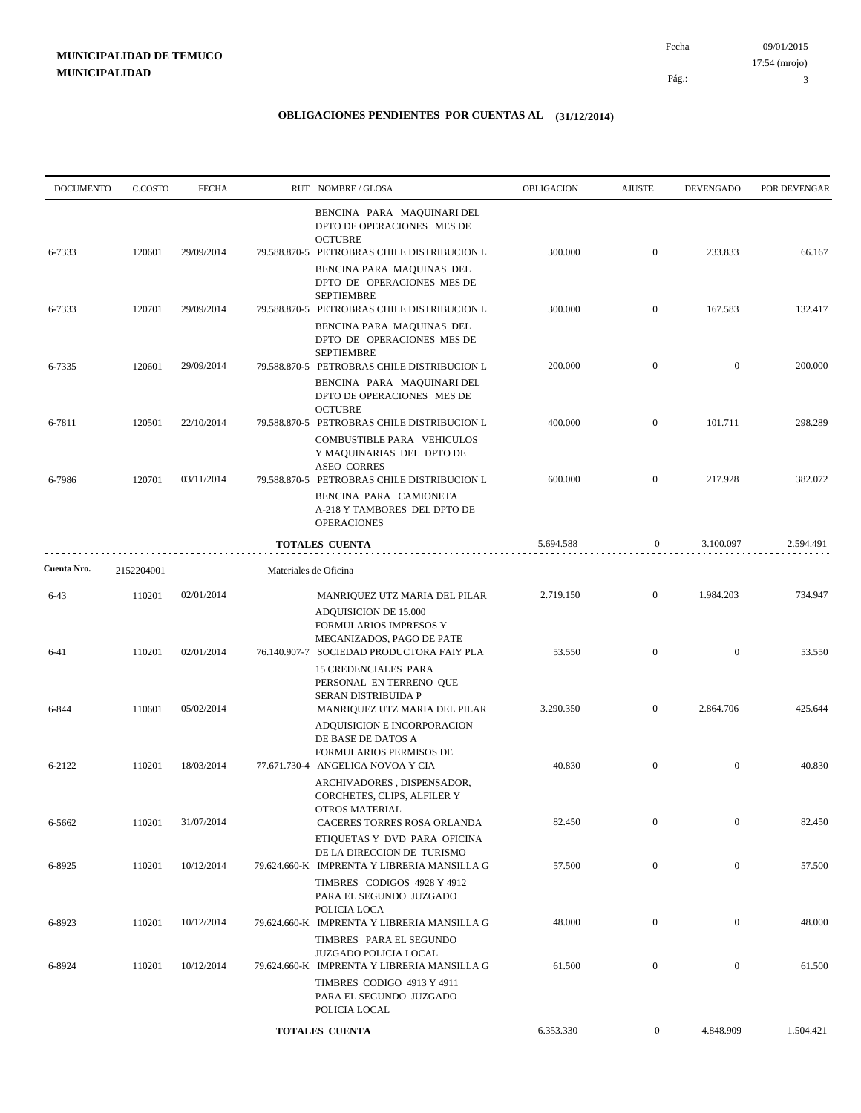3

| <b>DOCUMENTO</b> | C.COSTO    | <b>FECHA</b> |                       | RUT NOMBRE/GLOSA                                                                                                              | OBLIGACION | <b>AJUSTE</b>    | <b>DEVENGADO</b> | POR DEVENGAR |
|------------------|------------|--------------|-----------------------|-------------------------------------------------------------------------------------------------------------------------------|------------|------------------|------------------|--------------|
| 6-7333           | 120601     | 29/09/2014   |                       | BENCINA PARA MAQUINARI DEL<br>DPTO DE OPERACIONES MES DE<br><b>OCTUBRE</b><br>79.588.870-5 PETROBRAS CHILE DISTRIBUCION L     | 300.000    | $\mathbf{0}$     | 233.833          | 66.167       |
|                  |            |              |                       | BENCINA PARA MAQUINAS DEL<br>DPTO DE OPERACIONES MES DE<br><b>SEPTIEMBRE</b>                                                  |            |                  |                  |              |
| 6-7333           | 120701     | 29/09/2014   |                       | 79.588.870-5 PETROBRAS CHILE DISTRIBUCION L<br>BENCINA PARA MAQUINAS DEL<br>DPTO DE OPERACIONES MES DE                        | 300.000    | $\mathbf{0}$     | 167.583          | 132.417      |
| 6-7335           | 120601     | 29/09/2014   |                       | <b>SEPTIEMBRE</b><br>79.588.870-5 PETROBRAS CHILE DISTRIBUCION L                                                              | 200.000    | $\mathbf{0}$     | $\overline{0}$   | 200.000      |
|                  |            |              |                       | BENCINA PARA MAQUINARI DEL<br>DPTO DE OPERACIONES MES DE<br><b>OCTUBRE</b>                                                    |            |                  |                  |              |
| 6-7811           | 120501     | 22/10/2014   |                       | 79.588.870-5 PETROBRAS CHILE DISTRIBUCION L<br>COMBUSTIBLE PARA VEHICULOS<br>Y MAQUINARIAS DEL DPTO DE                        | 400.000    | $\mathbf{0}$     | 101.711          | 298.289      |
| 6-7986           | 120701     | 03/11/2014   |                       | <b>ASEO CORRES</b><br>79.588.870-5 PETROBRAS CHILE DISTRIBUCION L                                                             | 600.000    | $\mathbf{0}$     | 217.928          | 382.072      |
|                  |            |              |                       | BENCINA PARA CAMIONETA<br>A-218 Y TAMBORES DEL DPTO DE<br><b>OPERACIONES</b>                                                  |            |                  |                  |              |
|                  |            |              |                       | <b>TOTALES CUENTA</b>                                                                                                         | 5.694.588  | $\mathbf{0}$     | 3.100.097        | 2.594.491    |
| Cuenta Nro.      | 2152204001 |              | Materiales de Oficina |                                                                                                                               |            |                  |                  |              |
| $6 - 43$         | 110201     | 02/01/2014   |                       | MANRIQUEZ UTZ MARIA DEL PILAR<br>ADQUISICION DE 15.000<br>FORMULARIOS IMPRESOS Y                                              | 2.719.150  | $\overline{0}$   | 1.984.203        | 734.947      |
| $6 - 41$         | 110201     | 02/01/2014   |                       | MECANIZADOS, PAGO DE PATE<br>76.140.907-7 SOCIEDAD PRODUCTORA FAIY PLA<br><b>15 CREDENCIALES PARA</b>                         | 53.550     | $\overline{0}$   | $\overline{0}$   | 53.550       |
| 6-844            | 110601     | 05/02/2014   |                       | PERSONAL EN TERRENO QUE<br>SERAN DISTRIBUIDA P<br>MANRIQUEZ UTZ MARIA DEL PILAR<br>ADQUISICION E INCORPORACION                | 3.290.350  | $\mathbf{0}$     | 2.864.706        | 425.644      |
| 6-2122           | 110201     | 18/03/2014   |                       | DE BASE DE DATOS A<br>FORMULARIOS PERMISOS DE<br>77.671.730-4 ANGELICA NOVOA Y CIA                                            | 40.830     | $\mathbf{0}$     | $\mathbf{0}$     | 40.830       |
|                  |            |              |                       | ARCHIVADORES, DISPENSADOR,<br>CORCHETES, CLIPS, ALFILER Y<br>OTROS MATERIAL                                                   |            |                  |                  |              |
| 6-5662           | 110201     | 31/07/2014   |                       | CACERES TORRES ROSA ORLANDA<br>ETIQUETAS Y DVD PARA OFICINA                                                                   | 82.450     | $\mathbf{0}$     | $\boldsymbol{0}$ | 82.450       |
| 6-8925           | 110201     | 10/12/2014   |                       | DE LA DIRECCION DE TURISMO<br>79.624.660-K IMPRENTA Y LIBRERIA MANSILLA G<br>TIMBRES CODIGOS 4928 Y 4912                      | 57.500     | $\boldsymbol{0}$ | $\boldsymbol{0}$ | 57.500       |
| 6-8923           | 110201     | 10/12/2014   |                       | PARA EL SEGUNDO JUZGADO<br>POLICIA LOCA<br>79.624.660-K IMPRENTA Y LIBRERIA MANSILLA G                                        | 48.000     | $\mathbf{0}$     | $\boldsymbol{0}$ | 48.000       |
| 6-8924           | 110201     | 10/12/2014   |                       | TIMBRES PARA EL SEGUNDO<br>JUZGADO POLICIA LOCAL<br>79.624.660-K IMPRENTA Y LIBRERIA MANSILLA G<br>TIMBRES CODIGO 4913 Y 4911 | 61.500     | $\boldsymbol{0}$ | $\mathbf{0}$     | 61.500       |
|                  |            |              |                       | PARA EL SEGUNDO JUZGADO<br>POLICIA LOCAL                                                                                      |            |                  |                  |              |
|                  |            |              |                       | <b>TOTALES CUENTA</b>                                                                                                         | 6.353.330  | $\boldsymbol{0}$ | 4.848.909        | 1.504.421    |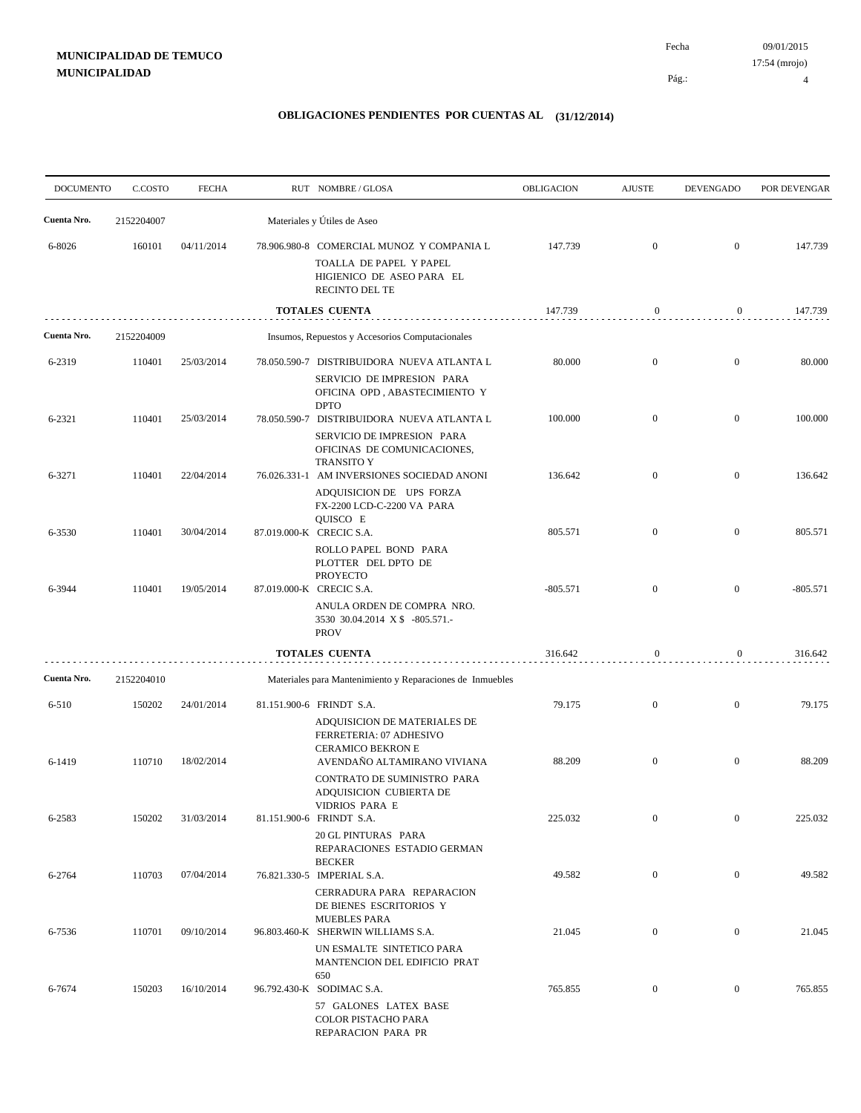09/01/2015 Fecha 17:54 (mrojo)

Pág.:

4

| <b>DOCUMENTO</b> | C.COSTO    | <b>FECHA</b> | RUT NOMBRE/GLOSA                                                                                                                       | OBLIGACION | <b>AJUSTE</b>    | <b>DEVENGADO</b> | POR DEVENGAR |
|------------------|------------|--------------|----------------------------------------------------------------------------------------------------------------------------------------|------------|------------------|------------------|--------------|
| Cuenta Nro.      | 2152204007 |              | Materiales y Útiles de Aseo                                                                                                            |            |                  |                  |              |
| 6-8026           | 160101     | 04/11/2014   | 78.906.980-8 COMERCIAL MUNOZ Y COMPANIA L<br>TOALLA DE PAPEL Y PAPEL<br>HIGIENICO DE ASEO PARA EL<br><b>RECINTO DEL TE</b>             | 147.739    | $\boldsymbol{0}$ | $\overline{0}$   | 147.739      |
|                  |            |              | TOTALES CUENTA                                                                                                                         | 147.739    | $\boldsymbol{0}$ | $\overline{0}$   | 147.739      |
| Cuenta Nro.      | 2152204009 |              | Insumos, Repuestos y Accesorios Computacionales                                                                                        |            |                  |                  |              |
| 6-2319           | 110401     | 25/03/2014   | 78.050.590-7 DISTRIBUIDORA NUEVA ATLANTA L<br>SERVICIO DE IMPRESION PARA<br>OFICINA OPD, ABASTECIMIENTO Y<br><b>DPTO</b>               | 80.000     | $\boldsymbol{0}$ | $\overline{0}$   | 80.000       |
| 6-2321           | 110401     | 25/03/2014   | 78.050.590-7 DISTRIBUIDORA NUEVA ATLANTA L<br>SERVICIO DE IMPRESION PARA<br>OFICINAS DE COMUNICACIONES,                                | 100.000    | $\boldsymbol{0}$ | $\overline{0}$   | 100.000      |
| 6-3271           | 110401     | 22/04/2014   | <b>TRANSITO Y</b><br>76.026.331-1 AM INVERSIONES SOCIEDAD ANONI<br>ADQUISICION DE UPS FORZA<br>FX-2200 LCD-C-2200 VA PARA              | 136.642    | $\boldsymbol{0}$ | $\overline{0}$   | 136.642      |
| 6-3530           | 110401     | 30/04/2014   | QUISCO E<br>87.019.000-K CRECIC S.A.<br>ROLLO PAPEL BOND PARA                                                                          | 805.571    | $\overline{0}$   | $\overline{0}$   | 805.571      |
| 6-3944           | 110401     | 19/05/2014   | PLOTTER DEL DPTO DE<br><b>PROYECTO</b><br>87.019.000-K CRECIC S.A.<br>ANULA ORDEN DE COMPRA NRO.                                       | $-805.571$ | $\boldsymbol{0}$ | $\overline{0}$   | $-805.571$   |
|                  |            |              | 3530 30.04.2014 X \$ -805.571.-<br><b>PROV</b>                                                                                         |            |                  |                  |              |
|                  |            |              | TOTALES CUENTA                                                                                                                         | 316.642    | $\boldsymbol{0}$ | $\overline{0}$   | 316.642      |
| Cuenta Nro.      | 2152204010 |              | Materiales para Mantenimiento y Reparaciones de Inmuebles                                                                              |            |                  |                  |              |
| 6-510            | 150202     | 24/01/2014   | 81.151.900-6 FRINDT S.A.<br>ADQUISICION DE MATERIALES DE<br>FERRETERIA: 07 ADHESIVO<br><b>CERAMICO BEKRON E</b>                        | 79.175     | $\boldsymbol{0}$ | $\mathbf{0}$     | 79.175       |
| 6-1419           | 110710     | 18/02/2014   | AVENDAÑO ALTAMIRANO VIVIANA<br>CONTRATO DE SUMINISTRO PARA<br>ADQUISICION CUBIERTA DE<br>VIDRIOS PARA E                                | 88.209     | $\boldsymbol{0}$ | $\mathbf{0}$     | 88.209       |
| 6-2583           | 150202     | 31/03/2014   | 81.151.900-6 FRINDT S.A.<br><b>20 GL PINTURAS PARA</b><br>REPARACIONES ESTADIO GERMAN                                                  | 225.032    | $\mathbf{0}$     | $\overline{0}$   | 225.032      |
| 6-2764           | 110703     | 07/04/2014   | <b>BECKER</b><br>76.821.330-5 IMPERIAL S.A.<br>CERRADURA PARA REPARACION<br>DE BIENES ESCRITORIOS Y                                    | 49.582     | $\overline{0}$   | $\mathbf{0}$     | 49.582       |
| 6-7536           | 110701     | 09/10/2014   | <b>MUEBLES PARA</b><br>96.803.460-K SHERWIN WILLIAMS S.A.<br>UN ESMALTE SINTETICO PARA                                                 | 21.045     | $\boldsymbol{0}$ | $\overline{0}$   | 21.045       |
| 6-7674           | 150203     | 16/10/2014   | MANTENCION DEL EDIFICIO PRAT<br>650<br>96.792.430-K SODIMAC S.A.<br>57 GALONES LATEX BASE<br>COLOR PISTACHO PARA<br>REPARACION PARA PR | 765.855    | $\boldsymbol{0}$ | $\bf{0}$         | 765.855      |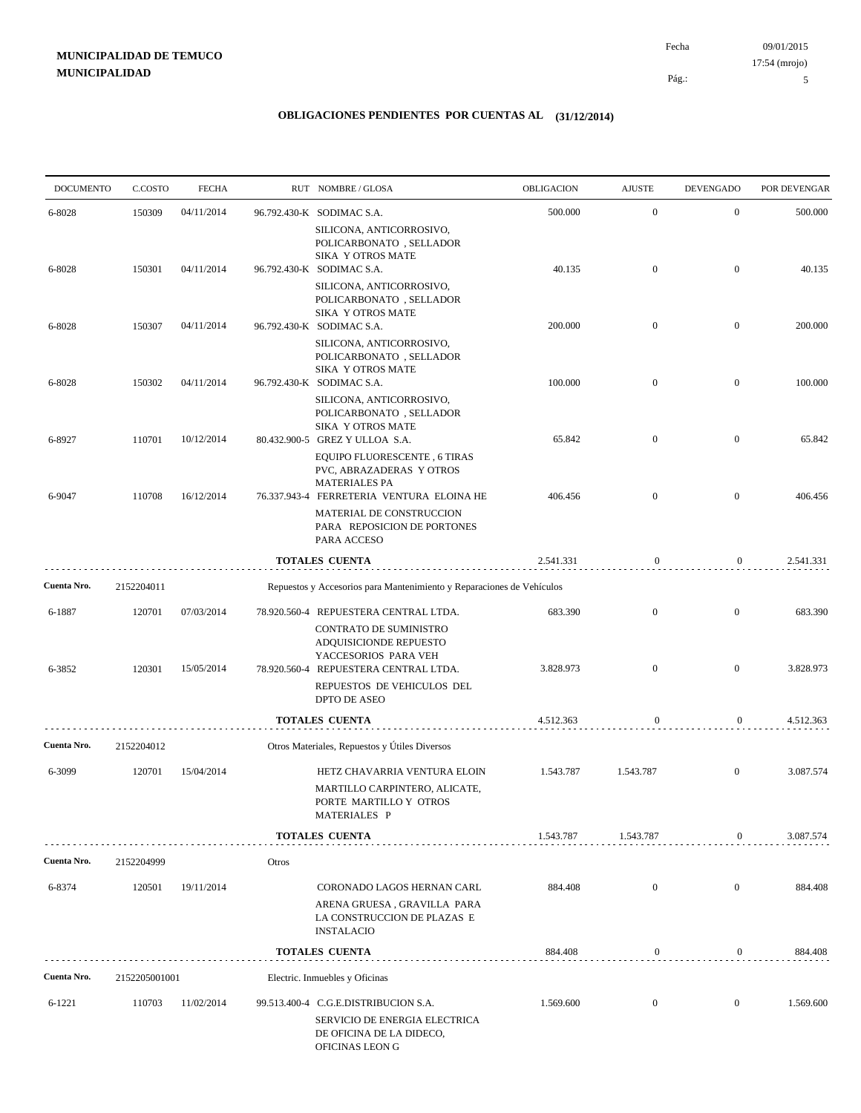09/01/2015 Pág.: Fecha 17:54 (mrojo)

5

| <b>DOCUMENTO</b> | C.COSTO       | <b>FECHA</b> |       | RUT NOMBRE/GLOSA                                                                                                     | OBLIGACION | <b>AJUSTE</b>    | <b>DEVENGADO</b> | POR DEVENGAR |
|------------------|---------------|--------------|-------|----------------------------------------------------------------------------------------------------------------------|------------|------------------|------------------|--------------|
| 6-8028           | 150309        | 04/11/2014   |       | 96.792.430-K SODIMAC S.A.                                                                                            | 500.000    | $\mathbf{0}$     | $\mathbf{0}$     | 500.000      |
|                  |               |              |       | SILICONA, ANTICORROSIVO,<br>POLICARBONATO, SELLADOR                                                                  |            |                  |                  |              |
| 6-8028           | 150301        | 04/11/2014   |       | <b>SIKA Y OTROS MATE</b><br>96.792.430-K SODIMAC S.A.                                                                | 40.135     | $\mathbf{0}$     | $\overline{0}$   | 40.135       |
|                  |               |              |       | SILICONA, ANTICORROSIVO,<br>POLICARBONATO, SELLADOR                                                                  |            |                  |                  |              |
| 6-8028           | 150307        | 04/11/2014   |       | SIKA Y OTROS MATE<br>96.792.430-K SODIMAC S.A.                                                                       | 200.000    | $\mathbf{0}$     | $\overline{0}$   | 200.000      |
|                  |               |              |       | SILICONA, ANTICORROSIVO,<br>POLICARBONATO, SELLADOR                                                                  |            |                  |                  |              |
|                  |               |              |       | SIKA Y OTROS MATE                                                                                                    |            |                  |                  |              |
| 6-8028           | 150302        | 04/11/2014   |       | 96.792.430-K SODIMAC S.A.<br>SILICONA, ANTICORROSIVO,<br>POLICARBONATO, SELLADOR<br>SIKA Y OTROS MATE                | 100.000    | $\mathbf{0}$     | $\overline{0}$   | 100.000      |
| 6-8927           | 110701        | 10/12/2014   |       | 80.432.900-5 GREZ Y ULLOA S.A.                                                                                       | 65.842     | $\mathbf{0}$     | $\mathbf{0}$     | 65.842       |
|                  |               |              |       | EQUIPO FLUORESCENTE, 6 TIRAS<br>PVC, ABRAZADERAS Y OTROS<br><b>MATERIALES PA</b>                                     |            |                  |                  |              |
| 6-9047           | 110708        | 16/12/2014   |       | 76.337.943-4 FERRETERIA VENTURA ELOINA HE                                                                            | 406.456    | $\overline{0}$   | $\overline{0}$   | 406.456      |
|                  |               |              |       | MATERIAL DE CONSTRUCCION<br>PARA REPOSICION DE PORTONES<br>PARA ACCESO                                               |            |                  |                  |              |
|                  |               |              |       | <b>TOTALES CUENTA</b>                                                                                                | 2.541.331  | $\boldsymbol{0}$ | $\overline{0}$   | 2.541.331    |
| Cuenta Nro.      | 2152204011    |              |       | Repuestos y Accesorios para Mantenimiento y Reparaciones de Vehículos                                                |            |                  |                  |              |
| 6-1887           | 120701        | 07/03/2014   |       | 78.920.560-4 REPUESTERA CENTRAL LTDA.                                                                                | 683.390    | $\overline{0}$   | $\boldsymbol{0}$ | 683.390      |
|                  |               |              |       | CONTRATO DE SUMINISTRO<br>ADQUISICIONDE REPUESTO                                                                     |            |                  |                  |              |
| 6-3852           | 120301        | 15/05/2014   |       | YACCESORIOS PARA VEH<br>78.920.560-4 REPUESTERA CENTRAL LTDA.                                                        | 3.828.973  | $\overline{0}$   | $\overline{0}$   | 3.828.973    |
|                  |               |              |       | REPUESTOS DE VEHICULOS DEL<br>DPTO DE ASEO                                                                           |            |                  |                  |              |
|                  |               |              |       | <b>TOTALES CUENTA</b>                                                                                                | 4.512.363  | $\boldsymbol{0}$ | $\overline{0}$   | 4.512.363    |
| Cuenta Nro.      | 2152204012    |              |       | Otros Materiales, Repuestos y Útiles Diversos                                                                        |            |                  |                  |              |
| 6-3099           | 120701        | 15/04/2014   |       | HETZ CHAVARRIA VENTURA ELOIN<br>MARTILLO CARPINTERO, ALICATE,<br>PORTE MARTILLO Y OTROS<br>MATERIALES P              | 1.543.787  | 1.543.787        | $\mathbf{0}$     | 3.087.574    |
|                  |               |              |       | <b>TOTALES CUENTA</b>                                                                                                | 1.543.787  | 1.543.787        | 0                | 3.087.574    |
| Cuenta Nro.      | 2152204999    |              | Otros |                                                                                                                      |            |                  |                  |              |
| 6-8374           | 120501        | 19/11/2014   |       | CORONADO LAGOS HERNAN CARL                                                                                           | 884.408    | $\mathbf{0}$     | $\mathbf{0}$     | 884.408      |
|                  |               |              |       | ARENA GRUESA, GRAVILLA PARA<br>LA CONSTRUCCION DE PLAZAS E<br><b>INSTALACIO</b>                                      |            |                  |                  |              |
|                  |               |              |       | <b>TOTALES CUENTA</b>                                                                                                | 884.408    | $\boldsymbol{0}$ | $\boldsymbol{0}$ | 884.408      |
| Cuenta Nro.      | 2152205001001 |              |       | Electric. Inmuebles y Oficinas                                                                                       |            |                  |                  |              |
| 6-1221           | 110703        | 11/02/2014   |       | 99.513.400-4 C.G.E.DISTRIBUCION S.A.<br>SERVICIO DE ENERGIA ELECTRICA<br>DE OFICINA DE LA DIDECO,<br>OFICINAS LEON G | 1.569.600  | $\boldsymbol{0}$ | $\mathbf{0}$     | 1.569.600    |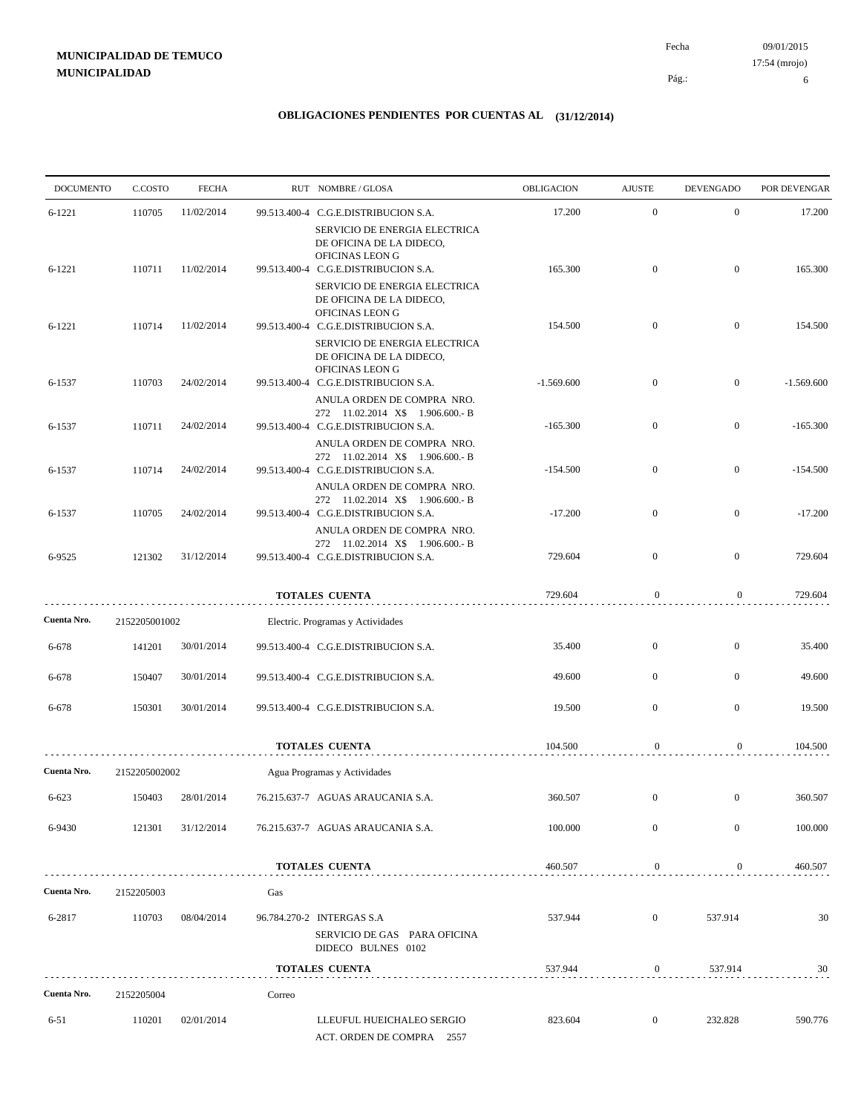09/01/2015 Pág.: Fecha 17:54 (mrojo)

6

| <b>DOCUMENTO</b> | C.COSTO       | <b>FECHA</b> |        | RUT NOMBRE/GLOSA                                                                                       | OBLIGACION   | <b>AJUSTE</b>    | <b>DEVENGADO</b> | POR DEVENGAR |
|------------------|---------------|--------------|--------|--------------------------------------------------------------------------------------------------------|--------------|------------------|------------------|--------------|
| $6 - 1221$       | 110705        | 11/02/2014   |        | 99.513.400-4 C.G.E.DISTRIBUCION S.A.                                                                   | 17.200       | $\mathbf{0}$     | $\mathbf{0}$     | 17.200       |
|                  |               |              |        | SERVICIO DE ENERGIA ELECTRICA<br>DE OFICINA DE LA DIDECO,<br>OFICINAS LEON G                           |              |                  |                  |              |
| $6 - 1221$       | 110711        | 11/02/2014   |        | 99.513.400-4 C.G.E.DISTRIBUCION S.A.                                                                   | 165.300      | $\mathbf{0}$     | $\mathbf{0}$     | 165.300      |
|                  |               |              |        | SERVICIO DE ENERGIA ELECTRICA<br>DE OFICINA DE LA DIDECO,<br>OFICINAS LEON G                           |              |                  |                  |              |
| $6 - 1221$       | 110714        | 11/02/2014   |        | 99.513.400-4 C.G.E.DISTRIBUCION S.A.<br>SERVICIO DE ENERGIA ELECTRICA<br>DE OFICINA DE LA DIDECO,      | 154.500      | $\mathbf{0}$     | $\mathbf{0}$     | 154.500      |
| 6-1537           | 110703        | 24/02/2014   |        | OFICINAS LEON G<br>99.513.400-4 C.G.E.DISTRIBUCION S.A.                                                | $-1.569.600$ | $\mathbf{0}$     | $\mathbf{0}$     | $-1.569.600$ |
|                  |               |              |        | ANULA ORDEN DE COMPRA NRO.<br>272 11.02.2014 X\$ 1.906.600.- B                                         |              |                  |                  |              |
| 6-1537           | 110711        | 24/02/2014   |        | 99.513.400-4 C.G.E.DISTRIBUCION S.A.<br>ANULA ORDEN DE COMPRA NRO.<br>272 11.02.2014 X\$ 1.906.600.- B | $-165.300$   | $\mathbf{0}$     | $\mathbf{0}$     | $-165.300$   |
| 6-1537           | 110714        | 24/02/2014   |        | 99.513.400-4 C.G.E.DISTRIBUCION S.A.<br>ANULA ORDEN DE COMPRA NRO.                                     | $-154.500$   | $\boldsymbol{0}$ | $\mathbf{0}$     | $-154.500$   |
| 6-1537           | 110705        | 24/02/2014   |        | 272 11.02.2014 X\$ 1.906.600.- B<br>99.513.400-4 C.G.E.DISTRIBUCION S.A.                               | $-17.200$    | $\boldsymbol{0}$ | $\mathbf{0}$     | $-17.200$    |
| 6-9525           | 121302        | 31/12/2014   |        | ANULA ORDEN DE COMPRA NRO.<br>272 11.02.2014 X\$ 1.906.600.- B<br>99.513.400-4 C.G.E.DISTRIBUCION S.A. | 729.604      | $\mathbf{0}$     | $\mathbf{0}$     | 729.604      |
|                  |               |              |        | <b>TOTALES CUENTA</b>                                                                                  | 729.604      | $\boldsymbol{0}$ | $\overline{0}$   | 729.604      |
| Cuenta Nro.      | 2152205001002 |              |        | Electric. Programas y Actividades                                                                      |              |                  |                  |              |
| 6-678            | 141201        | 30/01/2014   |        | 99.513.400-4 C.G.E.DISTRIBUCION S.A.                                                                   | 35.400       | $\boldsymbol{0}$ | $\mathbf{0}$     | 35.400       |
| 6-678            | 150407        | 30/01/2014   |        | 99.513.400-4 C.G.E.DISTRIBUCION S.A.                                                                   | 49.600       | $\mathbf{0}$     | $\mathbf{0}$     | 49.600       |
| 6-678            | 150301        | 30/01/2014   |        | 99.513.400-4 C.G.E.DISTRIBUCION S.A.                                                                   | 19.500       | $\mathbf{0}$     | $\boldsymbol{0}$ | 19.500       |
|                  |               |              |        | <b>TOTALES CUENTA</b>                                                                                  | 104.500      | $\boldsymbol{0}$ | $\mathbf{0}$     | 104.500      |
| Cuenta Nro.      | 2152205002002 |              |        | Agua Programas y Actividades                                                                           |              |                  |                  |              |
| $6 - 623$        | 150403        | 28/01/2014   |        | 76.215.637-7 AGUAS ARAUCANIA S.A.                                                                      | 360.507      | $\mathbf{0}$     | $\boldsymbol{0}$ | 360.507      |
| 6-9430           | 121301        | 31/12/2014   |        | 76.215.637-7 AGUAS ARAUCANIA S.A.                                                                      | 100.000      | $\mathbf{0}$     | $\mathbf{0}$     | 100.000      |
|                  |               |              |        | <b>TOTALES CUENTA</b>                                                                                  | 460.507      | $\mathbf{0}$     | $\overline{0}$   | 460.507      |
| Cuenta Nro.      | 2152205003    |              | Gas    |                                                                                                        |              |                  |                  |              |
| 6-2817           | 110703        | 08/04/2014   |        | 96.784.270-2 INTERGAS S.A<br>SERVICIO DE GAS PARA OFICINA                                              | 537.944      | $\mathbf{0}$     | 537.914          | 30           |
|                  |               |              |        | DIDECO BULNES 0102<br><b>TOTALES CUENTA</b>                                                            | 537.944      | $\boldsymbol{0}$ | 537.914          | 30           |
|                  |               |              |        |                                                                                                        |              |                  |                  |              |
| Cuenta Nro.      | 2152205004    |              | Correo |                                                                                                        |              |                  |                  |              |
| 6-51             | 110201        | 02/01/2014   |        | LLEUFUL HUEICHALEO SERGIO<br>ACT. ORDEN DE COMPRA 2557                                                 | 823.604      | $\overline{0}$   | 232.828          | 590.776      |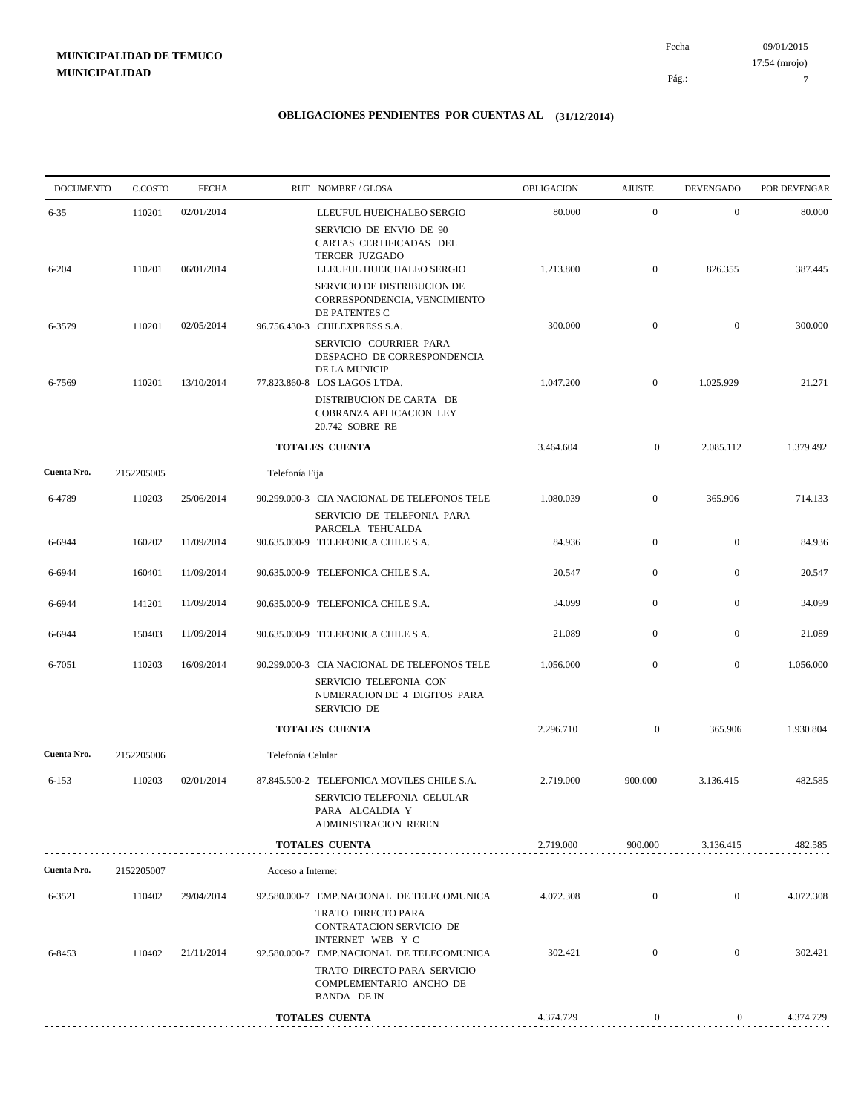09/01/2015 Pág.: Fecha 17:54 (mrojo)

7

| $\mathbf{0}$<br>110201<br>02/01/2014<br>80.000<br>$\mathbf{0}$<br>$6 - 35$<br>LLEUFUL HUEICHALEO SERGIO<br>SERVICIO DE ENVIO DE 90<br>CARTAS CERTIFICADAS DEL<br>TERCER JUZGADO<br>1.213.800<br>$\mathbf{0}$<br>826.355<br>110201<br>06/01/2014<br>$6 - 204$<br>LLEUFUL HUEICHALEO SERGIO<br>SERVICIO DE DISTRIBUCION DE<br>CORRESPONDENCIA, VENCIMIENTO<br>DE PATENTES C<br>300.000<br>$\mathbf{0}$<br>$\mathbf{0}$<br>6-3579<br>110201<br>02/05/2014<br>96.756.430-3 CHILEXPRESS S.A.<br>SERVICIO COURRIER PARA<br>DESPACHO DE CORRESPONDENCIA<br>DE LA MUNICIP<br>110201<br>13/10/2014<br>77.823.860-8 LOS LAGOS LTDA.<br>1.047.200<br>$\mathbf{0}$<br>1.025.929<br>6-7569<br>DISTRIBUCION DE CARTA DE<br>COBRANZA APLICACION LEY<br>20.742 SOBRE RE<br><b>TOTALES CUENTA</b><br>3.464.604<br>$\boldsymbol{0}$<br>2.085.112<br>2152205005<br>Telefonía Fija<br>$\mathbf{0}$<br>365.906<br>6-4789<br>110203<br>25/06/2014<br>1.080.039<br>90.299.000-3 CIA NACIONAL DE TELEFONOS TELE<br>SERVICIO DE TELEFONIA PARA<br>PARCELA TEHUALDA<br>$\mathbf{0}$<br>$\overline{0}$<br>6-6944<br>160202<br>11/09/2014<br>90.635.000-9 TELEFONICA CHILE S.A.<br>84.936<br>20.547<br>$\mathbf{0}$<br>$\mathbf{0}$<br>11/09/2014<br>6-6944<br>160401<br>90.635.000-9 TELEFONICA CHILE S.A.<br>$\overline{0}$<br>$\mathbf{0}$<br>6-6944<br>141201<br>11/09/2014<br>90.635.000-9 TELEFONICA CHILE S.A.<br>34.099<br>21.089<br>$\mathbf{0}$<br>$\mathbf{0}$<br>150403<br>11/09/2014<br>90.635.000-9 TELEFONICA CHILE S.A.<br>6-6944<br>$\mathbf{0}$<br>$\boldsymbol{0}$<br>6-7051<br>110203<br>16/09/2014<br>90.299.000-3 CIA NACIONAL DE TELEFONOS TELE<br>1.056.000<br>SERVICIO TELEFONIA CON<br>NUMERACION DE 4 DIGITOS PARA<br>SERVICIO DE<br>2.296.710<br><b>TOTALES CUENTA</b><br>365.906<br>0<br>Telefonía Celular<br>2152205006<br>$6 - 153$<br>110203<br>02/01/2014<br>2.719.000<br>900.000<br>3.136.415<br>87.845.500-2 TELEFONICA MOVILES CHILE S.A.<br>SERVICIO TELEFONIA CELULAR<br>PARA ALCALDIA Y<br><b>ADMINISTRACION REREN</b><br>2.719.000<br>900.000<br><b>TOTALES CUENTA</b><br>3.136.415<br>2152205007<br>Acceso a Internet<br>$\mathbf{0}$<br>$\overline{0}$<br>6-3521<br>110402<br>29/04/2014<br>92.580.000-7 EMP.NACIONAL DE TELECOMUNICA<br>4.072.308<br>TRATO DIRECTO PARA<br>CONTRATACION SERVICIO DE<br>INTERNET WEB Y C<br>$\mathbf{0}$<br>6-8453<br>110402<br>21/11/2014<br>92.580.000-7 EMP.NACIONAL DE TELECOMUNICA<br>302.421<br>$\overline{0}$<br>TRATO DIRECTO PARA SERVICIO<br>COMPLEMENTARIO ANCHO DE<br>BANDA DE IN<br>$\boldsymbol{0}$<br>$\overline{0}$<br><b>TOTALES CUENTA</b><br>4.374.729 | <b>DOCUMENTO</b> | C.COSTO | <b>FECHA</b> | RUT NOMBRE/GLOSA | OBLIGACION | <b>AJUSTE</b> | <b>DEVENGADO</b> | POR DEVENGAR |
|-------------------------------------------------------------------------------------------------------------------------------------------------------------------------------------------------------------------------------------------------------------------------------------------------------------------------------------------------------------------------------------------------------------------------------------------------------------------------------------------------------------------------------------------------------------------------------------------------------------------------------------------------------------------------------------------------------------------------------------------------------------------------------------------------------------------------------------------------------------------------------------------------------------------------------------------------------------------------------------------------------------------------------------------------------------------------------------------------------------------------------------------------------------------------------------------------------------------------------------------------------------------------------------------------------------------------------------------------------------------------------------------------------------------------------------------------------------------------------------------------------------------------------------------------------------------------------------------------------------------------------------------------------------------------------------------------------------------------------------------------------------------------------------------------------------------------------------------------------------------------------------------------------------------------------------------------------------------------------------------------------------------------------------------------------------------------------------------------------------------------------------------------------------------------------------------------------------------------------------------------------------------------------------------------------------------------------------------------------------------------------------------------------------------------------------------------------------------------------------------------------------------------------------------------------------------------------------------------------------------------|------------------|---------|--------------|------------------|------------|---------------|------------------|--------------|
|                                                                                                                                                                                                                                                                                                                                                                                                                                                                                                                                                                                                                                                                                                                                                                                                                                                                                                                                                                                                                                                                                                                                                                                                                                                                                                                                                                                                                                                                                                                                                                                                                                                                                                                                                                                                                                                                                                                                                                                                                                                                                                                                                                                                                                                                                                                                                                                                                                                                                                                                                                                                                         |                  |         |              |                  |            |               |                  | 80.000       |
|                                                                                                                                                                                                                                                                                                                                                                                                                                                                                                                                                                                                                                                                                                                                                                                                                                                                                                                                                                                                                                                                                                                                                                                                                                                                                                                                                                                                                                                                                                                                                                                                                                                                                                                                                                                                                                                                                                                                                                                                                                                                                                                                                                                                                                                                                                                                                                                                                                                                                                                                                                                                                         |                  |         |              |                  |            |               |                  | 387.445      |
|                                                                                                                                                                                                                                                                                                                                                                                                                                                                                                                                                                                                                                                                                                                                                                                                                                                                                                                                                                                                                                                                                                                                                                                                                                                                                                                                                                                                                                                                                                                                                                                                                                                                                                                                                                                                                                                                                                                                                                                                                                                                                                                                                                                                                                                                                                                                                                                                                                                                                                                                                                                                                         |                  |         |              |                  |            |               |                  |              |
|                                                                                                                                                                                                                                                                                                                                                                                                                                                                                                                                                                                                                                                                                                                                                                                                                                                                                                                                                                                                                                                                                                                                                                                                                                                                                                                                                                                                                                                                                                                                                                                                                                                                                                                                                                                                                                                                                                                                                                                                                                                                                                                                                                                                                                                                                                                                                                                                                                                                                                                                                                                                                         |                  |         |              |                  |            |               |                  | 300.000      |
|                                                                                                                                                                                                                                                                                                                                                                                                                                                                                                                                                                                                                                                                                                                                                                                                                                                                                                                                                                                                                                                                                                                                                                                                                                                                                                                                                                                                                                                                                                                                                                                                                                                                                                                                                                                                                                                                                                                                                                                                                                                                                                                                                                                                                                                                                                                                                                                                                                                                                                                                                                                                                         |                  |         |              |                  |            |               |                  | 21.271       |
|                                                                                                                                                                                                                                                                                                                                                                                                                                                                                                                                                                                                                                                                                                                                                                                                                                                                                                                                                                                                                                                                                                                                                                                                                                                                                                                                                                                                                                                                                                                                                                                                                                                                                                                                                                                                                                                                                                                                                                                                                                                                                                                                                                                                                                                                                                                                                                                                                                                                                                                                                                                                                         |                  |         |              |                  |            |               |                  |              |
|                                                                                                                                                                                                                                                                                                                                                                                                                                                                                                                                                                                                                                                                                                                                                                                                                                                                                                                                                                                                                                                                                                                                                                                                                                                                                                                                                                                                                                                                                                                                                                                                                                                                                                                                                                                                                                                                                                                                                                                                                                                                                                                                                                                                                                                                                                                                                                                                                                                                                                                                                                                                                         |                  |         |              |                  |            |               |                  | 1.379.492    |
|                                                                                                                                                                                                                                                                                                                                                                                                                                                                                                                                                                                                                                                                                                                                                                                                                                                                                                                                                                                                                                                                                                                                                                                                                                                                                                                                                                                                                                                                                                                                                                                                                                                                                                                                                                                                                                                                                                                                                                                                                                                                                                                                                                                                                                                                                                                                                                                                                                                                                                                                                                                                                         | Cuenta Nro.      |         |              |                  |            |               |                  |              |
|                                                                                                                                                                                                                                                                                                                                                                                                                                                                                                                                                                                                                                                                                                                                                                                                                                                                                                                                                                                                                                                                                                                                                                                                                                                                                                                                                                                                                                                                                                                                                                                                                                                                                                                                                                                                                                                                                                                                                                                                                                                                                                                                                                                                                                                                                                                                                                                                                                                                                                                                                                                                                         |                  |         |              |                  |            |               |                  | 714.133      |
|                                                                                                                                                                                                                                                                                                                                                                                                                                                                                                                                                                                                                                                                                                                                                                                                                                                                                                                                                                                                                                                                                                                                                                                                                                                                                                                                                                                                                                                                                                                                                                                                                                                                                                                                                                                                                                                                                                                                                                                                                                                                                                                                                                                                                                                                                                                                                                                                                                                                                                                                                                                                                         |                  |         |              |                  |            |               |                  | 84.936       |
|                                                                                                                                                                                                                                                                                                                                                                                                                                                                                                                                                                                                                                                                                                                                                                                                                                                                                                                                                                                                                                                                                                                                                                                                                                                                                                                                                                                                                                                                                                                                                                                                                                                                                                                                                                                                                                                                                                                                                                                                                                                                                                                                                                                                                                                                                                                                                                                                                                                                                                                                                                                                                         |                  |         |              |                  |            |               |                  | 20.547       |
|                                                                                                                                                                                                                                                                                                                                                                                                                                                                                                                                                                                                                                                                                                                                                                                                                                                                                                                                                                                                                                                                                                                                                                                                                                                                                                                                                                                                                                                                                                                                                                                                                                                                                                                                                                                                                                                                                                                                                                                                                                                                                                                                                                                                                                                                                                                                                                                                                                                                                                                                                                                                                         |                  |         |              |                  |            |               |                  | 34.099       |
|                                                                                                                                                                                                                                                                                                                                                                                                                                                                                                                                                                                                                                                                                                                                                                                                                                                                                                                                                                                                                                                                                                                                                                                                                                                                                                                                                                                                                                                                                                                                                                                                                                                                                                                                                                                                                                                                                                                                                                                                                                                                                                                                                                                                                                                                                                                                                                                                                                                                                                                                                                                                                         |                  |         |              |                  |            |               |                  | 21.089       |
|                                                                                                                                                                                                                                                                                                                                                                                                                                                                                                                                                                                                                                                                                                                                                                                                                                                                                                                                                                                                                                                                                                                                                                                                                                                                                                                                                                                                                                                                                                                                                                                                                                                                                                                                                                                                                                                                                                                                                                                                                                                                                                                                                                                                                                                                                                                                                                                                                                                                                                                                                                                                                         |                  |         |              |                  |            |               |                  | 1.056.000    |
|                                                                                                                                                                                                                                                                                                                                                                                                                                                                                                                                                                                                                                                                                                                                                                                                                                                                                                                                                                                                                                                                                                                                                                                                                                                                                                                                                                                                                                                                                                                                                                                                                                                                                                                                                                                                                                                                                                                                                                                                                                                                                                                                                                                                                                                                                                                                                                                                                                                                                                                                                                                                                         |                  |         |              |                  |            |               |                  | 1.930.804    |
|                                                                                                                                                                                                                                                                                                                                                                                                                                                                                                                                                                                                                                                                                                                                                                                                                                                                                                                                                                                                                                                                                                                                                                                                                                                                                                                                                                                                                                                                                                                                                                                                                                                                                                                                                                                                                                                                                                                                                                                                                                                                                                                                                                                                                                                                                                                                                                                                                                                                                                                                                                                                                         | Cuenta Nro.      |         |              |                  |            |               |                  |              |
|                                                                                                                                                                                                                                                                                                                                                                                                                                                                                                                                                                                                                                                                                                                                                                                                                                                                                                                                                                                                                                                                                                                                                                                                                                                                                                                                                                                                                                                                                                                                                                                                                                                                                                                                                                                                                                                                                                                                                                                                                                                                                                                                                                                                                                                                                                                                                                                                                                                                                                                                                                                                                         |                  |         |              |                  |            |               |                  | 482.585      |
|                                                                                                                                                                                                                                                                                                                                                                                                                                                                                                                                                                                                                                                                                                                                                                                                                                                                                                                                                                                                                                                                                                                                                                                                                                                                                                                                                                                                                                                                                                                                                                                                                                                                                                                                                                                                                                                                                                                                                                                                                                                                                                                                                                                                                                                                                                                                                                                                                                                                                                                                                                                                                         |                  |         |              |                  |            |               |                  | 482.585      |
|                                                                                                                                                                                                                                                                                                                                                                                                                                                                                                                                                                                                                                                                                                                                                                                                                                                                                                                                                                                                                                                                                                                                                                                                                                                                                                                                                                                                                                                                                                                                                                                                                                                                                                                                                                                                                                                                                                                                                                                                                                                                                                                                                                                                                                                                                                                                                                                                                                                                                                                                                                                                                         | Cuenta Nro.      |         |              |                  |            |               |                  |              |
|                                                                                                                                                                                                                                                                                                                                                                                                                                                                                                                                                                                                                                                                                                                                                                                                                                                                                                                                                                                                                                                                                                                                                                                                                                                                                                                                                                                                                                                                                                                                                                                                                                                                                                                                                                                                                                                                                                                                                                                                                                                                                                                                                                                                                                                                                                                                                                                                                                                                                                                                                                                                                         |                  |         |              |                  |            |               |                  | 4.072.308    |
|                                                                                                                                                                                                                                                                                                                                                                                                                                                                                                                                                                                                                                                                                                                                                                                                                                                                                                                                                                                                                                                                                                                                                                                                                                                                                                                                                                                                                                                                                                                                                                                                                                                                                                                                                                                                                                                                                                                                                                                                                                                                                                                                                                                                                                                                                                                                                                                                                                                                                                                                                                                                                         |                  |         |              |                  |            |               |                  | 302.421      |
|                                                                                                                                                                                                                                                                                                                                                                                                                                                                                                                                                                                                                                                                                                                                                                                                                                                                                                                                                                                                                                                                                                                                                                                                                                                                                                                                                                                                                                                                                                                                                                                                                                                                                                                                                                                                                                                                                                                                                                                                                                                                                                                                                                                                                                                                                                                                                                                                                                                                                                                                                                                                                         |                  |         |              |                  |            |               |                  | 4.374.729    |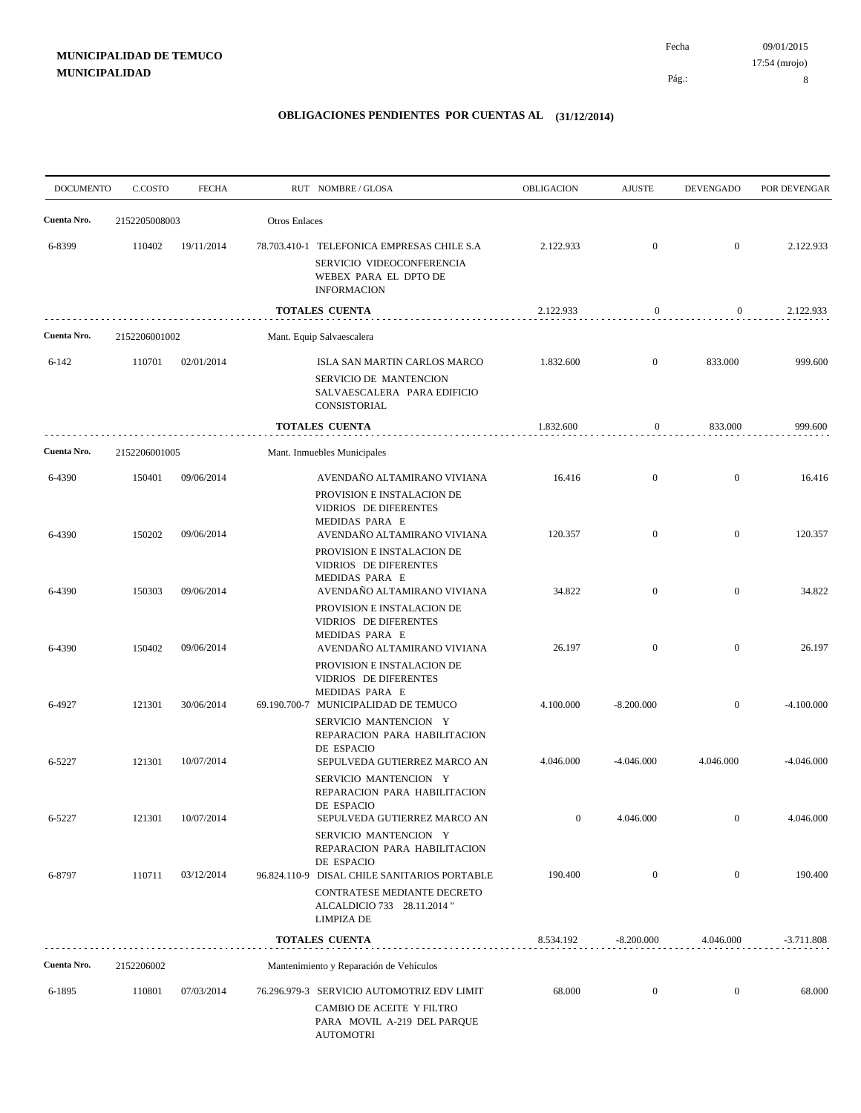| <b>DOCUMENTO</b> | C.COSTO          | <b>FECHA</b>             |                      | RUT NOMBRE/GLOSA                                                                                                                    | <b>OBLIGACION</b> | <b>AJUSTE</b>                | <b>DEVENGADO</b>               | POR DEVENGAR      |
|------------------|------------------|--------------------------|----------------------|-------------------------------------------------------------------------------------------------------------------------------------|-------------------|------------------------------|--------------------------------|-------------------|
| Cuenta Nro.      | 2152205008003    |                          | <b>Otros Enlaces</b> |                                                                                                                                     |                   |                              |                                |                   |
| 6-8399           | 110402           | 19/11/2014               |                      | 78.703.410-1 TELEFONICA EMPRESAS CHILE S.A<br>SERVICIO VIDEOCONFERENCIA<br>WEBEX PARA EL DPTO DE<br><b>INFORMACION</b>              | 2.122.933         | $\mathbf{0}$                 | $\boldsymbol{0}$               | 2.122.933         |
|                  |                  |                          |                      | <b>TOTALES CUENTA</b>                                                                                                               | 2.122.933         | $\boldsymbol{0}$             | $\boldsymbol{0}$               | 2.122.933         |
| Cuenta Nro.      | 2152206001002    |                          |                      | Mant. Equip Salvaescalera                                                                                                           |                   |                              |                                |                   |
| $6 - 142$        | 110701           | 02/01/2014               |                      | ISLA SAN MARTIN CARLOS MARCO<br>SERVICIO DE MANTENCION<br>SALVAESCALERA PARA EDIFICIO<br>CONSISTORIAL                               | 1.832.600         | $\overline{0}$               | 833.000                        | 999.600           |
|                  |                  |                          |                      | <b>TOTALES CUENTA</b>                                                                                                               | 1.832.600         | $\bf{0}$                     | 833.000                        | 999.600           |
| Cuenta Nro.      | 2152206001005    |                          |                      | Mant. Inmuebles Municipales                                                                                                         |                   |                              |                                |                   |
| 6-4390<br>6-4390 | 150401<br>150202 | 09/06/2014<br>09/06/2014 |                      | AVENDAÑO ALTAMIRANO VIVIANA<br>PROVISION E INSTALACION DE<br>VIDRIOS DE DIFERENTES<br>MEDIDAS PARA E<br>AVENDAÑO ALTAMIRANO VIVIANA | 16.416<br>120.357 | $\mathbf{0}$<br>$\mathbf{0}$ | $\mathbf{0}$<br>$\overline{0}$ | 16.416<br>120.357 |
| 6-4390           | 150303           | 09/06/2014               |                      | PROVISION E INSTALACION DE<br><b>VIDRIOS DE DIFERENTES</b><br>MEDIDAS PARA E<br>AVENDAÑO ALTAMIRANO VIVIANA                         | 34.822            | $\overline{0}$               | $\overline{0}$                 | 34.822            |
| 6-4390           | 150402           | 09/06/2014               |                      | PROVISION E INSTALACION DE<br>VIDRIOS DE DIFERENTES<br>MEDIDAS PARA E<br>AVENDAÑO ALTAMIRANO VIVIANA                                | 26.197            | $\mathbf{0}$                 | $\overline{0}$                 | 26.197            |
| 6-4927           | 121301           | 30/06/2014               |                      | PROVISION E INSTALACION DE<br>VIDRIOS DE DIFERENTES<br>MEDIDAS PARA E<br>69.190.700-7 MUNICIPALIDAD DE TEMUCO                       | 4.100.000         | $-8.200.000$                 | $\mathbf{0}$                   | $-4.100.000$      |
|                  |                  |                          |                      | SERVICIO MANTENCION Y<br>REPARACION PARA HABILITACION<br>DE ESPACIO                                                                 |                   |                              |                                |                   |
| 6-5227           | 121301           | 10/07/2014               |                      | SEPULVEDA GUTIERREZ MARCO AN<br>SERVICIO MANTENCION Y<br>REPARACION PARA HABILITACION<br>DE ESPACIO                                 | 4.046.000         | $-4.046.000$                 | 4.046.000                      | $-4.046.000$      |
| 6-5227           | 121301           | 10/07/2014               |                      | SEPULVEDA GUTIERREZ MARCO AN<br>SERVICIO MANTENCION Y<br>REPARACION PARA HABILITACION<br>DE ESPACIO                                 | $\boldsymbol{0}$  | 4.046.000                    | $\boldsymbol{0}$               | 4.046.000         |
| 6-8797           | 110711           | 03/12/2014               |                      | 96.824.110-9 DISAL CHILE SANITARIOS PORTABLE<br>CONTRATESE MEDIANTE DECRETO<br>ALCALDICIO 733 28.11.2014"<br><b>LIMPIZA DE</b>      | 190.400           | $\mathbf{0}$                 | $\overline{0}$                 | 190.400           |
|                  |                  |                          |                      | <b>TOTALES CUENTA</b>                                                                                                               | 8.534.192         | $-8.200.000$                 | 4.046.000                      | $-3.711.808$      |
| Cuenta Nro.      | 2152206002       |                          |                      | Mantenimiento y Reparación de Vehículos                                                                                             |                   |                              |                                |                   |
| 6-1895           | 110801           | 07/03/2014               |                      | 76.296.979-3 SERVICIO AUTOMOTRIZ EDV LIMIT<br>CAMBIO DE ACEITE Y FILTRO<br>PARA MOVIL A-219 DEL PARQUE<br>AUTOMOTRI                 | 68.000            | $\boldsymbol{0}$             | $\bf{0}$                       | 68.000            |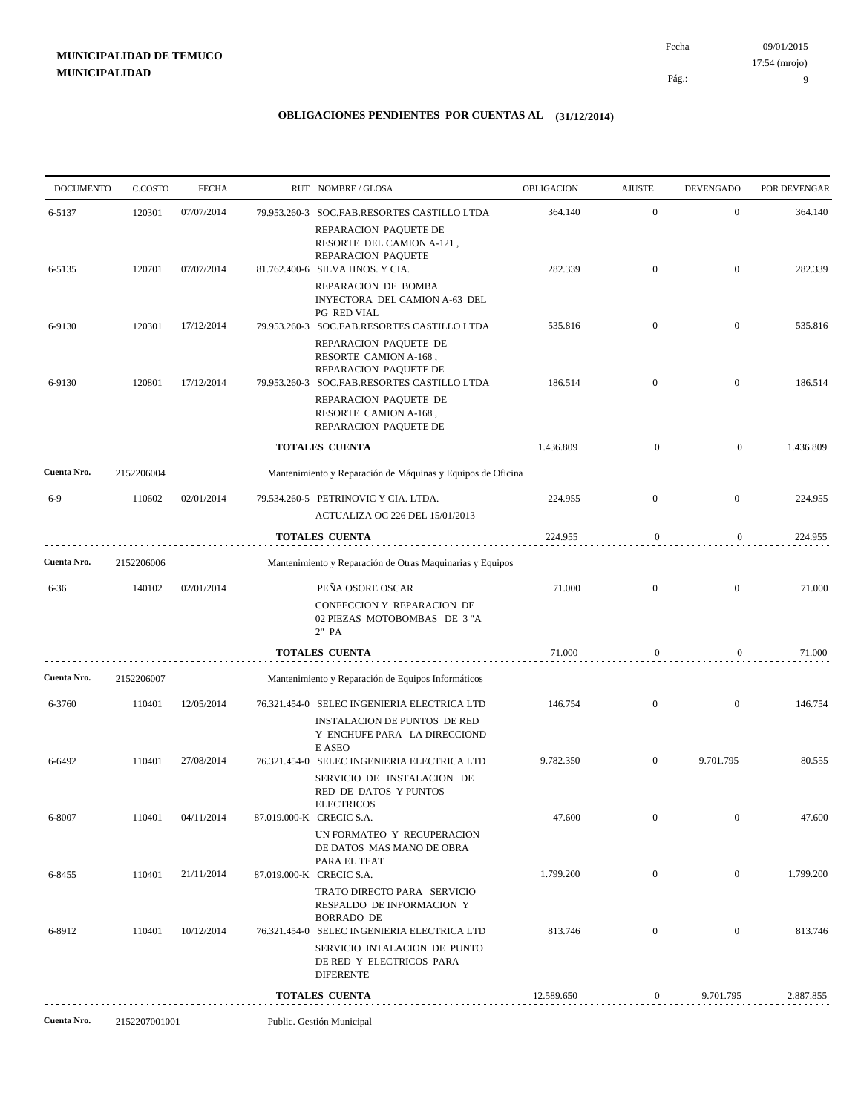| <b>DOCUMENTO</b> | C.COSTO       | <b>FECHA</b> | RUT NOMBRE/GLOSA                                                                                                            | OBLIGACION | <b>AJUSTE</b>    | <b>DEVENGADO</b> | POR DEVENGAR |
|------------------|---------------|--------------|-----------------------------------------------------------------------------------------------------------------------------|------------|------------------|------------------|--------------|
| 6-5137           | 120301        | 07/07/2014   | 79.953.260-3 SOC.FAB.RESORTES CASTILLO LTDA                                                                                 | 364.140    | $\overline{0}$   | $\mathbf{0}$     | 364.140      |
|                  |               |              | REPARACION PAQUETE DE<br>RESORTE DEL CAMION A-121,<br>REPARACION PAQUETE                                                    |            |                  |                  |              |
| 6-5135           | 120701        | 07/07/2014   | 81.762.400-6 SILVA HNOS. Y CIA.<br>REPARACION DE BOMBA<br>INYECTORA DEL CAMION A-63 DEL                                     | 282.339    | $\mathbf{0}$     | $\mathbf{0}$     | 282.339      |
|                  |               |              | <b>PG RED VIAL</b>                                                                                                          |            |                  |                  |              |
| 6-9130           | 120301        | 17/12/2014   | 79.953.260-3 SOC.FAB.RESORTES CASTILLO LTDA<br>REPARACION PAQUETE DE<br>RESORTE CAMION A-168,<br>REPARACION PAQUETE DE      | 535.816    | $\overline{0}$   | $\boldsymbol{0}$ | 535.816      |
| 6-9130           | 120801        | 17/12/2014   | 79.953.260-3 SOC.FAB.RESORTES CASTILLO LTDA                                                                                 | 186.514    | $\mathbf{0}$     | $\boldsymbol{0}$ | 186.514      |
|                  |               |              | REPARACION PAQUETE DE<br>RESORTE CAMION A-168,<br>REPARACION PAQUETE DE                                                     |            |                  |                  |              |
|                  |               |              | TOTALES CUENTA                                                                                                              | 1.436.809  | $\boldsymbol{0}$ | $\overline{0}$   | 1.436.809    |
| Cuenta Nro.      | 2152206004    |              | Mantenimiento y Reparación de Máquinas y Equipos de Oficina                                                                 |            |                  |                  |              |
| $6-9$            | 110602        | 02/01/2014   | 79.534.260-5 PETRINOVIC Y CIA. LTDA.                                                                                        | 224.955    | $\overline{0}$   | $\mathbf{0}$     | 224.955      |
|                  |               |              | ACTUALIZA OC 226 DEL 15/01/2013                                                                                             |            |                  |                  |              |
|                  |               |              | <b>TOTALES CUENTA</b>                                                                                                       | 224.955    | $\boldsymbol{0}$ | $\overline{0}$   | 224.955      |
| Cuenta Nro.      | 2152206006    |              | Mantenimiento y Reparación de Otras Maquinarias y Equipos                                                                   |            |                  |                  |              |
| $6 - 36$         | 140102        | 02/01/2014   | PEÑA OSORE OSCAR<br>CONFECCION Y REPARACION DE<br>02 PIEZAS MOTOBOMBAS DE 3"A<br>2" PA                                      | 71.000     | $\mathbf{0}$     | $\overline{0}$   | 71.000       |
|                  |               |              | <b>TOTALES CUENTA</b>                                                                                                       | 71.000     | $\mathbf{0}$     | $\overline{0}$   | 71.000       |
| Cuenta Nro.      | 2152206007    |              | Mantenimiento y Reparación de Equipos Informáticos                                                                          |            |                  |                  |              |
| 6-3760           | 110401        | 12/05/2014   | 76.321.454-0 SELEC INGENIERIA ELECTRICA LTD<br>INSTALACION DE PUNTOS DE RED<br>Y ENCHUFE PARA LA DIRECCIOND<br>E ASEO       | 146.754    | $\mathbf{0}$     | $\overline{0}$   | 146.754      |
| 6-6492           | 110401        | 27/08/2014   | 76.321.454-0 SELEC INGENIERIA ELECTRICA LTD<br>SERVICIO DE INSTALACION DE<br>RED DE DATOS Y PUNTOS<br><b>ELECTRICOS</b>     | 9.782.350  | $\mathbf{0}$     | 9.701.795        | 80.555       |
| 6-8007           | 110401        | 04/11/2014   | 87.019.000-K CRECIC S.A.<br>UN FORMATEO Y RECUPERACION                                                                      | 47.600     | $\overline{0}$   | $\mathbf{0}$     | 47.600       |
| 6-8455           | 110401        | 21/11/2014   | DE DATOS MAS MANO DE OBRA<br>PARA EL TEAT<br>87.019.000-K CRECIC S.A.                                                       | 1.799.200  | $\boldsymbol{0}$ | $\overline{0}$   | 1.799.200    |
|                  |               |              | TRATO DIRECTO PARA SERVICIO<br>RESPALDO DE INFORMACION Y<br><b>BORRADO DE</b>                                               |            |                  |                  |              |
| 6-8912           | 110401        | 10/12/2014   | 76.321.454-0 SELEC INGENIERIA ELECTRICA LTD<br>SERVICIO INTALACION DE PUNTO<br>DE RED Y ELECTRICOS PARA<br><b>DIFERENTE</b> | 813.746    | $\mathbf{0}$     | $\overline{0}$   | 813.746      |
|                  |               |              | <b>TOTALES CUENTA</b>                                                                                                       | 12.589.650 | $\overline{0}$   | 9.701.795        | 2.887.855    |
| Cuenta Nro.      | 2152207001001 |              | Public. Gestión Municipal                                                                                                   |            |                  |                  |              |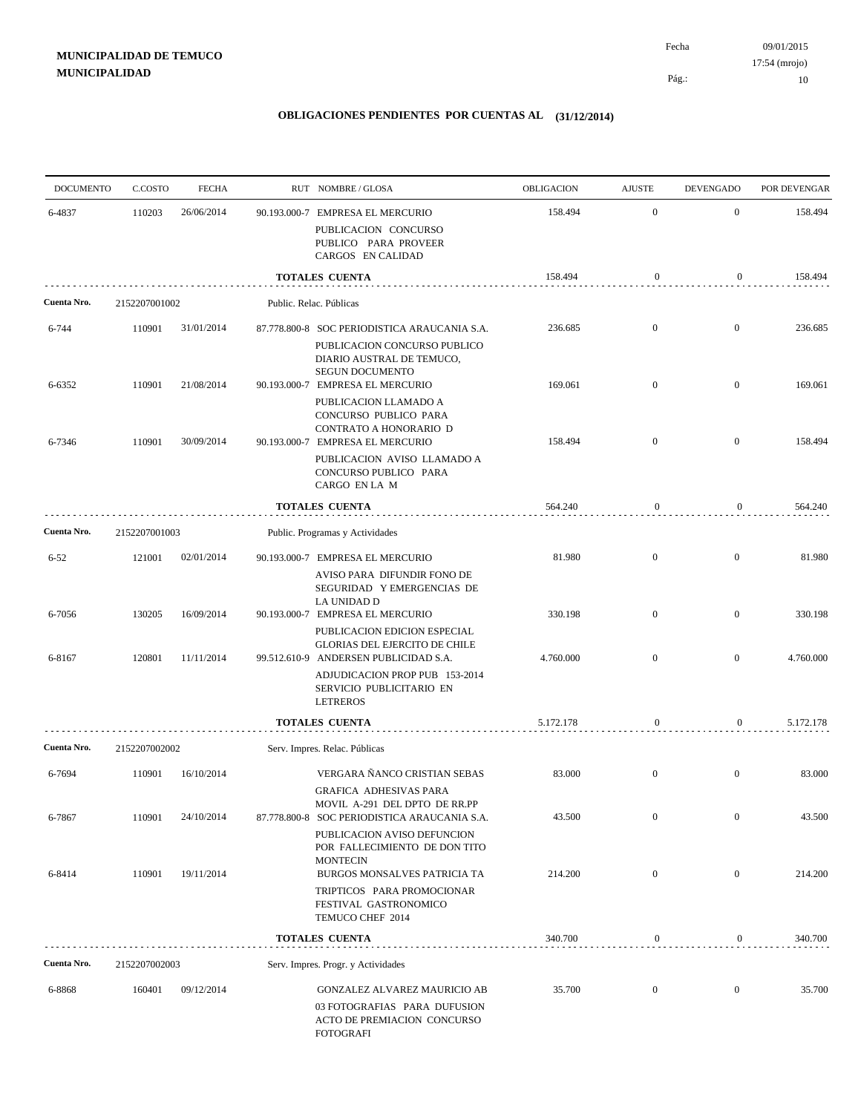| <b>DOCUMENTO</b> | C.COSTO       | <b>FECHA</b> | RUT NOMBRE/GLOSA                                                                                                                            | OBLIGACION | <b>AJUSTE</b>    | <b>DEVENGADO</b> | POR DEVENGAR |
|------------------|---------------|--------------|---------------------------------------------------------------------------------------------------------------------------------------------|------------|------------------|------------------|--------------|
| 6-4837           | 110203        | 26/06/2014   | 90.193.000-7 EMPRESA EL MERCURIO<br>PUBLICACION CONCURSO                                                                                    | 158.494    | $\mathbf{0}$     | $\mathbf{0}$     | 158.494      |
|                  |               |              | PUBLICO PARA PROVEER<br>CARGOS EN CALIDAD                                                                                                   |            |                  |                  |              |
|                  |               |              | <b>TOTALES CUENTA</b>                                                                                                                       | 158.494    | $\boldsymbol{0}$ | 0                | 158.494      |
| Cuenta Nro.      | 2152207001002 |              | Public. Relac. Públicas                                                                                                                     |            |                  |                  |              |
| 6-744            | 110901        | 31/01/2014   | 87.778.800-8 SOC PERIODISTICA ARAUCANIA S.A.<br>PUBLICACION CONCURSO PUBLICO<br>DIARIO AUSTRAL DE TEMUCO,<br><b>SEGUN DOCUMENTO</b>         | 236.685    | $\mathbf{0}$     | $\overline{0}$   | 236.685      |
| 6-6352           | 110901        | 21/08/2014   | 90.193.000-7 EMPRESA EL MERCURIO<br>PUBLICACION LLAMADO A<br>CONCURSO PUBLICO PARA                                                          | 169.061    | $\mathbf{0}$     | $\overline{0}$   | 169.061      |
| 6-7346           | 110901        | 30/09/2014   | CONTRATO A HONORARIO D<br>90.193.000-7 EMPRESA EL MERCURIO<br>PUBLICACION AVISO LLAMADO A<br>CONCURSO PUBLICO PARA<br>CARGO EN LA M         | 158.494    | $\overline{0}$   | $\overline{0}$   | 158.494      |
|                  |               |              | <b>TOTALES CUENTA</b>                                                                                                                       | 564.240    | $\boldsymbol{0}$ | $\mathbf{0}$     | 564.240      |
| Cuenta Nro.      | 2152207001003 |              | Public. Programas y Actividades                                                                                                             |            |                  |                  |              |
| $6 - 52$         | 121001        | 02/01/2014   | 90.193.000-7 EMPRESA EL MERCURIO<br>AVISO PARA DIFUNDIR FONO DE<br>SEGURIDAD Y EMERGENCIAS DE                                               | 81.980     | $\mathbf{0}$     | $\overline{0}$   | 81.980       |
| 6-7056           | 130205        | 16/09/2014   | LA UNIDAD D<br>90.193.000-7 EMPRESA EL MERCURIO<br>PUBLICACION EDICION ESPECIAL                                                             | 330.198    | $\mathbf{0}$     | $\mathbf{0}$     | 330.198      |
| 6-8167           | 120801        | 11/11/2014   | <b>GLORIAS DEL EJERCITO DE CHILE</b><br>99.512.610-9 ANDERSEN PUBLICIDAD S.A.<br>ADJUDICACION PROP PUB 153-2014<br>SERVICIO PUBLICITARIO EN | 4.760.000  | $\overline{0}$   | $\mathbf{0}$     | 4.760.000    |
|                  |               |              | <b>LETREROS</b>                                                                                                                             |            |                  |                  |              |
| Cuenta Nro.      | 2152207002002 |              | <b>TOTALES CUENTA</b><br>Serv. Impres. Relac. Públicas                                                                                      | 5.172.178  | $\mathbf{0}$     | $\overline{0}$   | 5.172.178    |
| 6-7694           | 110901        | 16/10/2014   | VERGARA ÑANCO CRISTIAN SEBAS<br><b>GRAFICA ADHESIVAS PARA</b>                                                                               | 83.000     | $\mathbf{0}$     | $\mathbf{0}$     | 83.000       |
| 6-7867           | 110901        | 24/10/2014   | MOVIL A-291 DEL DPTO DE RR.PP<br>87.778.800-8 SOC PERIODISTICA ARAUCANIA S.A.<br>PUBLICACION AVISO DEFUNCION                                | 43.500     | $\mathbf{0}$     | $\overline{0}$   | 43.500       |
| 6-8414           | 110901        | 19/11/2014   | POR FALLECIMIENTO DE DON TITO<br><b>MONTECIN</b><br>BURGOS MONSALVES PATRICIA TA                                                            | 214.200    | $\mathbf{0}$     | $\overline{0}$   | 214.200      |
|                  |               |              | TRIPTICOS PARA PROMOCIONAR<br>FESTIVAL GASTRONOMICO<br>TEMUCO CHEF 2014                                                                     |            |                  |                  |              |
|                  |               |              | <b>TOTALES CUENTA</b>                                                                                                                       | 340.700    | 0                | 0                | 340.700      |
| Cuenta Nro.      | 2152207002003 |              | Serv. Impres. Progr. y Actividades                                                                                                          |            |                  |                  |              |
| 6-8868           | 160401        | 09/12/2014   | GONZALEZ ALVAREZ MAURICIO AB<br>03 FOTOGRAFIAS PARA DUFUSION<br>ACTO DE PREMIACION CONCURSO<br><b>FOTOGRAFI</b>                             | 35.700     | $\mathbf{0}$     | $\overline{0}$   | 35.700       |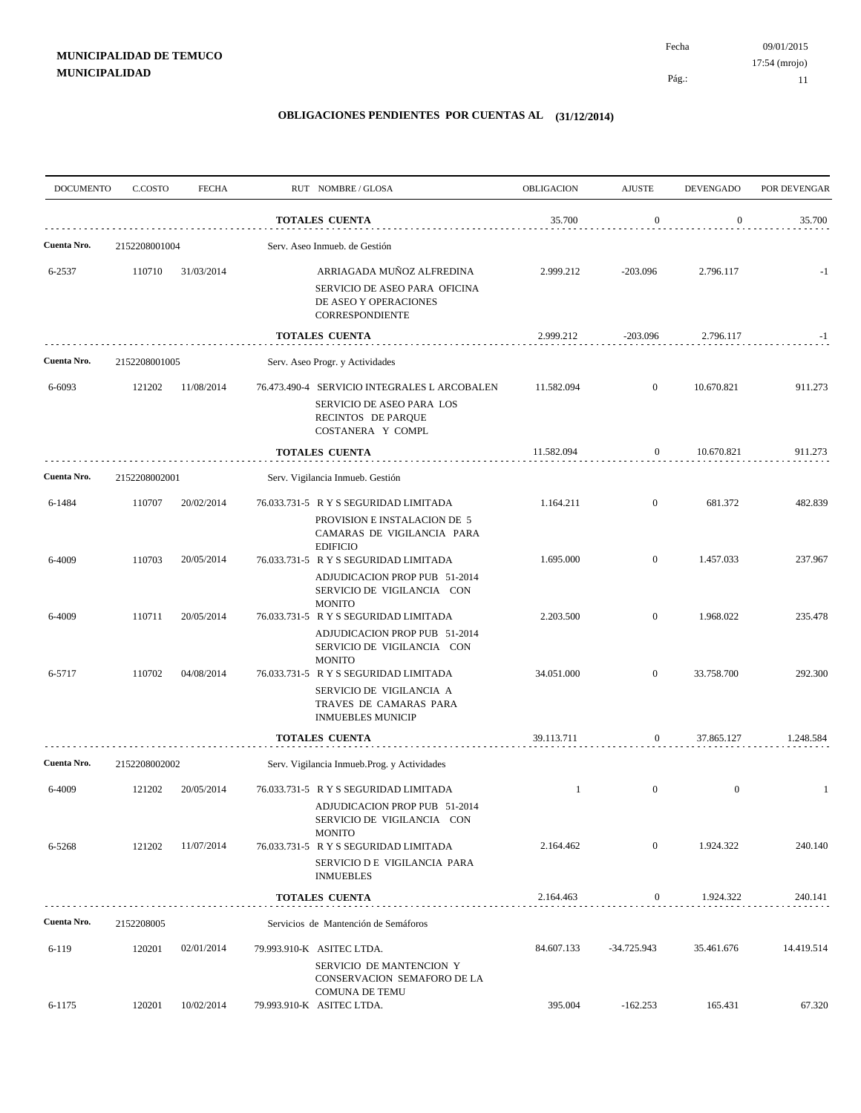| <b>DOCUMENTO</b> | C.COSTO       | <b>FECHA</b> | RUT NOMBRE/GLOSA                                                                                                        | <b>OBLIGACION</b> | <b>AJUSTE</b>    | <b>DEVENGADO</b> | POR DEVENGAR |
|------------------|---------------|--------------|-------------------------------------------------------------------------------------------------------------------------|-------------------|------------------|------------------|--------------|
|                  |               |              | <b>TOTALES CUENTA</b>                                                                                                   | 35.700            | $\boldsymbol{0}$ | $\boldsymbol{0}$ | 35.700       |
| Cuenta Nro.      | 2152208001004 |              | Serv. Aseo Inmueb. de Gestión                                                                                           |                   |                  |                  |              |
| 6-2537           | 110710        | 31/03/2014   | ARRIAGADA MUÑOZ ALFREDINA<br>SERVICIO DE ASEO PARA OFICINA<br>DE ASEO Y OPERACIONES<br>CORRESPONDIENTE                  | 2.999.212         | $-203.096$       | 2.796.117        | $-1$         |
|                  |               |              | <b>TOTALES CUENTA</b>                                                                                                   | 2.999.212         | $-203.096$       | 2.796.117        | $-1$         |
| Cuenta Nro.      | 2152208001005 |              | Serv. Aseo Progr. y Actividades                                                                                         |                   |                  |                  |              |
| 6-6093           | 121202        | 11/08/2014   | 76.473.490-4 SERVICIO INTEGRALES L ARCOBALEN<br>SERVICIO DE ASEO PARA LOS<br>RECINTOS DE PARQUE<br>COSTANERA Y COMPL    | 11.582.094        | $\overline{0}$   | 10.670.821       | 911.273      |
|                  |               |              | <b>TOTALES CUENTA</b>                                                                                                   | 11.582.094        | $\boldsymbol{0}$ | 10.670.821       | 911.273      |
| Cuenta Nro.      | 2152208002001 |              | Serv. Vigilancia Inmueb. Gestión                                                                                        |                   |                  |                  |              |
| 6-1484           | 110707        | 20/02/2014   | 76.033.731-5 R Y S SEGURIDAD LIMITADA<br>PROVISION E INSTALACION DE 5<br>CAMARAS DE VIGILANCIA PARA<br><b>EDIFICIO</b>  | 1.164.211         | $\mathbf{0}$     | 681.372          | 482.839      |
| 6-4009           | 110703        | 20/05/2014   | 76.033.731-5 R Y S SEGURIDAD LIMITADA<br>ADJUDICACION PROP PUB 51-2014<br>SERVICIO DE VIGILANCIA CON<br><b>MONITO</b>   | 1.695.000         | $\overline{0}$   | 1.457.033        | 237.967      |
| 6-4009           | 110711        | 20/05/2014   | 76.033.731-5 R Y S SEGURIDAD LIMITADA<br>ADJUDICACION PROP PUB 51-2014<br>SERVICIO DE VIGILANCIA CON<br><b>MONITO</b>   | 2.203.500         | $\overline{0}$   | 1.968.022        | 235.478      |
| 6-5717           | 110702        | 04/08/2014   | 76.033.731-5 R Y S SEGURIDAD LIMITADA<br>SERVICIO DE VIGILANCIA A<br>TRAVES DE CAMARAS PARA<br><b>INMUEBLES MUNICIP</b> | 34.051.000        | $\overline{0}$   | 33.758.700       | 292.300      |
|                  |               |              | <b>TOTALES CUENTA</b>                                                                                                   | 39.113.711        | $\mathbf{0}$     | 37.865.127       | 1.248.584    |
| Cuenta Nro.      | 2152208002002 |              | Serv. Vigilancia Inmueb.Prog. y Actividades                                                                             |                   |                  |                  |              |
| 6-4009           | 121202        | 20/05/2014   | 76.033.731-5 R Y S SEGURIDAD LIMITADA<br>ADJUDICACION PROP PUB 51-2014<br>SERVICIO DE VIGILANCIA CON                    | 1                 | $\overline{0}$   | $\overline{0}$   | -1           |
| 6-5268           | 121202        | 11/07/2014   | <b>MONITO</b><br>76.033.731-5 R Y S SEGURIDAD LIMITADA<br>SERVICIO D E VIGILANCIA PARA<br><b>INMUEBLES</b>              | 2.164.462         | $\mathbf{0}$     | 1.924.322        | 240.140      |
|                  |               |              | <b>TOTALES CUENTA</b>                                                                                                   | 2.164.463         | $\overline{0}$   | 1.924.322        | 240.141      |
| Cuenta Nro.      | 2152208005    |              | Servicios de Mantención de Semáforos                                                                                    |                   |                  |                  |              |
| $6 - 119$        | 120201        | 02/01/2014   | 79.993.910-K ASITEC LTDA.<br>SERVICIO DE MANTENCION Y<br>CONSERVACION SEMAFORO DE LA<br><b>COMUNA DE TEMU</b>           | 84.607.133        | $-34.725.943$    | 35.461.676       | 14.419.514   |
| 6-1175           | 120201        | 10/02/2014   | 79.993.910-K ASITEC LTDA.                                                                                               | 395.004           | $-162.253$       | 165.431          | 67.320       |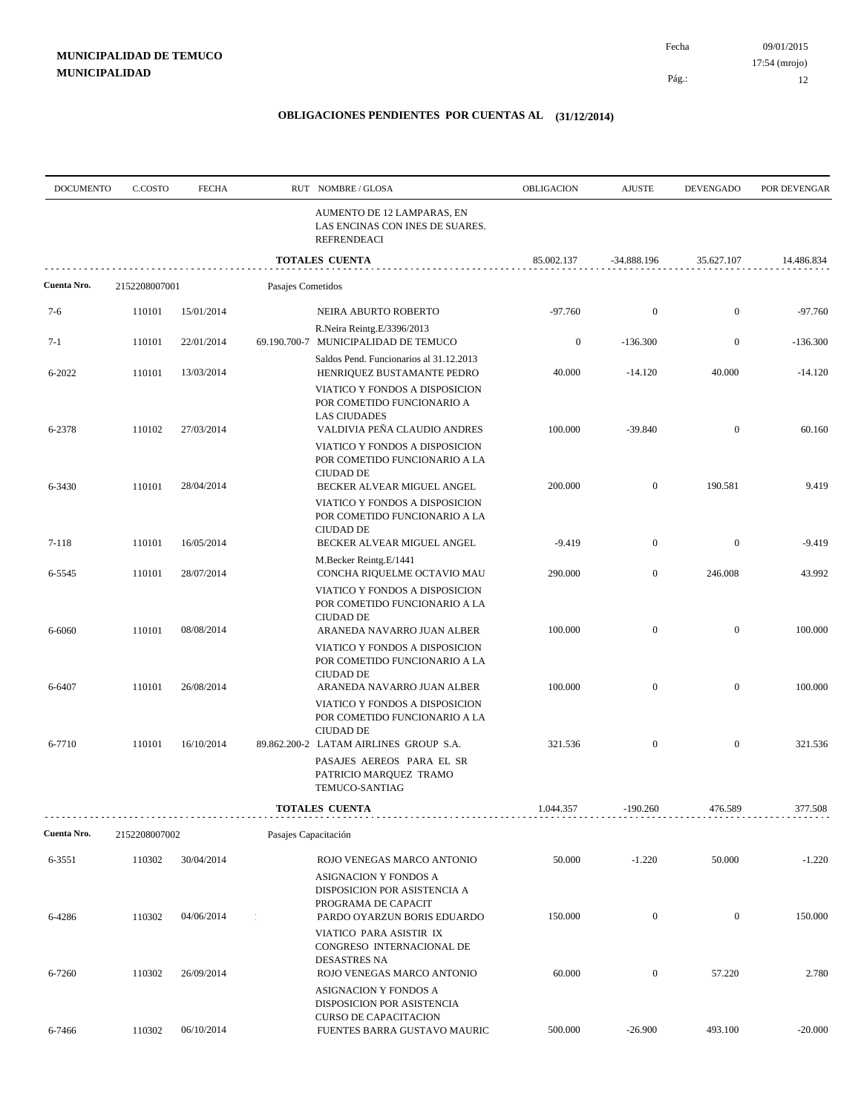Pág.: Fecha

| <b>DOCUMENTO</b> | C.COSTO       | <b>FECHA</b> |                      | RUT NOMBRE/GLOSA                                                                               | <b>OBLIGACION</b> | <b>AJUSTE</b>    | <b>DEVENGADO</b> | POR DEVENGAR |
|------------------|---------------|--------------|----------------------|------------------------------------------------------------------------------------------------|-------------------|------------------|------------------|--------------|
|                  |               |              |                      | AUMENTO DE 12 LAMPARAS, EN<br>LAS ENCINAS CON INES DE SUARES.<br><b>REFRENDEACI</b>            |                   |                  |                  |              |
|                  |               |              |                      | <b>TOTALES CUENTA</b>                                                                          | 85.002.137        | $-34.888.196$    | 35.627.107       | 14.486.834   |
| Cuenta Nro.      | 2152208007001 |              | Pasajes Cometidos    |                                                                                                |                   |                  |                  |              |
| $7-6$            | 110101        | 15/01/2014   |                      | NEIRA ABURTO ROBERTO                                                                           | $-97.760$         | $\boldsymbol{0}$ | $\mathbf{0}$     | $-97.760$    |
|                  |               |              |                      | R.Neira Reintg.E/3396/2013                                                                     |                   |                  |                  |              |
| $7-1$            | 110101        | 22/01/2014   |                      | 69.190.700-7 MUNICIPALIDAD DE TEMUCO                                                           | $\boldsymbol{0}$  | $-136.300$       | $\boldsymbol{0}$ | $-136.300$   |
| 6-2022           | 110101        | 13/03/2014   |                      | Saldos Pend. Funcionarios al 31.12.2013<br>HENRIQUEZ BUSTAMANTE PEDRO                          | 40.000            | $-14.120$        | 40.000           | $-14.120$    |
|                  |               |              |                      | VIATICO Y FONDOS A DISPOSICION<br>POR COMETIDO FUNCIONARIO A<br><b>LAS CIUDADES</b>            |                   |                  |                  |              |
| 6-2378           | 110102        | 27/03/2014   |                      | VALDIVIA PEÑA CLAUDIO ANDRES                                                                   | 100.000           | $-39.840$        | $\mathbf{0}$     | 60.160       |
|                  |               |              |                      | VIATICO Y FONDOS A DISPOSICION<br>POR COMETIDO FUNCIONARIO A LA<br><b>CIUDAD DE</b>            |                   |                  |                  |              |
| 6-3430           | 110101        | 28/04/2014   |                      | BECKER ALVEAR MIGUEL ANGEL                                                                     | 200.000           | $\mathbf{0}$     | 190.581          | 9.419        |
|                  |               |              |                      | VIATICO Y FONDOS A DISPOSICION<br>POR COMETIDO FUNCIONARIO A LA<br><b>CIUDAD DE</b>            |                   |                  |                  |              |
| 7-118            | 110101        | 16/05/2014   |                      | BECKER ALVEAR MIGUEL ANGEL                                                                     | $-9.419$          | $\mathbf{0}$     | $\mathbf{0}$     | $-9.419$     |
|                  |               |              |                      | M.Becker Reintg.E/1441                                                                         |                   |                  |                  |              |
| 6-5545           | 110101        | 28/07/2014   |                      | CONCHA RIQUELME OCTAVIO MAU<br>VIATICO Y FONDOS A DISPOSICION<br>POR COMETIDO FUNCIONARIO A LA | 290.000           | $\mathbf{0}$     | 246.008          | 43.992       |
| 6-6060           | 110101        | 08/08/2014   |                      | <b>CIUDAD DE</b><br>ARANEDA NAVARRO JUAN ALBER                                                 | 100.000           | $\mathbf{0}$     | $\mathbf{0}$     | 100.000      |
|                  |               |              |                      | VIATICO Y FONDOS A DISPOSICION<br>POR COMETIDO FUNCIONARIO A LA<br><b>CIUDAD DE</b>            |                   |                  |                  |              |
| 6-6407           | 110101        | 26/08/2014   |                      | ARANEDA NAVARRO JUAN ALBER                                                                     | 100.000           | $\mathbf{0}$     | $\mathbf{0}$     | 100.000      |
|                  |               |              |                      | VIATICO Y FONDOS A DISPOSICION<br>POR COMETIDO FUNCIONARIO A LA<br><b>CIUDAD DE</b>            |                   |                  |                  |              |
| 6-7710           | 110101        | 16/10/2014   |                      | 89.862.200-2 LATAM AIRLINES GROUP S.A.                                                         | 321.536           | $\mathbf{0}$     | $\mathbf{0}$     | 321.536      |
|                  |               |              |                      | PASAJES AEREOS PARA EL SR<br>PATRICIO MARQUEZ TRAMO<br>TEMUCO-SANTIAG                          |                   |                  |                  |              |
|                  |               |              |                      | TOTALES CUENTA                                                                                 | 1.044.357         | $-190.260$       | 476.589          | 377.508      |
| Cuenta Nro.      | 2152208007002 |              | Pasajes Capacitación |                                                                                                |                   |                  |                  |              |
| 6-3551           | 110302        | 30/04/2014   |                      | ROJO VENEGAS MARCO ANTONIO                                                                     | 50.000            | $-1.220$         | 50.000           | $-1.220$     |
|                  |               |              |                      | ASIGNACION Y FONDOS A<br>DISPOSICION POR ASISTENCIA A<br>PROGRAMA DE CAPACIT                   |                   |                  |                  |              |
| 6-4286           | 110302        | 04/06/2014   |                      | PARDO OYARZUN BORIS EDUARDO<br>VIATICO PARA ASISTIR IX<br>CONGRESO INTERNACIONAL DE            | 150.000           | $\boldsymbol{0}$ | $\boldsymbol{0}$ | 150.000      |
|                  |               |              |                      | <b>DESASTRES NA</b>                                                                            |                   |                  |                  |              |
| 6-7260           | 110302        | 26/09/2014   |                      | ROJO VENEGAS MARCO ANTONIO<br>ASIGNACION Y FONDOS A<br>DISPOSICION POR ASISTENCIA              | 60.000            | $\boldsymbol{0}$ | 57.220           | 2.780        |
| 6-7466           | 110302        | 06/10/2014   |                      | <b>CURSO DE CAPACITACION</b><br>FUENTES BARRA GUSTAVO MAURIC                                   | 500.000           | $-26.900$        | 493.100          | $-20.000$    |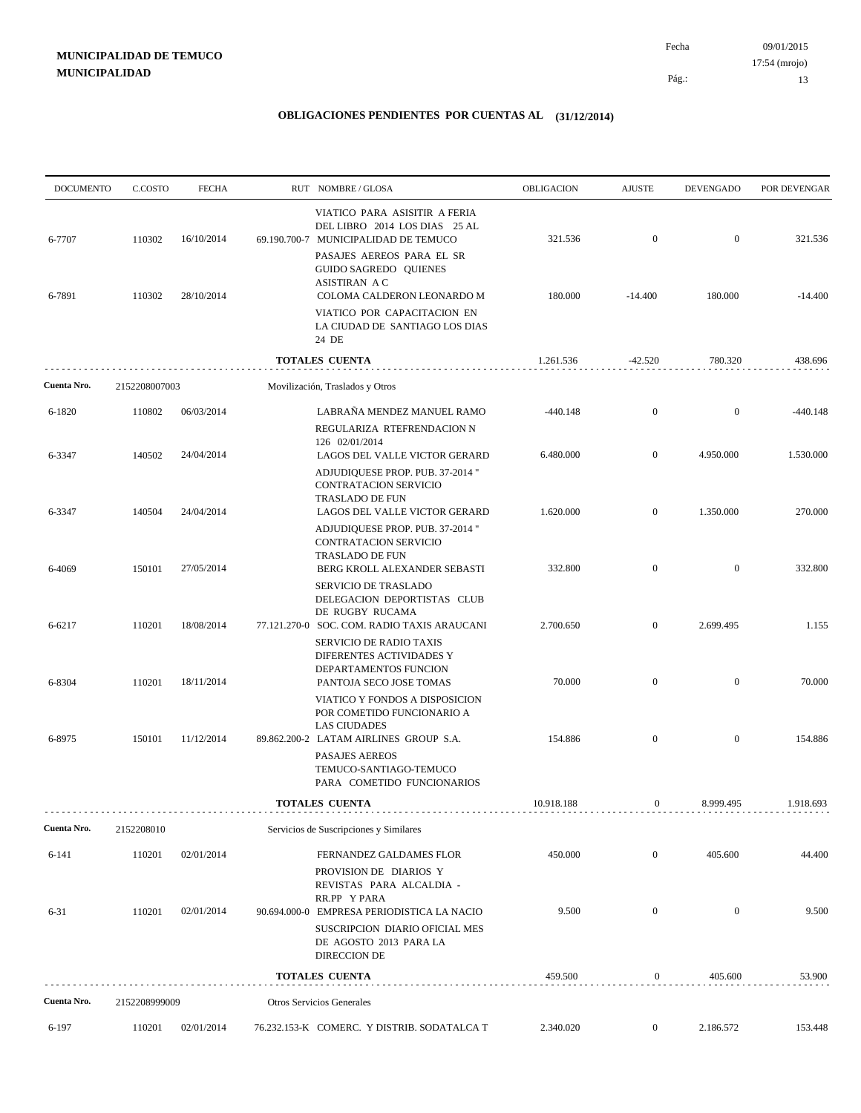09/01/2015 13 Pág.: Fecha 17:54 (mrojo)

| <b>DOCUMENTO</b> | C.COSTO       | <b>FECHA</b> | RUT NOMBRE/GLOSA                                                                                                                                             | OBLIGACION | <b>AJUSTE</b>    | <b>DEVENGADO</b> | POR DEVENGAR |
|------------------|---------------|--------------|--------------------------------------------------------------------------------------------------------------------------------------------------------------|------------|------------------|------------------|--------------|
| 6-7707           | 110302        | 16/10/2014   | VIATICO PARA ASISITIR A FERIA<br>DEL LIBRO 2014 LOS DIAS 25 AL<br>69.190.700-7 MUNICIPALIDAD DE TEMUCO<br>PASAJES AEREOS PARA EL SR<br>GUIDO SAGREDO QUIENES | 321.536    | $\mathbf{0}$     | $\mathbf{0}$     | 321.536      |
| 6-7891           | 110302        | 28/10/2014   | <b>ASISTIRAN A C</b><br>COLOMA CALDERON LEONARDO M<br>VIATICO POR CAPACITACION EN<br>LA CIUDAD DE SANTIAGO LOS DIAS<br>24 DE                                 | 180.000    | $-14.400$        | 180.000          | $-14.400$    |
|                  |               |              | <b>TOTALES CUENTA</b>                                                                                                                                        | 1.261.536  | $-42.520$        | 780.320          | 438.696      |
| Cuenta Nro.      | 2152208007003 |              | Movilización, Traslados y Otros                                                                                                                              |            |                  |                  |              |
| 6-1820           | 110802        | 06/03/2014   | LABRAÑA MENDEZ MANUEL RAMO<br>REGULARIZA RTEFRENDACION N                                                                                                     | -440.148   | $\boldsymbol{0}$ | $\mathbf{0}$     | $-440.148$   |
| 6-3347           | 140502        | 24/04/2014   | 126 02/01/2014<br>LAGOS DEL VALLE VICTOR GERARD<br>ADJUDIQUESE PROP. PUB. 37-2014 "<br>CONTRATACION SERVICIO                                                 | 6.480.000  | $\mathbf{0}$     | 4.950.000        | 1.530.000    |
| 6-3347           | 140504        | 24/04/2014   | TRASLADO DE FUN<br>LAGOS DEL VALLE VICTOR GERARD<br>ADJUDIQUESE PROP. PUB. 37-2014 "<br>CONTRATACION SERVICIO<br>TRASLADO DE FUN                             | 1.620.000  | $\boldsymbol{0}$ | 1.350.000        | 270.000      |
| 6-4069           | 150101        | 27/05/2014   | BERG KROLL ALEXANDER SEBASTI<br>SERVICIO DE TRASLADO<br>DELEGACION DEPORTISTAS CLUB                                                                          | 332.800    | $\mathbf{0}$     | $\mathbf{0}$     | 332.800      |
| 6-6217           | 110201        | 18/08/2014   | DE RUGBY RUCAMA<br>77.121.270-0 SOC. COM. RADIO TAXIS ARAUCANI<br>SERVICIO DE RADIO TAXIS                                                                    | 2.700.650  | $\mathbf{0}$     | 2.699.495        | 1.155        |
| 6-8304           | 110201        | 18/11/2014   | DIFERENTES ACTIVIDADES Y<br>DEPARTAMENTOS FUNCION<br>PANTOJA SECO JOSE TOMAS                                                                                 | 70.000     | $\mathbf{0}$     | $\mathbf{0}$     | 70.000       |
| 6-8975           | 150101        | 11/12/2014   | VIATICO Y FONDOS A DISPOSICION<br>POR COMETIDO FUNCIONARIO A<br><b>LAS CIUDADES</b><br>89.862.200-2 LATAM AIRLINES GROUP S.A.                                | 154.886    | $\mathbf{0}$     | $\mathbf{0}$     | 154.886      |
|                  |               |              | <b>PASAJES AEREOS</b><br>TEMUCO-SANTIAGO-TEMUCO<br>PARA COMETIDO FUNCIONARIOS                                                                                |            |                  |                  |              |
|                  |               |              | <b>TOTALES CUENTA</b>                                                                                                                                        | 10.918.188 | $\mathbf{0}$     | 8.999.495        | 1.918.693    |
| Cuenta Nro.      | 2152208010    |              | Servicios de Suscripciones y Similares                                                                                                                       |            |                  |                  |              |
| $6 - 141$        | 110201        | 02/01/2014   | FERNANDEZ GALDAMES FLOR<br>PROVISION DE DIARIOS Y<br>REVISTAS PARA ALCALDIA -                                                                                | 450.000    | $\mathbf{0}$     | 405.600          | 44.400       |
| $6 - 31$         | 110201        | 02/01/2014   | RR.PP Y PARA<br>90.694.000-0 EMPRESA PERIODISTICA LA NACIO<br>SUSCRIPCION DIARIO OFICIAL MES<br>DE AGOSTO 2013 PARA LA<br><b>DIRECCION DE</b>                | 9.500      | $\boldsymbol{0}$ | $\mathbf{0}$     | 9.500        |
|                  |               |              | <b>TOTALES CUENTA</b>                                                                                                                                        | 459.500    | $\bf{0}$         | 405.600          | 53.900       |
| Cuenta Nro.      | 2152208999009 |              | Otros Servicios Generales                                                                                                                                    |            |                  |                  |              |
| 6-197            | 110201        | 02/01/2014   | 76.232.153-K COMERC. Y DISTRIB. SODATALCA T                                                                                                                  | 2.340.020  | $\mathbf{0}$     | 2.186.572        | 153.448      |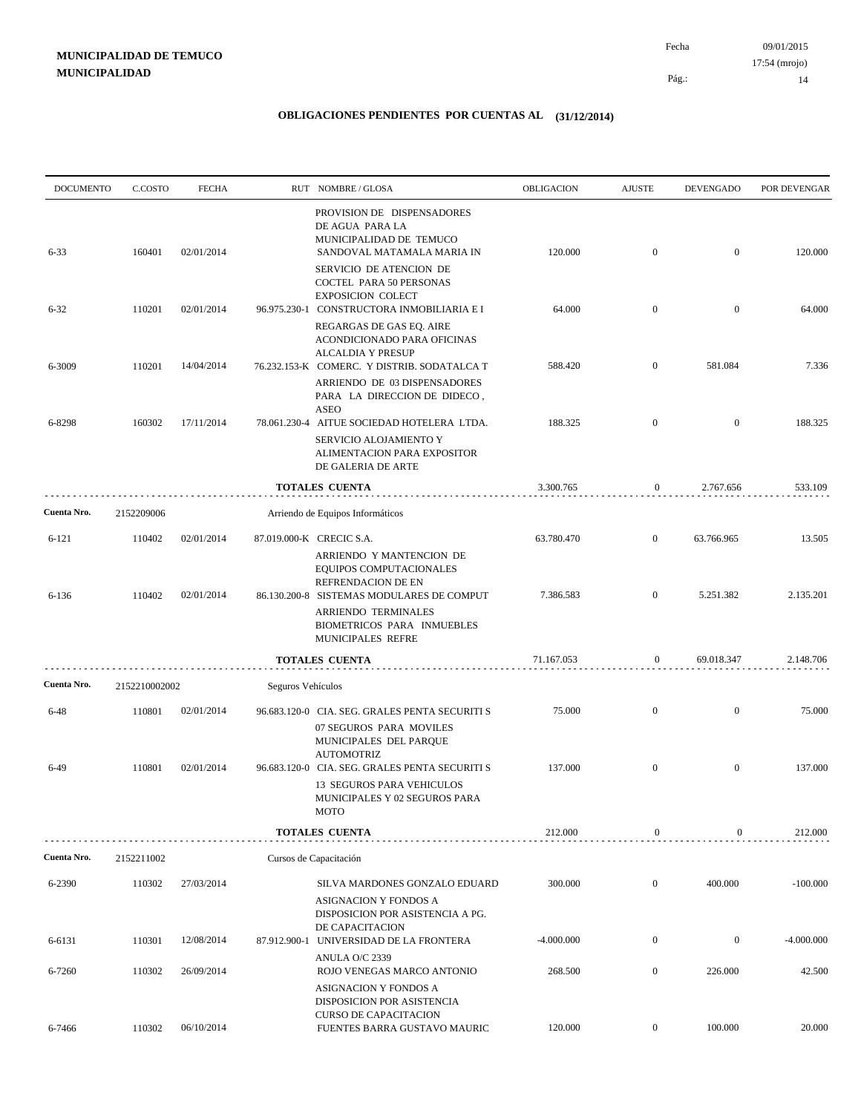| <b>DOCUMENTO</b> | C.COSTO       | <b>FECHA</b> |                   | RUT NOMBRE/GLOSA                                                                                                    | OBLIGACION   | <b>AJUSTE</b>    | <b>DEVENGADO</b> | POR DEVENGAR |
|------------------|---------------|--------------|-------------------|---------------------------------------------------------------------------------------------------------------------|--------------|------------------|------------------|--------------|
| $6 - 33$         | 160401        | 02/01/2014   |                   | PROVISION DE DISPENSADORES<br>DE AGUA PARA LA<br>MUNICIPALIDAD DE TEMUCO<br>SANDOVAL MATAMALA MARIA IN              | 120.000      | $\mathbf{0}$     | $\overline{0}$   | 120.000      |
|                  |               |              |                   | SERVICIO DE ATENCION DE<br>COCTEL PARA 50 PERSONAS<br><b>EXPOSICION COLECT</b>                                      |              |                  |                  |              |
| $6 - 32$         | 110201        | 02/01/2014   |                   | 96.975.230-1 CONSTRUCTORA INMOBILIARIA E I<br>REGARGAS DE GAS EQ. AIRE                                              | 64.000       | $\mathbf{0}$     | $\mathbf{0}$     | 64.000       |
| 6-3009           | 110201        | 14/04/2014   |                   | ACONDICIONADO PARA OFICINAS<br><b>ALCALDIA Y PRESUP</b><br>76.232.153-K COMERC. Y DISTRIB. SODATALCA T              | 588.420      | $\mathbf{0}$     | 581.084          | 7.336        |
|                  |               |              |                   | ARRIENDO DE 03 DISPENSADORES<br>PARA LA DIRECCION DE DIDECO,<br><b>ASEO</b>                                         |              |                  |                  |              |
| 6-8298           | 160302        | 17/11/2014   |                   | 78.061.230-4 AITUE SOCIEDAD HOTELERA LTDA.<br>SERVICIO ALOJAMIENTO Y                                                | 188.325      | $\mathbf{0}$     | $\overline{0}$   | 188.325      |
|                  |               |              |                   | ALIMENTACION PARA EXPOSITOR<br>DE GALERIA DE ARTE                                                                   |              |                  |                  |              |
|                  |               |              |                   | TOTALES CUENTA                                                                                                      | 3.300.765    | $\boldsymbol{0}$ | 2.767.656        | 533.109      |
| Cuenta Nro.      | 2152209006    |              |                   | Arriendo de Equipos Informáticos                                                                                    |              |                  |                  |              |
| $6 - 121$        | 110402        | 02/01/2014   |                   | 87.019.000-K CRECIC S.A.<br>ARRIENDO Y MANTENCION DE<br>EQUIPOS COMPUTACIONALES<br>REFRENDACION DE EN               | 63.780.470   | $\mathbf{0}$     | 63.766.965       | 13.505       |
| 6-136            | 110402        | 02/01/2014   |                   | 86.130.200-8 SISTEMAS MODULARES DE COMPUT<br>ARRIENDO TERMINALES<br>BIOMETRICOS PARA INMUEBLES<br>MUNICIPALES REFRE | 7.386.583    | $\overline{0}$   | 5.251.382        | 2.135.201    |
|                  |               |              |                   | <b>TOTALES CUENTA</b>                                                                                               | 71.167.053   | $\mathbf{0}$     | 69.018.347       | 2.148.706    |
| Cuenta Nro.      | 2152210002002 |              | Seguros Vehículos |                                                                                                                     |              |                  |                  |              |
| $6 - 48$         | 110801        | 02/01/2014   |                   | 96.683.120-0 CIA. SEG. GRALES PENTA SECURITI S<br>07 SEGUROS PARA MOVILES                                           | 75.000       | $\mathbf{0}$     | $\mathbf{0}$     | 75.000       |
| $6-49$           | 110801        | 02/01/2014   |                   | MUNICIPALES DEL PARQUE<br><b>AUTOMOTRIZ</b><br>96.683.120-0 CIA. SEG. GRALES PENTA SECURITI S                       | 137.000      | $\mathbf{0}$     | $\mathbf{0}$     | 137.000      |
|                  |               |              |                   | 13 SEGUROS PARA VEHICULOS<br>MUNICIPALES Y 02 SEGUROS PARA<br><b>MOTO</b>                                           |              |                  |                  |              |
|                  |               |              |                   | <b>TOTALES CUENTA</b>                                                                                               | 212.000      | $\boldsymbol{0}$ | $\overline{0}$   | 212.000      |
| Cuenta Nro.      | 2152211002    |              |                   | Cursos de Capacitación                                                                                              |              |                  |                  |              |
| 6-2390           | 110302        | 27/03/2014   |                   | SILVA MARDONES GONZALO EDUARD<br>ASIGNACION Y FONDOS A<br>DISPOSICION POR ASISTENCIA A PG.<br>DE CAPACITACION       | 300.000      | $\mathbf{0}$     | 400.000          | $-100.000$   |
| 6-6131           | 110301        | 12/08/2014   |                   | 87.912.900-1 UNIVERSIDAD DE LA FRONTERA<br>ANULA O/C 2339                                                           | $-4.000.000$ | $\boldsymbol{0}$ | $\boldsymbol{0}$ | $-4.000.000$ |
| 6-7260           | 110302        | 26/09/2014   |                   | ROJO VENEGAS MARCO ANTONIO<br>ASIGNACION Y FONDOS A                                                                 | 268.500      | $\mathbf{0}$     | 226.000          | 42.500       |
| 6-7466           | 110302        | 06/10/2014   |                   | DISPOSICION POR ASISTENCIA<br><b>CURSO DE CAPACITACION</b><br>FUENTES BARRA GUSTAVO MAURIC                          | 120.000      | $\mathbf{0}$     | 100.000          | 20.000       |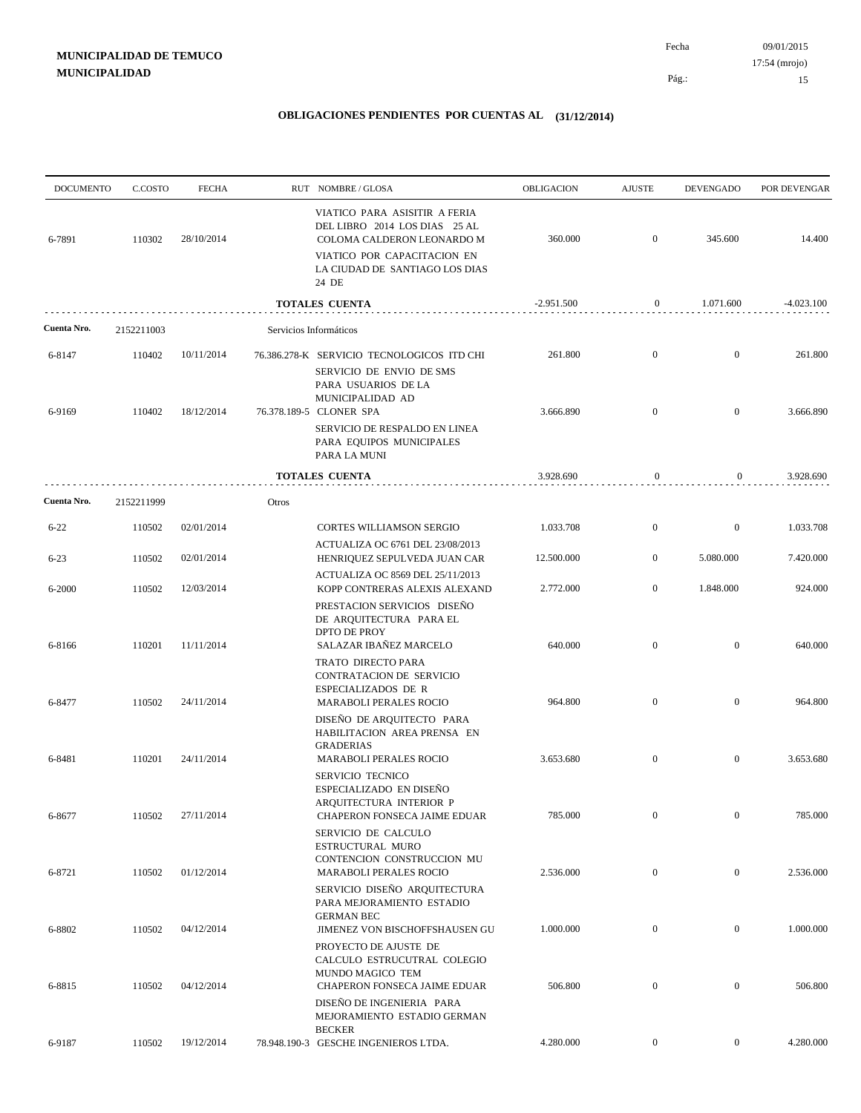09/01/2015 15 Pág.: Fecha 17:54 (mrojo)

| <b>DOCUMENTO</b> | C.COSTO          | <b>FECHA</b>             |       | RUT NOMBRE/GLOSA                                                                                                                                                            | OBLIGACION           | <b>AJUSTE</b>                    | <b>DEVENGADO</b>               | POR DEVENGAR         |
|------------------|------------------|--------------------------|-------|-----------------------------------------------------------------------------------------------------------------------------------------------------------------------------|----------------------|----------------------------------|--------------------------------|----------------------|
| 6-7891           | 110302           | 28/10/2014               |       | VIATICO PARA ASISITIR A FERIA<br>DEL LIBRO 2014 LOS DIAS 25 AL<br>COLOMA CALDERON LEONARDO M<br>VIATICO POR CAPACITACION EN<br>LA CIUDAD DE SANTIAGO LOS DIAS<br>24 DE      | 360.000              | $\mathbf{0}$                     | 345.600                        | 14.400               |
|                  |                  |                          |       | TOTALES CUENTA                                                                                                                                                              | $-2.951.500$         | $\boldsymbol{0}$                 | 1.071.600                      | $-4.023.100$         |
| Cuenta Nro.      | 2152211003       |                          |       | Servicios Informáticos                                                                                                                                                      |                      |                                  |                                |                      |
| 6-8147           | 110402           | 10/11/2014               |       | 76.386.278-K SERVICIO TECNOLOGICOS ITD CHI                                                                                                                                  | 261.800              | $\mathbf{0}$                     | $\mathbf{0}$                   | 261.800              |
| 6-9169           | 110402           | 18/12/2014               |       | SERVICIO DE ENVIO DE SMS<br>PARA USUARIOS DE LA<br>MUNICIPALIDAD AD<br>76.378.189-5 CLONER SPA<br>SERVICIO DE RESPALDO EN LINEA<br>PARA EQUIPOS MUNICIPALES<br>PARA LA MUNI | 3.666.890            | $\mathbf{0}$                     | $\mathbf{0}$                   | 3.666.890            |
|                  |                  |                          |       | <b>TOTALES CUENTA</b>                                                                                                                                                       | 3.928.690            | $\mathbf{0}$                     | $\mathbf{0}$                   | 3.928.690            |
| Cuenta Nro.      | 2152211999       |                          | Otros |                                                                                                                                                                             |                      |                                  |                                |                      |
| $6 - 22$         | 110502           | 02/01/2014               |       | CORTES WILLIAMSON SERGIO                                                                                                                                                    | 1.033.708            | $\mathbf{0}$                     | $\bf{0}$                       | 1.033.708            |
| $6 - 23$         | 110502           | 02/01/2014               |       | ACTUALIZA OC 6761 DEL 23/08/2013<br>HENRIQUEZ SEPULVEDA JUAN CAR                                                                                                            | 12.500.000           | $\overline{0}$                   | 5.080.000                      | 7.420.000            |
| 6-2000           | 110502           | 12/03/2014               |       | ACTUALIZA OC 8569 DEL 25/11/2013<br>KOPP CONTRERAS ALEXIS ALEXAND                                                                                                           | 2.772.000            | $\mathbf{0}$                     | 1.848.000                      | 924.000              |
| 6-8166           | 110201           | 11/11/2014               |       | PRESTACION SERVICIOS DISEÑO<br>DE ARQUITECTURA PARA EL<br>DPTO DE PROY<br>SALAZAR IBAÑEZ MARCELO<br>TRATO DIRECTO PARA<br>CONTRATACION DE SERVICIO<br>ESPECIALIZADOS DE R   | 640.000              | $\mathbf{0}$                     | $\mathbf{0}$                   | 640.000              |
| 6-8477           | 110502           | 24/11/2014               |       | <b>MARABOLI PERALES ROCIO</b><br>DISEÑO DE ARQUITECTO PARA<br>HABILITACION AREA PRENSA EN<br><b>GRADERIAS</b>                                                               | 964.800              | $\overline{0}$                   | $\overline{0}$                 | 964.800              |
| 6-8481<br>6-8677 | 110201<br>110502 | 24/11/2014<br>27/11/2014 |       | <b>MARABOLI PERALES ROCIO</b><br><b>SERVICIO TECNICO</b><br>ESPECIALIZADO EN DISEÑO<br>ARQUITECTURA INTERIOR P<br>CHAPERON FONSECA JAIME EDUAR                              | 3.653.680<br>785.000 | $\mathbf{0}$<br>$\boldsymbol{0}$ | $\mathbf{0}$<br>$\overline{0}$ | 3.653.680<br>785.000 |
| 6-8721           | 110502           | 01/12/2014               |       | SERVICIO DE CALCULO<br>ESTRUCTURAL MURO<br>CONTENCION CONSTRUCCION MU<br><b>MARABOLI PERALES ROCIO</b>                                                                      | 2.536.000            | $\mathbf{0}$                     | $\overline{0}$                 | 2.536.000            |
| 6-8802           | 110502           | 04/12/2014               |       | SERVICIO DISEÑO ARQUITECTURA<br>PARA MEJORAMIENTO ESTADIO<br><b>GERMAN BEC</b><br>JIMENEZ VON BISCHOFFSHAUSEN GU                                                            | 1.000.000            | $\boldsymbol{0}$                 | $\mathbf{0}$                   | 1.000.000            |
| 6-8815           | 110502           | 04/12/2014               |       | PROYECTO DE AJUSTE DE<br>CALCULO ESTRUCUTRAL COLEGIO<br>MUNDO MAGICO TEM<br>CHAPERON FONSECA JAIME EDUAR                                                                    | 506.800              | $\boldsymbol{0}$                 | $\mathbf{0}$                   | 506.800              |
|                  |                  |                          |       | DISEÑO DE INGENIERIA PARA<br>MEJORAMIENTO ESTADIO GERMAN<br><b>BECKER</b>                                                                                                   |                      |                                  |                                |                      |
| 6-9187           | 110502           | 19/12/2014               |       | 78.948.190-3 GESCHE INGENIEROS LTDA.                                                                                                                                        | 4.280.000            | $\overline{0}$                   | $\overline{0}$                 | 4.280.000            |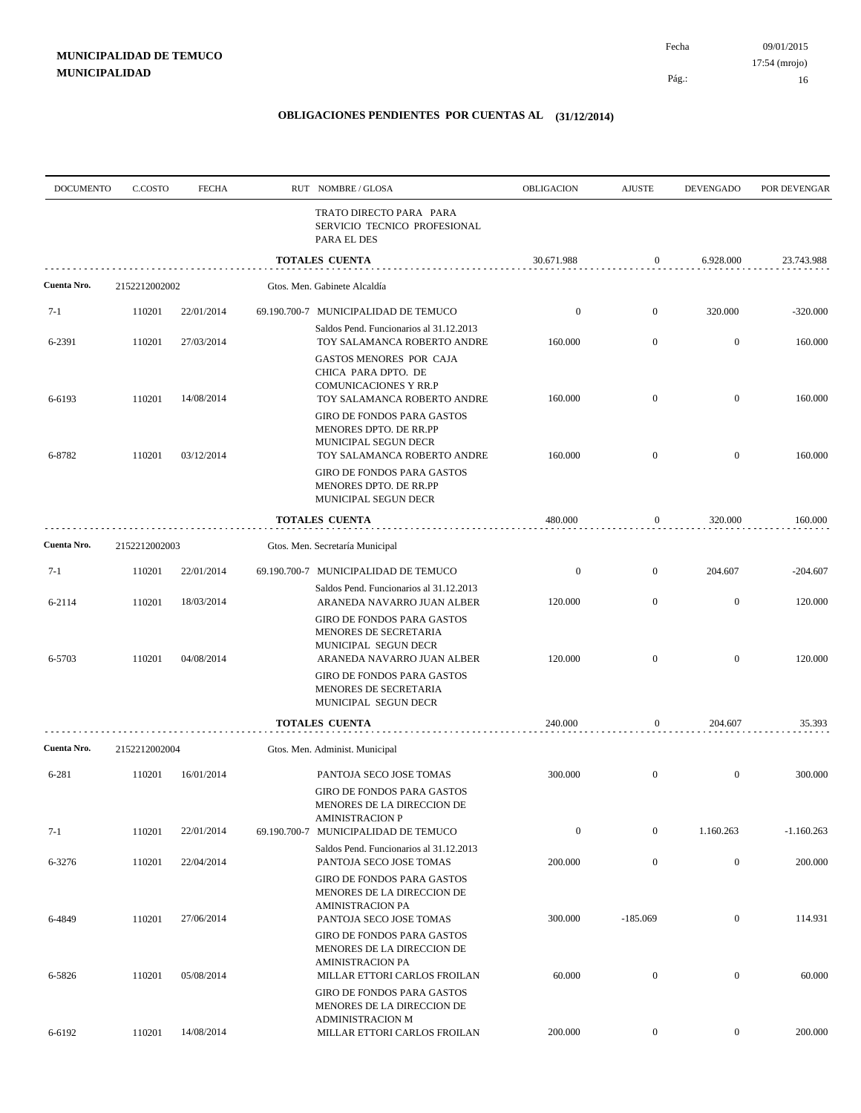09/01/2015 Fecha 17:54 (mrojo)

Pág.:

16

| <b>DOCUMENTO</b> | C.COSTO       | <b>FECHA</b> | RUT NOMBRE/GLOSA                                                                                                      | OBLIGACION       | <b>AJUSTE</b>    | <b>DEVENGADO</b> | POR DEVENGAR |
|------------------|---------------|--------------|-----------------------------------------------------------------------------------------------------------------------|------------------|------------------|------------------|--------------|
|                  |               |              | TRATO DIRECTO PARA PARA<br>SERVICIO TECNICO PROFESIONAL<br>PARA EL DES                                                |                  |                  |                  |              |
|                  |               |              | <b>TOTALES CUENTA</b>                                                                                                 | 30.671.988       | 0                | 6.928.000        | 23.743.988   |
| Cuenta Nro.      | 2152212002002 |              | Gtos. Men. Gabinete Alcaldía                                                                                          |                  |                  |                  |              |
| $7-1$            | 110201        | 22/01/2014   | 69.190.700-7 MUNICIPALIDAD DE TEMUCO                                                                                  | $\bf{0}$         | $\mathbf{0}$     | 320.000          | $-320.000$   |
| 6-2391           | 110201        | 27/03/2014   | Saldos Pend. Funcionarios al 31.12.2013<br>TOY SALAMANCA ROBERTO ANDRE                                                | 160.000          | $\boldsymbol{0}$ | $\boldsymbol{0}$ | 160.000      |
|                  |               |              | GASTOS MENORES POR CAJA<br>CHICA PARA DPTO. DE<br><b>COMUNICACIONES Y RR.P</b>                                        |                  |                  |                  |              |
| 6-6193           | 110201        | 14/08/2014   | TOY SALAMANCA ROBERTO ANDRE<br>GIRO DE FONDOS PARA GASTOS<br>MENORES DPTO. DE RR.PP                                   | 160.000          | $\mathbf{0}$     | $\mathbf{0}$     | 160.000      |
| 6-8782           | 110201        | 03/12/2014   | MUNICIPAL SEGUN DECR<br>TOY SALAMANCA ROBERTO ANDRE                                                                   | 160.000          | $\mathbf{0}$     | $\mathbf{0}$     | 160.000      |
|                  |               |              | GIRO DE FONDOS PARA GASTOS<br>MENORES DPTO. DE RR.PP<br>MUNICIPAL SEGUN DECR                                          |                  |                  |                  |              |
|                  |               |              | TOTALES CUENTA                                                                                                        | 480.000          | $\boldsymbol{0}$ | 320.000          | 160.000      |
| Cuenta Nro.      | 2152212002003 |              | Gtos. Men. Secretaría Municipal                                                                                       |                  |                  |                  |              |
| 7-1              | 110201        | 22/01/2014   | 69.190.700-7 MUNICIPALIDAD DE TEMUCO                                                                                  | $\boldsymbol{0}$ | $\mathbf{0}$     | 204.607          | $-204.607$   |
| 6-2114           | 110201        | 18/03/2014   | Saldos Pend. Funcionarios al 31.12.2013<br>ARANEDA NAVARRO JUAN ALBER                                                 | 120.000          | $\mathbf{0}$     | $\mathbf{0}$     | 120.000      |
| 6-5703           | 110201        | 04/08/2014   | GIRO DE FONDOS PARA GASTOS<br>MENORES DE SECRETARIA<br>MUNICIPAL SEGUN DECR<br>ARANEDA NAVARRO JUAN ALBER             | 120.000          | $\mathbf{0}$     | $\mathbf{0}$     | 120.000      |
|                  |               |              | GIRO DE FONDOS PARA GASTOS<br>MENORES DE SECRETARIA<br>MUNICIPAL SEGUN DECR                                           |                  |                  |                  |              |
|                  |               |              | <b>TOTALES CUENTA</b>                                                                                                 | 240.000          | 0                | 204.607          | 35.393       |
| Cuenta Nro.      | 2152212002004 |              | Gtos. Men. Administ. Municipal                                                                                        |                  |                  |                  |              |
| 6-281            | 110201        | 16/01/2014   | PANTOJA SECO JOSE TOMAS                                                                                               | 300.000          | $\mathbf{0}$     | $\mathbf{0}$     | 300.000      |
|                  |               |              | GIRO DE FONDOS PARA GASTOS<br>MENORES DE LA DIRECCION DE<br><b>AMINISTRACION P</b>                                    |                  |                  |                  |              |
| $7-1$            | 110201        | 22/01/2014   | 69.190.700-7 MUNICIPALIDAD DE TEMUCO<br>Saldos Pend. Funcionarios al 31.12.2013                                       | $\boldsymbol{0}$ | $\mathbf{0}$     | 1.160.263        | $-1.160.263$ |
| 6-3276           | 110201        | 22/04/2014   | PANTOJA SECO JOSE TOMAS                                                                                               | 200.000          | $\mathbf{0}$     | $\boldsymbol{0}$ | 200.000      |
| 6-4849           | 110201        | 27/06/2014   | <b>GIRO DE FONDOS PARA GASTOS</b><br>MENORES DE LA DIRECCION DE<br><b>AMINISTRACION PA</b><br>PANTOJA SECO JOSE TOMAS | 300.000          | $-185.069$       | $\boldsymbol{0}$ | 114.931      |
|                  |               |              | GIRO DE FONDOS PARA GASTOS<br>MENORES DE LA DIRECCION DE<br><b>AMINISTRACION PA</b>                                   |                  |                  |                  |              |
| 6-5826           | 110201        | 05/08/2014   | MILLAR ETTORI CARLOS FROILAN<br><b>GIRO DE FONDOS PARA GASTOS</b><br>MENORES DE LA DIRECCION DE                       | 60.000           | $\boldsymbol{0}$ | $\boldsymbol{0}$ | 60.000       |
| 6-6192           | 110201        | 14/08/2014   | <b>ADMINISTRACION M</b><br>MILLAR ETTORI CARLOS FROILAN                                                               | 200.000          | $\boldsymbol{0}$ | $\overline{0}$   | 200.000      |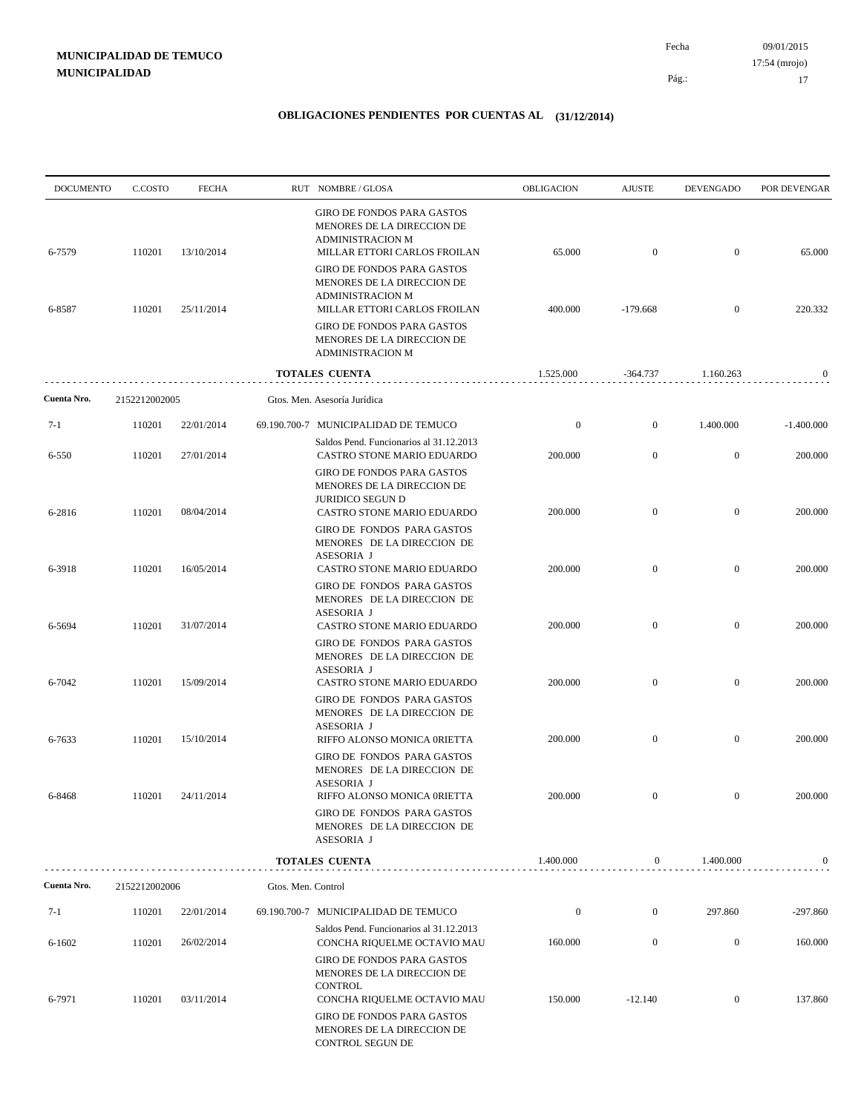| <b>DOCUMENTO</b> | C.COSTO       | <b>FECHA</b> |                    | RUT NOMBRE/GLOSA                                                                                                                                                                              | OBLIGACION       | <b>AJUSTE</b>    | <b>DEVENGADO</b> | POR DEVENGAR |
|------------------|---------------|--------------|--------------------|-----------------------------------------------------------------------------------------------------------------------------------------------------------------------------------------------|------------------|------------------|------------------|--------------|
| 6-7579           | 110201        | 13/10/2014   |                    | <b>GIRO DE FONDOS PARA GASTOS</b><br>MENORES DE LA DIRECCION DE<br><b>ADMINISTRACION M</b><br>MILLAR ETTORI CARLOS FROILAN                                                                    | 65.000           | $\mathbf{0}$     | $\mathbf{0}$     | 65.000       |
| 6-8587           | 110201        | 25/11/2014   |                    | <b>GIRO DE FONDOS PARA GASTOS</b><br>MENORES DE LA DIRECCION DE<br><b>ADMINISTRACION M</b><br>MILLAR ETTORI CARLOS FROILAN<br><b>GIRO DE FONDOS PARA GASTOS</b><br>MENORES DE LA DIRECCION DE | 400.000          | $-179.668$       | $\mathbf{0}$     | 220.332      |
|                  |               |              |                    | <b>ADMINISTRACION M</b>                                                                                                                                                                       |                  |                  |                  |              |
|                  |               |              |                    | <b>TOTALES CUENTA</b>                                                                                                                                                                         | 1.525.000        | $-364.737$       | 1.160.263        | $\bf{0}$     |
| Cuenta Nro.      | 2152212002005 |              |                    | Gtos. Men. Asesoría Jurídica                                                                                                                                                                  |                  |                  |                  |              |
| 7-1              | 110201        | 22/01/2014   |                    | 69.190.700-7 MUNICIPALIDAD DE TEMUCO                                                                                                                                                          | $\boldsymbol{0}$ | $\mathbf{0}$     | 1.400.000        | $-1.400.000$ |
| 6-550            | 110201        | 27/01/2014   |                    | Saldos Pend. Funcionarios al 31.12.2013<br>CASTRO STONE MARIO EDUARDO<br>GIRO DE FONDOS PARA GASTOS<br>MENORES DE LA DIRECCION DE                                                             | 200.000          | $\mathbf{0}$     | $\boldsymbol{0}$ | 200.000      |
| 6-2816           | 110201        | 08/04/2014   |                    | <b>JURIDICO SEGUN D</b><br>CASTRO STONE MARIO EDUARDO<br>GIRO DE FONDOS PARA GASTOS                                                                                                           | 200.000          | $\boldsymbol{0}$ | $\mathbf{0}$     | 200.000      |
| 6-3918           | 110201        | 16/05/2014   |                    | MENORES DE LA DIRECCION DE<br>ASESORIA J<br>CASTRO STONE MARIO EDUARDO                                                                                                                        | 200.000          | $\mathbf{0}$     | $\mathbf{0}$     | 200.000      |
| 6-5694           | 110201        | 31/07/2014   |                    | GIRO DE FONDOS PARA GASTOS<br>MENORES DE LA DIRECCION DE<br>ASESORIA J<br>CASTRO STONE MARIO EDUARDO                                                                                          | 200.000          | $\mathbf{0}$     | $\mathbf{0}$     | 200.000      |
| 6-7042           | 110201        | 15/09/2014   |                    | GIRO DE FONDOS PARA GASTOS<br>MENORES DE LA DIRECCION DE<br>ASESORIA J<br>CASTRO STONE MARIO EDUARDO                                                                                          | 200.000          | $\mathbf{0}$     | $\mathbf{0}$     | 200.000      |
|                  |               |              |                    | GIRO DE FONDOS PARA GASTOS<br>MENORES DE LA DIRECCION DE<br>ASESORIA J                                                                                                                        |                  |                  |                  |              |
| 6-7633           | 110201        | 15/10/2014   |                    | RIFFO ALONSO MONICA 0RIETTA<br>GIRO DE FONDOS PARA GASTOS<br>MENORES DE LA DIRECCION DE<br>ASESORIA J                                                                                         | 200.000          | $\mathbf{0}$     | $\mathbf{0}$     | 200.000      |
| 6-8468           | 110201        | 24/11/2014   |                    | RIFFO ALONSO MONICA 0RIETTA<br>GIRO DE FONDOS PARA GASTOS<br>MENORES DE LA DIRECCION DE<br>ASESORIA J                                                                                         | 200.000          | $\mathbf{0}$     | $\boldsymbol{0}$ | 200.000      |
|                  |               |              |                    | <b>TOTALES CUENTA</b>                                                                                                                                                                         | 1.400.000        | $\mathbf{0}$     | 1.400.000        | 0            |
| Cuenta Nro.      | 2152212002006 |              | Gtos. Men. Control |                                                                                                                                                                                               |                  |                  |                  |              |
| $7-1$            | 110201        | 22/01/2014   |                    | 69.190.700-7 MUNICIPALIDAD DE TEMUCO                                                                                                                                                          | $\boldsymbol{0}$ | $\boldsymbol{0}$ | 297.860          | $-297.860$   |
| $6 - 1602$       | 110201        | 26/02/2014   |                    | Saldos Pend. Funcionarios al 31.12.2013<br>CONCHA RIQUELME OCTAVIO MAU                                                                                                                        | 160.000          | $\boldsymbol{0}$ | $\boldsymbol{0}$ | 160.000      |
|                  |               |              |                    | GIRO DE FONDOS PARA GASTOS<br>MENORES DE LA DIRECCION DE<br><b>CONTROL</b>                                                                                                                    |                  |                  |                  |              |
| 6-7971           | 110201        | 03/11/2014   |                    | CONCHA RIQUELME OCTAVIO MAU<br>GIRO DE FONDOS PARA GASTOS<br>MENORES DE LA DIRECCION DE<br>CONTROL SEGUN DE                                                                                   | 150.000          | $-12.140$        | $\boldsymbol{0}$ | 137.860      |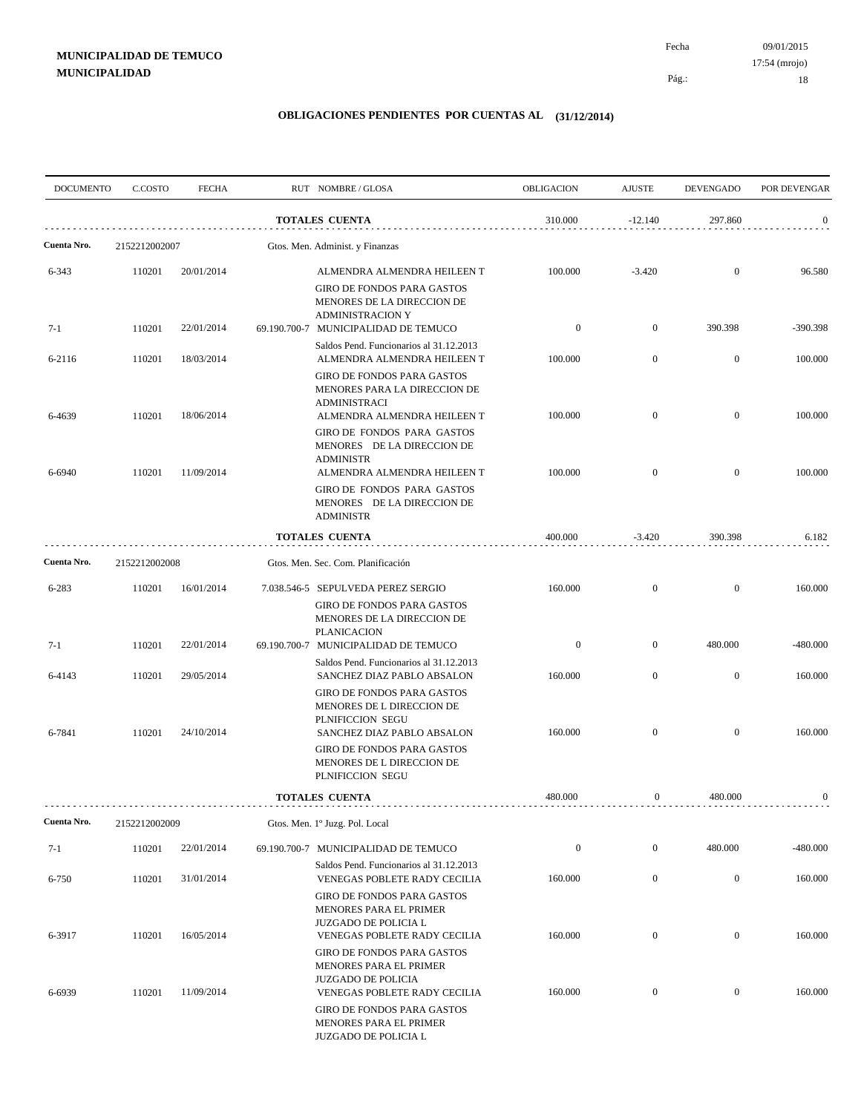| <b>DOCUMENTO</b> | C.COSTO          | <b>FECHA</b>             | RUT NOMBRE/GLOSA                                                                                                                               | <b>OBLIGACION</b>  | <b>AJUSTE</b>                | <b>DEVENGADO</b>                 | POR DEVENGAR       |
|------------------|------------------|--------------------------|------------------------------------------------------------------------------------------------------------------------------------------------|--------------------|------------------------------|----------------------------------|--------------------|
|                  |                  |                          | <b>TOTALES CUENTA</b>                                                                                                                          | 310.000            | $-12.140$                    | 297.860                          | $\mathbf{0}$       |
| Cuenta Nro.      | 2152212002007    |                          | Gtos. Men. Administ. y Finanzas                                                                                                                |                    |                              |                                  |                    |
| 6-343            | 110201           | 20/01/2014               | ALMENDRA ALMENDRA HEILEEN T<br><b>GIRO DE FONDOS PARA GASTOS</b><br>MENORES DE LA DIRECCION DE                                                 | 100.000            | $-3.420$                     | $\boldsymbol{0}$                 | 96.580             |
| $7-1$            | 110201           | 22/01/2014               | <b>ADMINISTRACION Y</b><br>69.190.700-7 MUNICIPALIDAD DE TEMUCO                                                                                | $\boldsymbol{0}$   | $\mathbf{0}$                 | 390.398                          | -390.398           |
| 6-2116           | 110201           | 18/03/2014               | Saldos Pend. Funcionarios al 31.12.2013<br>ALMENDRA ALMENDRA HEILEEN T                                                                         | 100.000            | $\mathbf{0}$                 | $\mathbf{0}$                     | 100.000            |
| 6-4639           | 110201           | 18/06/2014               | <b>GIRO DE FONDOS PARA GASTOS</b><br>MENORES PARA LA DIRECCION DE<br><b>ADMINISTRACI</b><br>ALMENDRA ALMENDRA HEILEEN T                        | 100.000            | $\mathbf{0}$                 | $\mathbf{0}$                     | 100.000            |
|                  |                  |                          | GIRO DE FONDOS PARA GASTOS<br>MENORES DE LA DIRECCION DE<br><b>ADMINISTR</b>                                                                   |                    |                              |                                  |                    |
| 6-6940           | 110201           | 11/09/2014               | ALMENDRA ALMENDRA HEILEEN T<br><b>GIRO DE FONDOS PARA GASTOS</b><br>MENORES DE LA DIRECCION DE                                                 | 100.000            | $\mathbf{0}$                 | $\mathbf{0}$                     | 100.000            |
|                  |                  |                          | <b>ADMINISTR</b><br><b>TOTALES CUENTA</b>                                                                                                      | 400.000            | $-3.420$                     | 390.398                          | 6.182              |
| Cuenta Nro.      | 2152212002008    |                          | Gtos. Men. Sec. Com. Planificación                                                                                                             |                    |                              |                                  |                    |
| 6-283            | 110201           | 16/01/2014               | 7.038.546-5 SEPULVEDA PEREZ SERGIO                                                                                                             | 160.000            | $\mathbf{0}$                 | $\mathbf{0}$                     | 160.000            |
|                  |                  |                          | GIRO DE FONDOS PARA GASTOS<br>MENORES DE LA DIRECCION DE<br><b>PLANICACION</b>                                                                 |                    |                              |                                  |                    |
| 7-1              | 110201           | 22/01/2014               | 69.190.700-7 MUNICIPALIDAD DE TEMUCO<br>Saldos Pend. Funcionarios al 31.12.2013                                                                | $\boldsymbol{0}$   | $\mathbf{0}$                 | 480.000                          | -480.000           |
| 6-4143<br>6-7841 | 110201<br>110201 | 29/05/2014<br>24/10/2014 | SANCHEZ DIAZ PABLO ABSALON<br><b>GIRO DE FONDOS PARA GASTOS</b><br>MENORES DE L DIRECCION DE<br>PLNIFICCION SEGU<br>SANCHEZ DIAZ PABLO ABSALON | 160.000<br>160.000 | $\mathbf{0}$<br>$\mathbf{0}$ | $\mathbf{0}$<br>$\boldsymbol{0}$ | 160.000<br>160.000 |
|                  |                  |                          | GIRO DE FONDOS PARA GASTOS<br>MENORES DE L DIRECCION DE<br>PLNIFICCION SEGU                                                                    |                    |                              |                                  |                    |
|                  |                  |                          | <b>TOTALES CUENTA</b>                                                                                                                          | 480.000            | $\mathbf{0}$                 | 480.000                          | $\bf{0}$           |
| Cuenta Nro.      | 2152212002009    |                          | Gtos. Men. 1º Juzg. Pol. Local                                                                                                                 |                    |                              |                                  |                    |
| $7-1$            | 110201           | 22/01/2014               | 69.190.700-7 MUNICIPALIDAD DE TEMUCO                                                                                                           | $\boldsymbol{0}$   | $\boldsymbol{0}$             | 480.000                          | $-480.000$         |
| $6 - 750$        | 110201           | 31/01/2014               | Saldos Pend. Funcionarios al 31.12.2013<br>VENEGAS POBLETE RADY CECILIA                                                                        | 160.000            | $\boldsymbol{0}$             | $\overline{0}$                   | 160.000            |
| 6-3917           | 110201           | 16/05/2014               | <b>GIRO DE FONDOS PARA GASTOS</b><br>MENORES PARA EL PRIMER<br>JUZGADO DE POLICIA L<br>VENEGAS POBLETE RADY CECILIA                            | 160.000            | $\boldsymbol{0}$             | $\boldsymbol{0}$                 | 160.000            |
| 6-6939           | 110201           | 11/09/2014               | <b>GIRO DE FONDOS PARA GASTOS</b><br>MENORES PARA EL PRIMER<br><b>JUZGADO DE POLICIA</b><br>VENEGAS POBLETE RADY CECILIA                       | 160.000            | $\mathbf{0}$                 | $\boldsymbol{0}$                 | 160.000            |
|                  |                  |                          | GIRO DE FONDOS PARA GASTOS<br>MENORES PARA EL PRIMER<br>JUZGADO DE POLICIA L                                                                   |                    |                              |                                  |                    |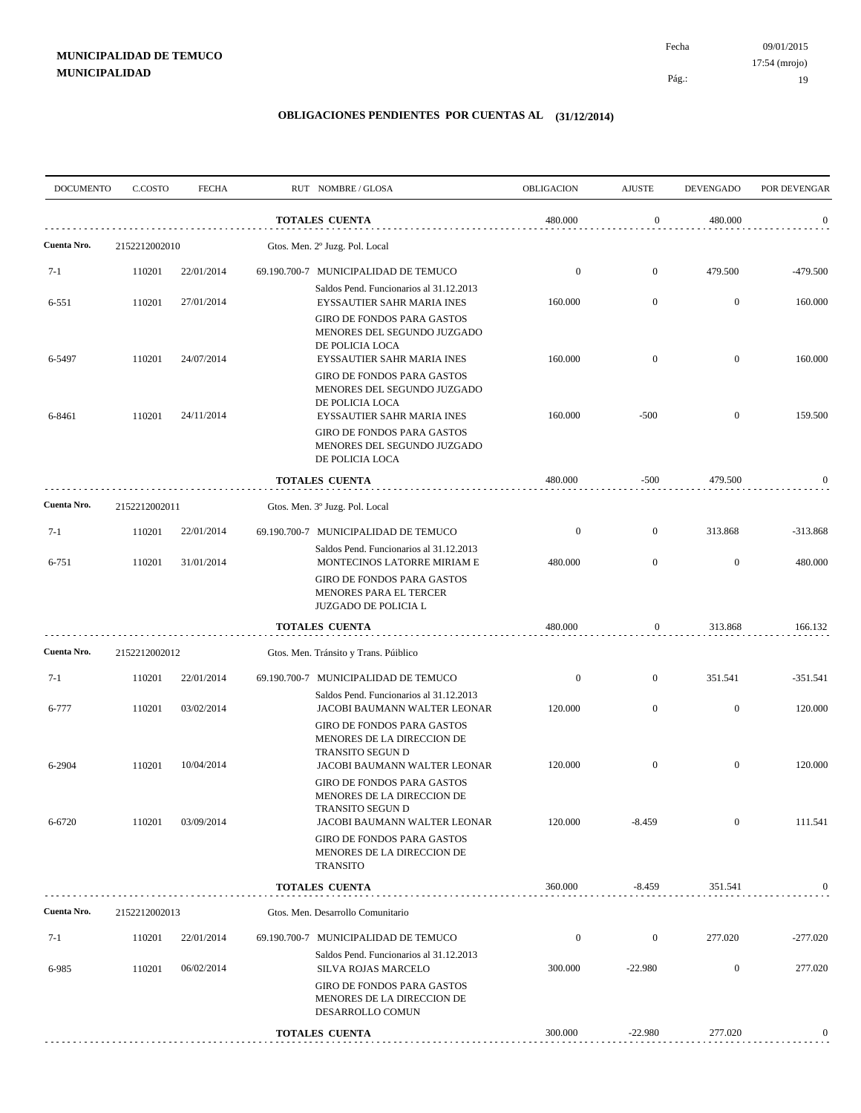| <b>DOCUMENTO</b> | C.COSTO       | <b>FECHA</b> | RUT NOMBRE/GLOSA                                                                                                  | OBLIGACION       | <b>AJUSTE</b>    | <b>DEVENGADO</b> | POR DEVENGAR     |
|------------------|---------------|--------------|-------------------------------------------------------------------------------------------------------------------|------------------|------------------|------------------|------------------|
|                  |               |              | <b>TOTALES CUENTA</b>                                                                                             | 480.000          | $\boldsymbol{0}$ | 480.000          | $\mathbf{0}$     |
| Cuenta Nro.      | 2152212002010 |              | Gtos. Men. 2º Juzg. Pol. Local                                                                                    |                  |                  |                  |                  |
| $7 - 1$          | 110201        | 22/01/2014   | 69.190.700-7 MUNICIPALIDAD DE TEMUCO                                                                              | $\boldsymbol{0}$ | $\mathbf{0}$     | 479.500          | $-479.500$       |
| $6 - 551$        | 110201        | 27/01/2014   | Saldos Pend. Funcionarios al 31.12.2013<br>EYSSAUTIER SAHR MARIA INES                                             | 160.000          | $\mathbf{0}$     | $\mathbf{0}$     | 160.000          |
| 6-5497           | 110201        | 24/07/2014   | <b>GIRO DE FONDOS PARA GASTOS</b><br>MENORES DEL SEGUNDO JUZGADO<br>DE POLICIA LOCA<br>EYSSAUTIER SAHR MARIA INES | 160.000          | $\overline{0}$   | $\mathbf{0}$     | 160.000          |
| 6-8461           | 110201        | 24/11/2014   | GIRO DE FONDOS PARA GASTOS<br>MENORES DEL SEGUNDO JUZGADO<br>DE POLICIA LOCA<br>EYSSAUTIER SAHR MARIA INES        | 160.000          | $-500$           | $\mathbf{0}$     | 159.500          |
|                  |               |              | <b>GIRO DE FONDOS PARA GASTOS</b><br>MENORES DEL SEGUNDO JUZGADO<br>DE POLICIA LOCA                               |                  |                  |                  |                  |
|                  |               |              | <b>TOTALES CUENTA</b>                                                                                             | 480.000          | $-500$           | 479.500          | $\mathbf{0}$     |
| Cuenta Nro.      | 2152212002011 |              | Gtos. Men. 3º Juzg. Pol. Local                                                                                    |                  |                  |                  |                  |
| $7-1$            | 110201        | 22/01/2014   | 69.190.700-7 MUNICIPALIDAD DE TEMUCO                                                                              | $\boldsymbol{0}$ | $\overline{0}$   | 313.868          | $-313.868$       |
| 6-751            | 110201        | 31/01/2014   | Saldos Pend. Funcionarios al 31.12.2013<br>MONTECINOS LATORRE MIRIAM E                                            | 480.000          | $\overline{0}$   | $\mathbf{0}$     | 480.000          |
|                  |               |              | <b>GIRO DE FONDOS PARA GASTOS</b><br>MENORES PARA EL TERCER<br>JUZGADO DE POLICIA L                               |                  |                  |                  |                  |
|                  |               |              | <b>TOTALES CUENTA</b>                                                                                             | 480.000          | $\boldsymbol{0}$ | 313.868          | 166.132          |
| Cuenta Nro.      | 2152212002012 |              | Gtos. Men. Tránsito y Trans. Púiblico                                                                             |                  |                  |                  |                  |
| $7-1$            | 110201        | 22/01/2014   | 69.190.700-7 MUNICIPALIDAD DE TEMUCO                                                                              | $\boldsymbol{0}$ | $\mathbf{0}$     | 351.541          | $-351.541$       |
| 6-777            | 110201        | 03/02/2014   | Saldos Pend. Funcionarios al 31.12.2013<br>JACOBI BAUMANN WALTER LEONAR                                           | 120.000          | $\overline{0}$   | $\mathbf{0}$     | 120.000          |
|                  |               |              | <b>GIRO DE FONDOS PARA GASTOS</b><br>MENORES DE LA DIRECCION DE<br>TRANSITO SEGUN D                               |                  |                  |                  |                  |
| 6-2904           | 110201        | 10/04/2014   | JACOBI BAUMANN WALTER LEONAR<br><b>GIRO DE FONDOS PARA GASTOS</b><br>MENORES DE LA DIRECCION DE                   | 120.000          | $\mathbf{0}$     | $\mathbf{0}$     | 120.000          |
| 6-6720           | 110201        | 03/09/2014   | TRANSITO SEGUN D<br>JACOBI BAUMANN WALTER LEONAR                                                                  | 120.000          | $-8.459$         | $\boldsymbol{0}$ | 111.541          |
|                  |               |              | <b>GIRO DE FONDOS PARA GASTOS</b><br>MENORES DE LA DIRECCION DE<br><b>TRANSITO</b>                                |                  |                  |                  |                  |
|                  |               |              | <b>TOTALES CUENTA</b>                                                                                             | 360.000          | $-8.459$         | 351.541          | $\boldsymbol{0}$ |
| Cuenta Nro.      | 2152212002013 |              | Gtos. Men. Desarrollo Comunitario                                                                                 |                  |                  |                  |                  |
| $7-1$            | 110201        | 22/01/2014   | 69.190.700-7 MUNICIPALIDAD DE TEMUCO                                                                              | $\boldsymbol{0}$ | $\boldsymbol{0}$ | 277.020          | $-277.020$       |
| 6-985            | 110201        | 06/02/2014   | Saldos Pend. Funcionarios al 31.12.2013<br>SILVA ROJAS MARCELO                                                    | 300.000          | $-22.980$        | $\boldsymbol{0}$ | 277.020          |
|                  |               |              | <b>GIRO DE FONDOS PARA GASTOS</b><br>MENORES DE LA DIRECCION DE<br>DESARROLLO COMUN                               |                  |                  |                  |                  |
|                  |               |              | <b>TOTALES CUENTA</b>                                                                                             | 300.000          | $-22.980$        | 277.020          | 0                |
|                  |               |              |                                                                                                                   |                  |                  |                  |                  |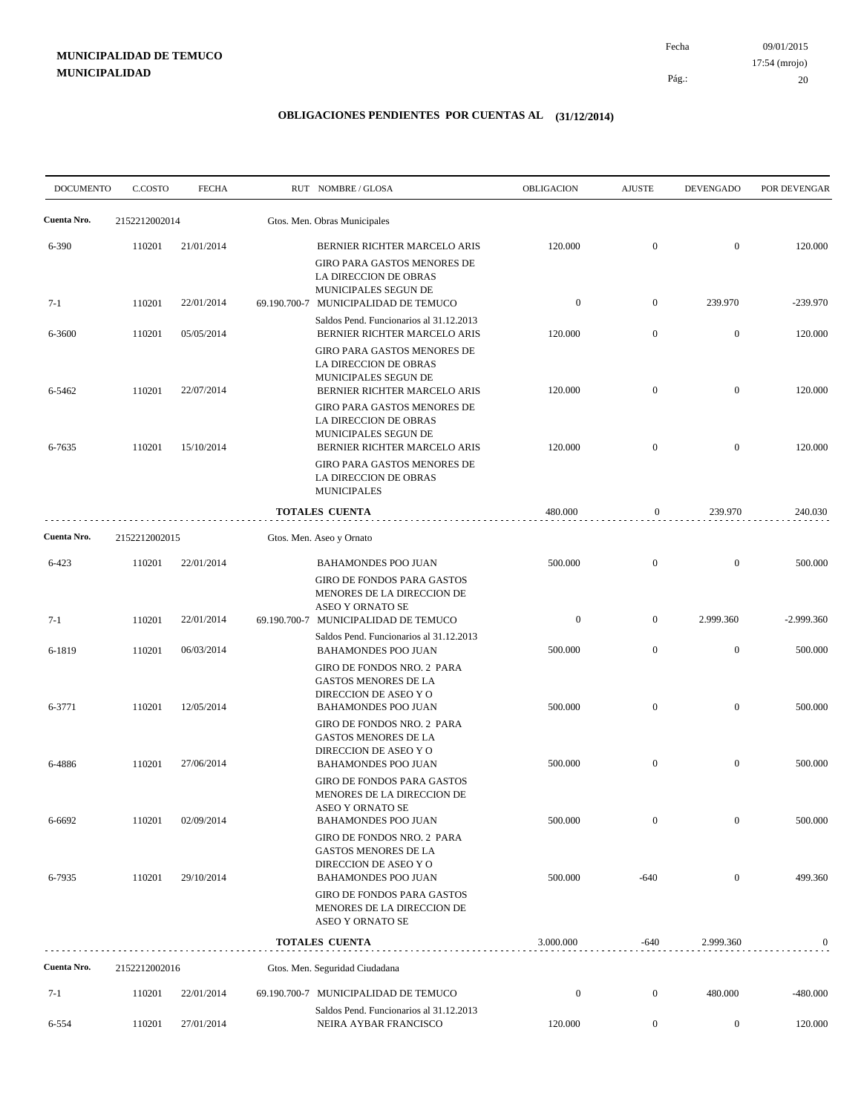09/01/2015 20 Pág.: Fecha 17:54 (mrojo)

| <b>DOCUMENTO</b> | C.COSTO       | <b>FECHA</b> | RUT NOMBRE/GLOSA                                                                                                  | <b>OBLIGACION</b> | <b>AJUSTE</b>    | <b>DEVENGADO</b> | POR DEVENGAR     |
|------------------|---------------|--------------|-------------------------------------------------------------------------------------------------------------------|-------------------|------------------|------------------|------------------|
| Cuenta Nro.      | 2152212002014 |              | Gtos. Men. Obras Municipales                                                                                      |                   |                  |                  |                  |
| 6-390            | 110201        | 21/01/2014   | BERNIER RICHTER MARCELO ARIS<br>GIRO PARA GASTOS MENORES DE<br>LA DIRECCION DE OBRAS<br>MUNICIPALES SEGUN DE      | 120.000           | $\mathbf{0}$     | $\overline{0}$   | 120.000          |
| $7-1$            | 110201        | 22/01/2014   | 69.190.700-7 MUNICIPALIDAD DE TEMUCO                                                                              | $\boldsymbol{0}$  | $\mathbf{0}$     | 239.970          | $-239.970$       |
| 6-3600           | 110201        | 05/05/2014   | Saldos Pend. Funcionarios al 31.12.2013<br>BERNIER RICHTER MARCELO ARIS                                           | 120.000           | $\overline{0}$   | $\mathbf{0}$     | 120.000          |
| 6-5462           | 110201        | 22/07/2014   | GIRO PARA GASTOS MENORES DE<br>LA DIRECCION DE OBRAS<br>MUNICIPALES SEGUN DE<br>BERNIER RICHTER MARCELO ARIS      | 120.000           | $\overline{0}$   | $\overline{0}$   | 120.000          |
| 6-7635           | 110201        | 15/10/2014   | GIRO PARA GASTOS MENORES DE<br>LA DIRECCION DE OBRAS<br>MUNICIPALES SEGUN DE<br>BERNIER RICHTER MARCELO ARIS      | 120.000           | $\overline{0}$   | $\overline{0}$   | 120.000          |
|                  |               |              | GIRO PARA GASTOS MENORES DE<br>LA DIRECCION DE OBRAS<br><b>MUNICIPALES</b>                                        |                   |                  |                  |                  |
|                  |               |              | <b>TOTALES CUENTA</b>                                                                                             | 480.000           | $\mathbf{0}$     | 239.970          | 240.030          |
| Cuenta Nro.      | 2152212002015 |              | Gtos. Men. Aseo y Ornato                                                                                          |                   |                  |                  |                  |
| 6-423            | 110201        | 22/01/2014   | <b>BAHAMONDES POO JUAN</b><br><b>GIRO DE FONDOS PARA GASTOS</b><br>MENORES DE LA DIRECCION DE<br>ASEO Y ORNATO SE | 500.000           | $\mathbf{0}$     | $\overline{0}$   | 500.000          |
| $7-1$            | 110201        | 22/01/2014   | 69.190.700-7 MUNICIPALIDAD DE TEMUCO<br>Saldos Pend. Funcionarios al 31.12.2013                                   | $\boldsymbol{0}$  | $\mathbf{0}$     | 2.999.360        | $-2.999.360$     |
| 6-1819           | 110201        | 06/03/2014   | <b>BAHAMONDES POO JUAN</b><br>GIRO DE FONDOS NRO. 2 PARA<br>GASTOS MENORES DE LA                                  | 500.000           | $\overline{0}$   | $\mathbf{0}$     | 500.000          |
| 6-3771           | 110201        | 12/05/2014   | DIRECCION DE ASEO Y O<br><b>BAHAMONDES POO JUAN</b><br>GIRO DE FONDOS NRO. 2 PARA                                 | 500.000           | $\overline{0}$   | $\overline{0}$   | 500.000          |
| 6-4886           | 110201        | 27/06/2014   | GASTOS MENORES DE LA<br>DIRECCION DE ASEO Y O<br><b>BAHAMONDES POO JUAN</b>                                       | 500.000           | $\boldsymbol{0}$ | $\mathbf{0}$     | 500.000          |
| 6-6692           | 110201        | 02/09/2014   | <b>GIRO DE FONDOS PARA GASTOS</b><br>MENORES DE LA DIRECCION DE<br>ASEO Y ORNATO SE<br><b>BAHAMONDES POO JUAN</b> | 500.000           | $\boldsymbol{0}$ | $\boldsymbol{0}$ | 500.000          |
| 6-7935           | 110201        | 29/10/2014   | GIRO DE FONDOS NRO. 2 PARA<br>GASTOS MENORES DE LA<br>DIRECCION DE ASEO Y O<br><b>BAHAMONDES POO JUAN</b>         | 500.000           | $-640$           | $\mathbf{0}$     | 499.360          |
|                  |               |              | GIRO DE FONDOS PARA GASTOS<br>MENORES DE LA DIRECCION DE<br>ASEO Y ORNATO SE                                      |                   |                  |                  |                  |
|                  |               |              | TOTALES CUENTA                                                                                                    | 3.000.000         | $-640$           | 2.999.360        | $\boldsymbol{0}$ |
| Cuenta Nro.      | 2152212002016 |              | Gtos. Men. Seguridad Ciudadana                                                                                    |                   |                  |                  |                  |
| $7 - 1$          | 110201        | 22/01/2014   | 69.190.700-7 MUNICIPALIDAD DE TEMUCO<br>Saldos Pend. Funcionarios al 31.12.2013                                   | $\boldsymbol{0}$  | $\boldsymbol{0}$ | 480.000          | $-480.000$       |
| 6-554            | 110201        | 27/01/2014   | NEIRA AYBAR FRANCISCO                                                                                             | 120.000           | $\overline{0}$   | $\overline{0}$   | 120.000          |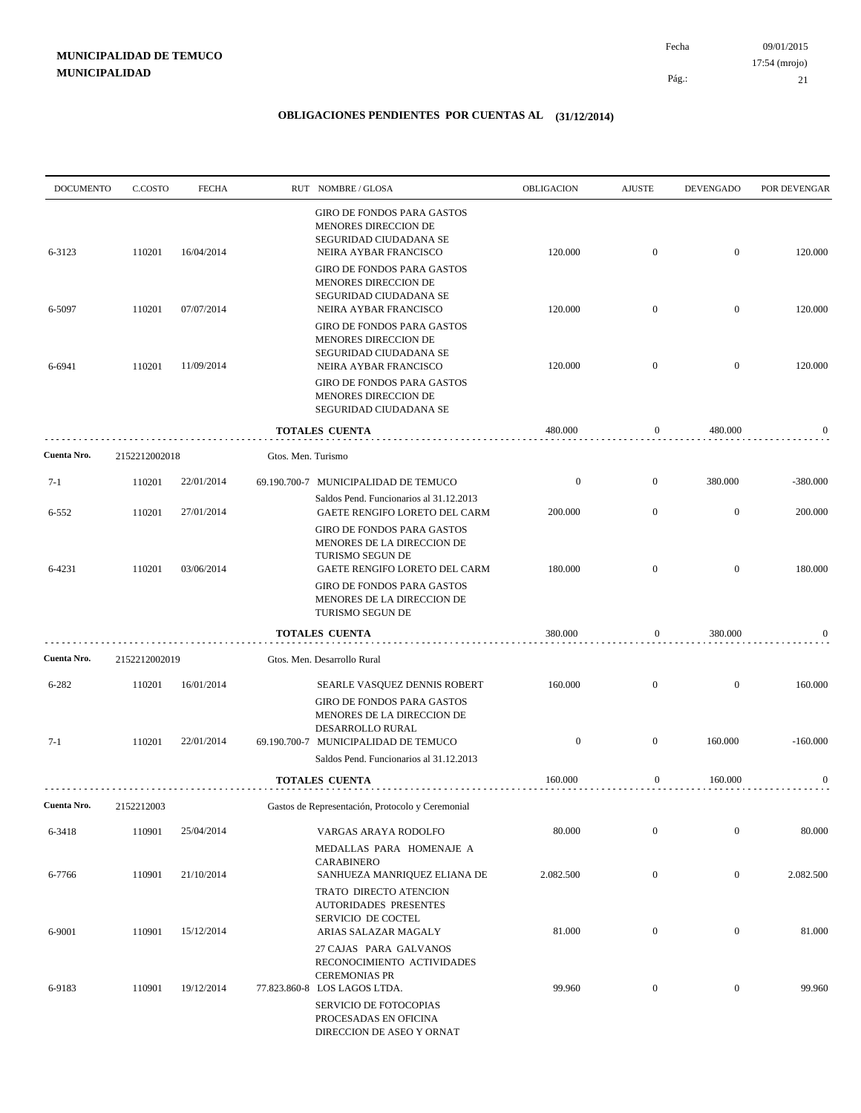09/01/2015 21 Pág.: Fecha 17:54 (mrojo)

| <b>DOCUMENTO</b>   | C.COSTO       | <b>FECHA</b> |                    | RUT NOMBRE/GLOSA                                                                                                                                                                                                      | OBLIGACION         | <b>AJUSTE</b>                      | <b>DEVENGADO</b>          | POR DEVENGAR        |
|--------------------|---------------|--------------|--------------------|-----------------------------------------------------------------------------------------------------------------------------------------------------------------------------------------------------------------------|--------------------|------------------------------------|---------------------------|---------------------|
| 6-3123             | 110201        | 16/04/2014   |                    | <b>GIRO DE FONDOS PARA GASTOS</b><br>MENORES DIRECCION DE<br>SEGURIDAD CIUDADANA SE<br>NEIRA AYBAR FRANCISCO<br>GIRO DE FONDOS PARA GASTOS<br>MENORES DIRECCION DE                                                    | 120.000            | $\mathbf{0}$                       | $\overline{0}$            | 120.000             |
| 6-5097             | 110201        | 07/07/2014   |                    | SEGURIDAD CIUDADANA SE<br>NEIRA AYBAR FRANCISCO                                                                                                                                                                       | 120.000            | $\overline{0}$                     | $\overline{0}$            | 120.000             |
| 6-6941             | 110201        | 11/09/2014   |                    | GIRO DE FONDOS PARA GASTOS<br>MENORES DIRECCION DE<br>SEGURIDAD CIUDADANA SE<br>NEIRA AYBAR FRANCISCO<br><b>GIRO DE FONDOS PARA GASTOS</b><br>MENORES DIRECCION DE<br>SEGURIDAD CIUDADANA SE<br><b>TOTALES CUENTA</b> | 120.000<br>480.000 | $\overline{0}$<br>$\boldsymbol{0}$ | $\overline{0}$<br>480.000 | 120.000<br>$\bf{0}$ |
|                    |               |              |                    |                                                                                                                                                                                                                       |                    |                                    |                           |                     |
| Cuenta Nro.        | 2152212002018 |              | Gtos. Men. Turismo |                                                                                                                                                                                                                       |                    |                                    |                           |                     |
| $7-1$              | 110201        | 22/01/2014   |                    | 69.190.700-7 MUNICIPALIDAD DE TEMUCO<br>Saldos Pend. Funcionarios al 31.12.2013                                                                                                                                       | $\boldsymbol{0}$   | $\mathbf{0}$                       | 380.000                   | $-380.000$          |
| 6-552              | 110201        | 27/01/2014   |                    | GAETE RENGIFO LORETO DEL CARM                                                                                                                                                                                         | 200.000            | $\mathbf{0}$                       | $\mathbf{0}$              | 200.000             |
| 6-4231             | 110201        | 03/06/2014   |                    | <b>GIRO DE FONDOS PARA GASTOS</b><br>MENORES DE LA DIRECCION DE<br>TURISMO SEGUN DE<br>GAETE RENGIFO LORETO DEL CARM<br>GIRO DE FONDOS PARA GASTOS<br>MENORES DE LA DIRECCION DE<br>TURISMO SEGUN DE                  | 180.000            | $\overline{0}$                     | $\mathbf{0}$              | 180.000             |
|                    |               |              |                    | <b>TOTALES CUENTA</b>                                                                                                                                                                                                 | 380.000            | 0                                  | 380.000                   | 0                   |
| Cuenta Nro.        | 2152212002019 |              |                    | Gtos. Men. Desarrollo Rural                                                                                                                                                                                           |                    |                                    |                           |                     |
| 6-282              | 110201        | 16/01/2014   |                    | SEARLE VASQUEZ DENNIS ROBERT<br><b>GIRO DE FONDOS PARA GASTOS</b><br>MENORES DE LA DIRECCION DE<br>DESARROLLO RURAL                                                                                                   | 160.000            | $\overline{0}$                     | $\overline{0}$            | 160.000             |
| $7-1$              | 110201        | 22/01/2014   |                    | 69.190.700-7 MUNICIPALIDAD DE TEMUCO<br>Saldos Pend. Funcionarios al 31.12.2013                                                                                                                                       | $\boldsymbol{0}$   | $\overline{0}$                     | 160.000                   | $-160.000$          |
|                    |               |              |                    | <b>TOTALES CUENTA</b>                                                                                                                                                                                                 | 160.000            | $\boldsymbol{0}$                   | 160.000                   | $\bf{0}$            |
| <b>Cuenta Nro.</b> | 2152212003    |              |                    | Gastos de Representación, Protocolo y Ceremonial                                                                                                                                                                      |                    |                                    |                           |                     |
| 6-3418             | 110901        | 25/04/2014   |                    | VARGAS ARAYA RODOLFO                                                                                                                                                                                                  | 80.000             | $\boldsymbol{0}$                   | $\overline{0}$            | 80.000              |
| 6-7766             | 110901        | 21/10/2014   |                    | MEDALLAS PARA HOMENAJE A<br><b>CARABINERO</b><br>SANHUEZA MANRIQUEZ ELIANA DE                                                                                                                                         | 2.082.500          | $\boldsymbol{0}$                   | $\boldsymbol{0}$          | 2.082.500           |
| 6-9001             | 110901        | 15/12/2014   |                    | TRATO DIRECTO ATENCION<br><b>AUTORIDADES PRESENTES</b><br>SERVICIO DE COCTEL<br>ARIAS SALAZAR MAGALY                                                                                                                  | 81.000             | $\boldsymbol{0}$                   | $\boldsymbol{0}$          | 81.000              |
| 6-9183             | 110901        | 19/12/2014   |                    | 27 CAJAS PARA GALVANOS<br>RECONOCIMIENTO ACTIVIDADES<br><b>CEREMONIAS PR</b><br>77.823.860-8 LOS LAGOS LTDA.<br>SERVICIO DE FOTOCOPIAS<br>PROCESADAS EN OFICINA<br>DIRECCION DE ASEO Y ORNAT                          | 99.960             | $\mathbf{0}$                       | $\overline{0}$            | 99.960              |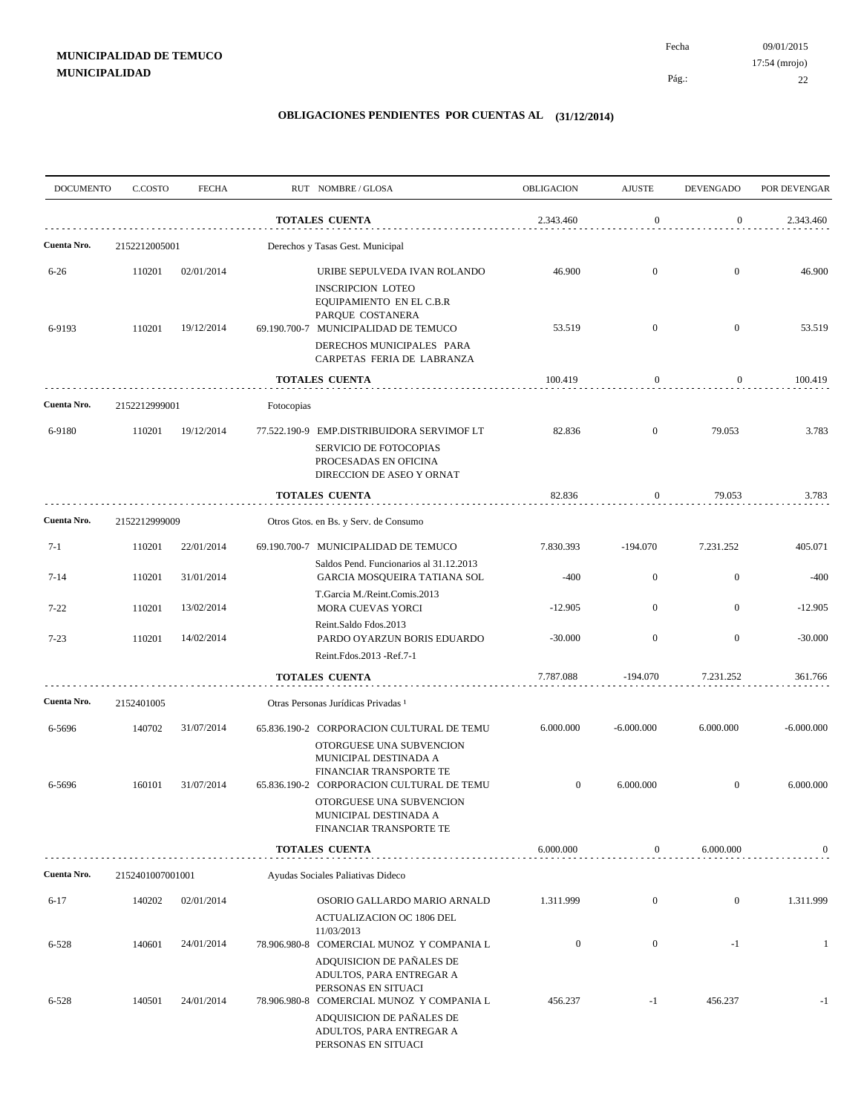| <b>DOCUMENTO</b> | C.COSTO          | <b>FECHA</b> |            | RUT NOMBRE/GLOSA                                                                                                                                     | OBLIGACION       | <b>AJUSTE</b>    | <b>DEVENGADO</b> | POR DEVENGAR |
|------------------|------------------|--------------|------------|------------------------------------------------------------------------------------------------------------------------------------------------------|------------------|------------------|------------------|--------------|
|                  |                  |              |            | <b>TOTALES CUENTA</b>                                                                                                                                | 2.343.460        | $\mathbf{0}$     | $\overline{0}$   | 2.343.460    |
| Cuenta Nro.      | 2152212005001    |              |            | Derechos y Tasas Gest. Municipal                                                                                                                     |                  |                  |                  |              |
| $6 - 26$         | 110201           | 02/01/2014   |            | URIBE SEPULVEDA IVAN ROLANDO<br><b>INSCRIPCION LOTEO</b>                                                                                             | 46.900           | $\overline{0}$   | $\overline{0}$   | 46.900       |
| 6-9193           | 110201           | 19/12/2014   |            | EQUIPAMIENTO EN EL C.B.R<br>PARQUE COSTANERA<br>69.190.700-7 MUNICIPALIDAD DE TEMUCO                                                                 | 53.519           | $\overline{0}$   | $\mathbf{0}$     | 53.519       |
|                  |                  |              |            | DERECHOS MUNICIPALES PARA<br>CARPETAS FERIA DE LABRANZA                                                                                              |                  |                  |                  |              |
|                  |                  |              |            | <b>TOTALES CUENTA</b>                                                                                                                                | 100.419          | $\boldsymbol{0}$ | $\overline{0}$   | 100.419      |
| Cuenta Nro.      | 2152212999001    |              | Fotocopias |                                                                                                                                                      |                  |                  |                  |              |
| 6-9180           | 110201           | 19/12/2014   |            | 77.522.190-9 EMP.DISTRIBUIDORA SERVIMOF LT<br>SERVICIO DE FOTOCOPIAS                                                                                 | 82.836           | $\overline{0}$   | 79.053           | 3.783        |
|                  |                  |              |            | PROCESADAS EN OFICINA<br>DIRECCION DE ASEO Y ORNAT                                                                                                   |                  |                  |                  |              |
|                  |                  |              |            | <b>TOTALES CUENTA</b>                                                                                                                                | 82.836           | $\boldsymbol{0}$ | 79.053           | 3.783        |
| Cuenta Nro.      | 2152212999009    |              |            | Otros Gtos. en Bs. y Serv. de Consumo                                                                                                                |                  |                  |                  |              |
| $7 - 1$          | 110201           | 22/01/2014   |            | 69.190.700-7 MUNICIPALIDAD DE TEMUCO<br>Saldos Pend. Funcionarios al 31.12.2013                                                                      | 7.830.393        | $-194.070$       | 7.231.252        | 405.071      |
| $7 - 14$         | 110201           | 31/01/2014   |            | GARCIA MOSQUEIRA TATIANA SOL                                                                                                                         | $-400$           | $\mathbf{0}$     | $\mathbf{0}$     | $-400$       |
| $7 - 22$         | 110201           | 13/02/2014   |            | T.Garcia M./Reint.Comis.2013<br><b>MORA CUEVAS YORCI</b>                                                                                             | $-12.905$        | $\overline{0}$   | $\mathbf{0}$     | $-12.905$    |
| $7 - 23$         | 110201           | 14/02/2014   |            | Reint.Saldo Fdos.2013<br>PARDO OYARZUN BORIS EDUARDO<br>Reint.Fdos.2013 -Ref.7-1                                                                     | $-30.000$        | $\overline{0}$   | $\mathbf{0}$     | $-30.000$    |
|                  |                  |              |            | <b>TOTALES CUENTA</b>                                                                                                                                | 7.787.088        | $-194.070$       | 7.231.252        | 361.766      |
| Cuenta Nro.      | 2152401005       |              |            | Otras Personas Jurídicas Privadas 1                                                                                                                  |                  |                  |                  |              |
| 6-5696           | 140702           | 31/07/2014   |            | 65.836.190-2 CORPORACION CULTURAL DE TEMU<br>OTORGUESE UNA SUBVENCION<br>MUNICIPAL DESTINADA A                                                       | 6.000.000        | $-6.000.000$     | 6.000.000        | $-6.000.000$ |
| 6-5696           | 160101           | 31/07/2014   |            | FINANCIAR TRANSPORTE TE<br>65.836.190-2 CORPORACION CULTURAL DE TEMU<br>OTORGUESE UNA SUBVENCION<br>MUNICIPAL DESTINADA A<br>FINANCIAR TRANSPORTE TE | $\mathbf{0}$     | 6.000.000        | $\mathbf{0}$     | 6.000.000    |
|                  |                  |              |            | <b>TOTALES CUENTA</b>                                                                                                                                | 6.000.000        | $\overline{0}$   | 6.000.000        | $\mathbf{0}$ |
| Cuenta Nro.      | 2152401007001001 |              |            | Ayudas Sociales Paliativas Dideco                                                                                                                    |                  |                  |                  |              |
| $6-17$           | 140202           | 02/01/2014   |            | OSORIO GALLARDO MARIO ARNALD<br>ACTUALIZACION OC 1806 DEL                                                                                            | 1.311.999        | $\mathbf{0}$     | $\mathbf{0}$     | 1.311.999    |
| 6-528            | 140601           | 24/01/2014   |            | 11/03/2013<br>78.906.980-8 COMERCIAL MUNOZ Y COMPANIA L                                                                                              | $\boldsymbol{0}$ | $\mathbf{0}$     | $-1$             | -1           |
|                  |                  |              |            | ADQUISICION DE PAÑALES DE<br>ADULTOS, PARA ENTREGAR A<br>PERSONAS EN SITUACI                                                                         |                  |                  |                  |              |
| 6-528            | 140501           | 24/01/2014   |            | 78.906.980-8 COMERCIAL MUNOZ Y COMPANIA L<br>ADQUISICION DE PAÑALES DE<br>ADULTOS, PARA ENTREGAR A<br>PERSONAS EN SITUACI                            | 456.237          | $-1$             | 456.237          | $-1$         |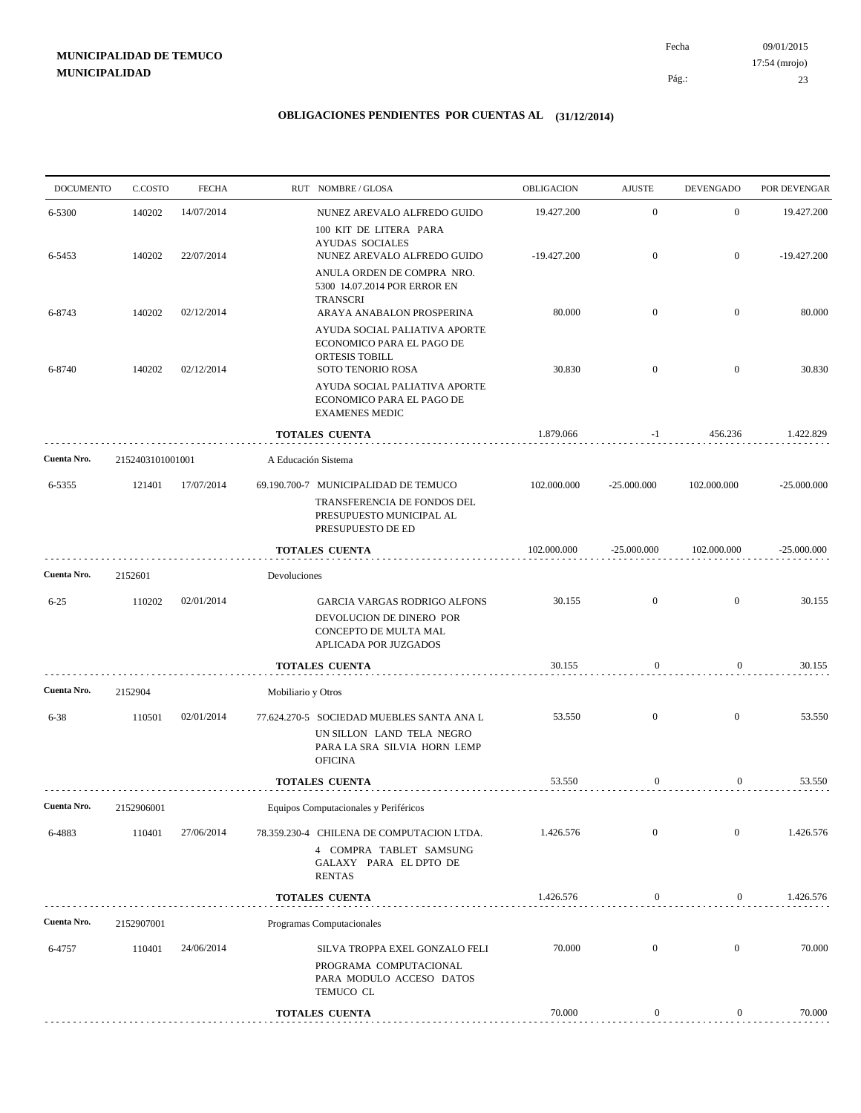09/01/2015 23 Pág.: Fecha 17:54 (mrojo)

| <b>DOCUMENTO</b> | C.COSTO          | <b>FECHA</b> |                     | RUT NOMBRE/GLOSA                                                                                                         | OBLIGACION    | <b>AJUSTE</b>    | <b>DEVENGADO</b> | POR DEVENGAR  |
|------------------|------------------|--------------|---------------------|--------------------------------------------------------------------------------------------------------------------------|---------------|------------------|------------------|---------------|
| 6-5300           | 140202           | 14/07/2014   |                     | NUNEZ AREVALO ALFREDO GUIDO<br>100 KIT DE LITERA PARA                                                                    | 19.427.200    | $\mathbf{0}$     | $\mathbf{0}$     | 19.427.200    |
| 6-5453           | 140202           | 22/07/2014   |                     | <b>AYUDAS SOCIALES</b><br>NUNEZ AREVALO ALFREDO GUIDO<br>ANULA ORDEN DE COMPRA NRO.<br>5300 14.07.2014 POR ERROR EN      | $-19.427.200$ | $\overline{0}$   | $\mathbf{0}$     | $-19.427.200$ |
| 6-8743           | 140202           | 02/12/2014   |                     | <b>TRANSCRI</b><br>ARAYA ANABALON PROSPERINA                                                                             | 80.000        | $\overline{0}$   | $\mathbf{0}$     | 80.000        |
| 6-8740           | 140202           | 02/12/2014   |                     | AYUDA SOCIAL PALIATIVA APORTE<br>ECONOMICO PARA EL PAGO DE<br>ORTESIS TOBILL<br><b>SOTO TENORIO ROSA</b>                 | 30.830        | $\overline{0}$   | $\overline{0}$   | 30.830        |
|                  |                  |              |                     | AYUDA SOCIAL PALIATIVA APORTE<br>ECONOMICO PARA EL PAGO DE<br><b>EXAMENES MEDIC</b>                                      |               |                  |                  |               |
|                  |                  |              |                     | <b>TOTALES CUENTA</b>                                                                                                    | 1.879.066     | -1               | 456.236          | 1.422.829     |
| Cuenta Nro.      | 2152403101001001 |              | A Educación Sistema |                                                                                                                          |               |                  |                  |               |
| 6-5355           | 121401           | 17/07/2014   |                     | 69.190.700-7 MUNICIPALIDAD DE TEMUCO<br>TRANSFERENCIA DE FONDOS DEL<br>PRESUPUESTO MUNICIPAL AL<br>PRESUPUESTO DE ED     | 102.000.000   | $-25.000.000$    | 102.000.000      | $-25.000.000$ |
|                  |                  |              |                     | <b>TOTALES CUENTA</b>                                                                                                    | 102.000.000   | $-25.000.000$    | 102.000.000      | $-25.000.000$ |
| Cuenta Nro.      | 2152601          |              | Devoluciones        |                                                                                                                          |               |                  |                  |               |
| $6 - 25$         | 110202           | 02/01/2014   |                     | GARCIA VARGAS RODRIGO ALFONS<br>DEVOLUCION DE DINERO POR<br>CONCEPTO DE MULTA MAL<br>APLICADA POR JUZGADOS               | 30.155        | $\overline{0}$   | $\overline{0}$   | 30.155        |
|                  |                  |              |                     | <b>TOTALES CUENTA</b>                                                                                                    | 30.155        | $\boldsymbol{0}$ | $\overline{0}$   | 30.155        |
| Cuenta Nro.      | 2152904          |              | Mobiliario y Otros  |                                                                                                                          |               |                  |                  |               |
| $6 - 38$         | 110501           | 02/01/2014   |                     | 77.624.270-5 SOCIEDAD MUEBLES SANTA ANA L<br>UN SILLON LAND TELA NEGRO<br>PARA LA SRA SILVIA HORN LEMP<br><b>OFICINA</b> | 53.550        | $\overline{0}$   | $\overline{0}$   | 53.550        |
|                  |                  |              |                     | <b>TOTALES CUENTA</b>                                                                                                    | 53.550        | 0                | $\overline{0}$   | 53.550        |
| Cuenta Nro.      | 2152906001       |              |                     | Equipos Computacionales y Periféricos                                                                                    |               |                  |                  |               |
| 6-4883           | 110401           | 27/06/2014   |                     | 78.359.230-4 CHILENA DE COMPUTACION LTDA.<br>4 COMPRA TABLET SAMSUNG<br>GALAXY PARA EL DPTO DE<br><b>RENTAS</b>          | 1.426.576     | $\mathbf{0}$     | $\overline{0}$   | 1.426.576     |
|                  |                  |              |                     | <b>TOTALES CUENTA</b>                                                                                                    | 1.426.576     | $\boldsymbol{0}$ | $\overline{0}$   | 1.426.576     |
| Cuenta Nro.      | 2152907001       |              |                     | Programas Computacionales                                                                                                |               |                  |                  |               |
| 6-4757           | 110401           | 24/06/2014   |                     | SILVA TROPPA EXEL GONZALO FELI<br>PROGRAMA COMPUTACIONAL<br>PARA MODULO ACCESO DATOS<br>TEMUCO CL                        | 70.000        | $\boldsymbol{0}$ | $\mathbf{0}$     | 70.000        |
|                  |                  |              |                     | <b>TOTALES CUENTA</b>                                                                                                    | 70.000        | $\boldsymbol{0}$ | $\boldsymbol{0}$ | 70.000        |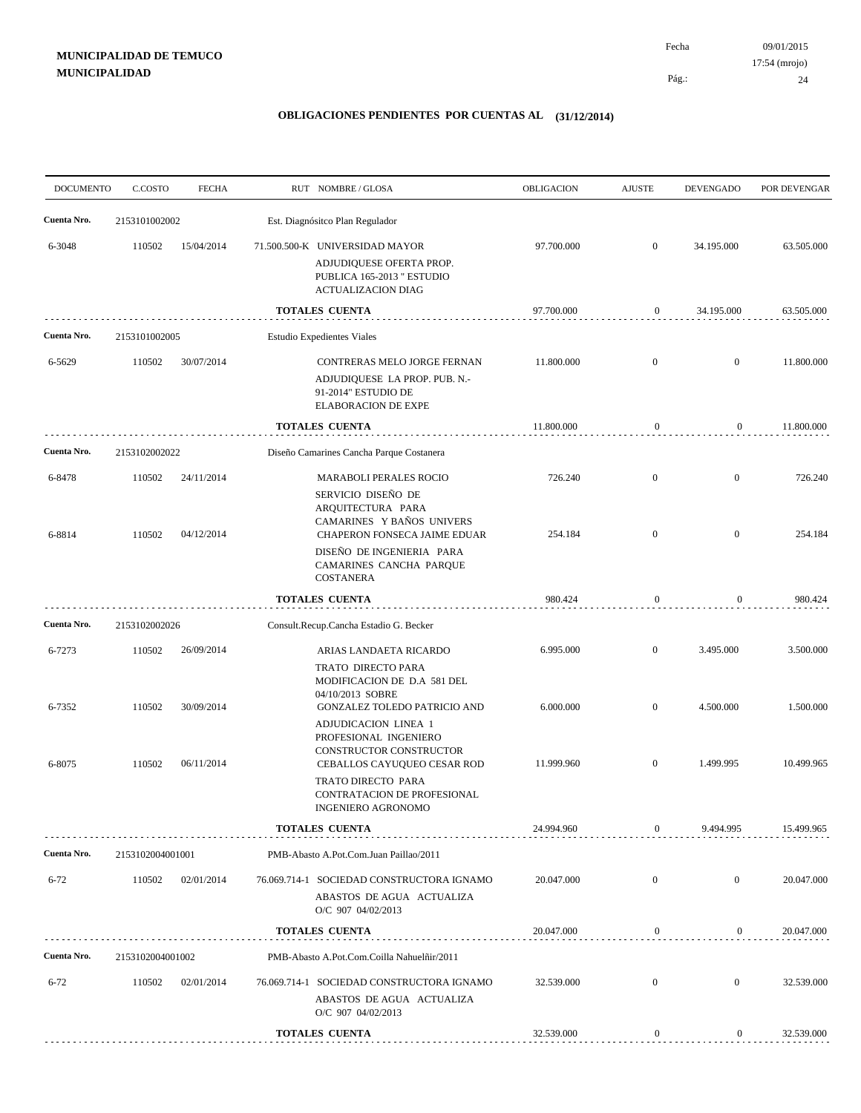09/01/2015 24 Pág.: Fecha 17:54 (mrojo)

| <b>DOCUMENTO</b> | C.COSTO          | <b>FECHA</b>                             | RUT NOMBRE/GLOSA                       |                                                                                                                                       | OBLIGACION         | <b>AJUSTE</b>                | <b>DEVENGADO</b>               | POR DEVENGAR       |
|------------------|------------------|------------------------------------------|----------------------------------------|---------------------------------------------------------------------------------------------------------------------------------------|--------------------|------------------------------|--------------------------------|--------------------|
| Cuenta Nro.      | 2153101002002    |                                          | Est. Diagnósitco Plan Regulador        |                                                                                                                                       |                    |                              |                                |                    |
| 6-3048           | 110502           | 15/04/2014                               | 71.500.500-K UNIVERSIDAD MAYOR         | ADJUDIQUESE OFERTA PROP.<br>PUBLICA 165-2013 " ESTUDIO<br><b>ACTUALIZACION DIAG</b>                                                   | 97.700.000         | $\mathbf{0}$                 | 34.195.000                     | 63.505.000         |
|                  |                  |                                          | <b>TOTALES CUENTA</b>                  |                                                                                                                                       | 97.700.000         | $\boldsymbol{0}$             | 34.195.000                     | 63.505.000         |
| Cuenta Nro.      | 2153101002005    |                                          | <b>Estudio Expedientes Viales</b>      |                                                                                                                                       |                    |                              |                                |                    |
| 6-5629           | 110502           | 30/07/2014                               |                                        | CONTRERAS MELO JORGE FERNAN<br>ADJUDIQUESE LA PROP. PUB. N.-<br>91-2014" ESTUDIO DE<br><b>ELABORACION DE EXPE</b>                     | 11.800.000         | $\mathbf{0}$                 | $\mathbf{0}$                   | 11.800.000         |
|                  |                  |                                          | TOTALES CUENTA                         |                                                                                                                                       | 11.800.000         | $\mathbf{0}$                 | $\overline{0}$                 | 11.800.000         |
| Cuenta Nro.      | 2153102002022    | Diseño Camarines Cancha Parque Costanera |                                        |                                                                                                                                       |                    |                              |                                |                    |
| 6-8478<br>6-8814 | 110502<br>110502 | 24/11/2014<br>04/12/2014                 |                                        | <b>MARABOLI PERALES ROCIO</b><br>SERVICIO DISEÑO DE<br>ARQUITECTURA PARA<br>CAMARINES Y BAÑOS UNIVERS<br>CHAPERON FONSECA JAIME EDUAR | 726.240<br>254.184 | $\mathbf{0}$<br>$\mathbf{0}$ | $\mathbf{0}$<br>$\overline{0}$ | 726.240<br>254.184 |
|                  |                  |                                          | <b>COSTANERA</b>                       | DISEÑO DE INGENIERIA PARA<br>CAMARINES CANCHA PARQUE                                                                                  |                    |                              |                                |                    |
|                  |                  |                                          | <b>TOTALES CUENTA</b>                  |                                                                                                                                       | 980.424            | $\boldsymbol{0}$             | $\mathbf{0}$                   | 980.424            |
| Cuenta Nro.      | 2153102002026    |                                          | Consult.Recup.Cancha Estadio G. Becker |                                                                                                                                       |                    |                              |                                |                    |
| 6-7273           | 110502           | 26/09/2014                               |                                        | ARIAS LANDAETA RICARDO<br>TRATO DIRECTO PARA<br>MODIFICACION DE D.A 581 DEL<br>04/10/2013 SOBRE                                       | 6.995.000          | $\mathbf{0}$                 | 3.495.000                      | 3.500.000          |
| 6-7352           | 110502           | 30/09/2014                               |                                        | GONZALEZ TOLEDO PATRICIO AND<br>ADJUDICACION LINEA 1<br>PROFESIONAL INGENIERO<br>CONSTRUCTOR CONSTRUCTOR                              | 6.000.000          | $\mathbf{0}$                 | 4.500.000                      | 1.500.000          |
| 6-8075           | 110502           | 06/11/2014                               |                                        | CEBALLOS CAYUQUEO CESAR ROD<br>TRATO DIRECTO PARA<br>CONTRATACION DE PROFESIONAL<br>INGENIERO AGRONOMO                                | 11.999.960         | $\mathbf{0}$                 | 1.499.995                      | 10.499.965         |
|                  |                  |                                          | <b>TOTALES CUENTA</b>                  |                                                                                                                                       | 24.994.960         | $\overline{0}$               | 9.494.995                      | 15.499.965         |
| Cuenta Nro.      | 2153102004001001 |                                          |                                        | PMB-Abasto A.Pot.Com.Juan Paillao/2011                                                                                                |                    |                              |                                |                    |
| $6 - 72$         | 110502           | 02/01/2014                               |                                        | 76.069.714-1 SOCIEDAD CONSTRUCTORA IGNAMO<br>ABASTOS DE AGUA ACTUALIZA<br>O/C 907 04/02/2013                                          | 20.047.000         | $\mathbf{0}$                 | $\overline{0}$                 | 20.047.000         |
|                  |                  |                                          | <b>TOTALES CUENTA</b>                  |                                                                                                                                       | 20.047.000         | $\boldsymbol{0}$             | $\overline{0}$                 | 20.047.000         |
| Cuenta Nro.      | 2153102004001002 |                                          |                                        | PMB-Abasto A.Pot.Com.Coilla Nahuelñir/2011                                                                                            |                    |                              |                                |                    |
| $6 - 72$         | 110502           | 02/01/2014                               |                                        | 76.069.714-1 SOCIEDAD CONSTRUCTORA IGNAMO<br>ABASTOS DE AGUA ACTUALIZA<br>O/C 907 04/02/2013                                          | 32.539.000         | $\mathbf{0}$                 | $\mathbf{0}$                   | 32.539.000         |
|                  |                  |                                          | <b>TOTALES CUENTA</b>                  |                                                                                                                                       | 32.539.000         | $\boldsymbol{0}$             | $\boldsymbol{0}$               | 32.539.000         |
|                  |                  |                                          |                                        |                                                                                                                                       |                    |                              |                                |                    |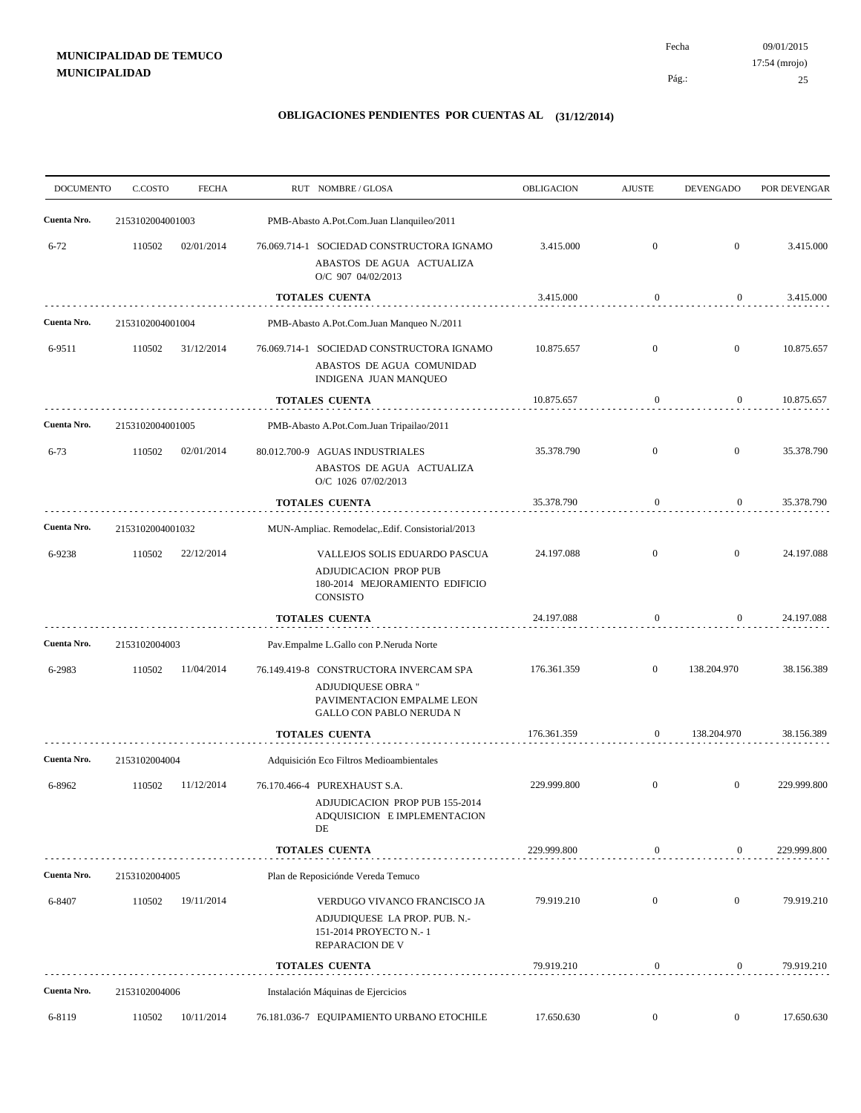09/01/2015 25 Pág.: Fecha 17:54 (mrojo)

| <b>DOCUMENTO</b> | C.COSTO                 | <b>FECHA</b> | RUT NOMBRE/GLOSA                                                                                                                                 | OBLIGACION                 | <b>AJUSTE</b>                      | <b>DEVENGADO</b>           | POR DEVENGAR             |
|------------------|-------------------------|--------------|--------------------------------------------------------------------------------------------------------------------------------------------------|----------------------------|------------------------------------|----------------------------|--------------------------|
| Cuenta Nro.      | 2153102004001003        |              | PMB-Abasto A.Pot.Com.Juan Llanquileo/2011                                                                                                        |                            |                                    |                            |                          |
| $6 - 72$         | 110502                  | 02/01/2014   | 76.069.714-1 SOCIEDAD CONSTRUCTORA IGNAMO<br>ABASTOS DE AGUA ACTUALIZA<br>O/C 907 04/02/2013                                                     | 3.415.000                  | $\overline{0}$                     | $\overline{0}$             | 3.415.000                |
|                  |                         |              | <b>TOTALES CUENTA</b>                                                                                                                            | 3.415.000                  | $\boldsymbol{0}$                   | $\overline{0}$             | 3.415.000                |
| Cuenta Nro.      | 2153102004001004        |              | PMB-Abasto A.Pot.Com.Juan Manqueo N./2011                                                                                                        |                            |                                    |                            |                          |
| 6-9511           | 110502                  | 31/12/2014   | 76.069.714-1 SOCIEDAD CONSTRUCTORA IGNAMO<br>ABASTOS DE AGUA COMUNIDAD<br>INDIGENA JUAN MANQUEO                                                  | 10.875.657                 | $\mathbf{0}$                       | $\mathbf{0}$               | 10.875.657               |
|                  |                         |              | <b>TOTALES CUENTA</b>                                                                                                                            | 10.875.657                 | $\boldsymbol{0}$                   | $\boldsymbol{0}$           | 10.875.657               |
| Cuenta Nro.      | 2153102004001005        |              | PMB-Abasto A.Pot.Com.Juan Tripailao/2011                                                                                                         |                            |                                    |                            |                          |
| $6 - 73$         | 110502                  | 02/01/2014   | 80.012.700-9 AGUAS INDUSTRIALES<br>ABASTOS DE AGUA ACTUALIZA<br>O/C 1026 07/02/2013                                                              | 35.378.790                 | $\mathbf{0}$                       | $\mathbf{0}$               | 35.378.790               |
|                  |                         |              | <b>TOTALES CUENTA</b>                                                                                                                            | 35.378.790                 | $\mathbf{0}$                       | $\overline{0}$             | 35.378.790               |
| Cuenta Nro.      | 2153102004001032        |              | MUN-Ampliac. Remodelac, Edif. Consistorial/2013                                                                                                  |                            |                                    |                            |                          |
| 6-9238           | 110502                  | 22/12/2014   | VALLEJOS SOLIS EDUARDO PASCUA<br>ADJUDICACION PROP PUB<br>180-2014 MEJORAMIENTO EDIFICIO<br>CONSISTO                                             | 24.197.088                 | $\mathbf{0}$                       | $\overline{0}$             | 24.197.088               |
|                  |                         |              | <b>TOTALES CUENTA</b>                                                                                                                            | 24.197.088                 | $\boldsymbol{0}$                   | $\overline{0}$             | 24.197.088               |
| Cuenta Nro.      | 2153102004003           |              | Pav.Empalme L.Gallo con P.Neruda Norte                                                                                                           |                            |                                    |                            |                          |
| 6-2983           | 110502                  | 11/04/2014   | 76.149.419-8 CONSTRUCTORA INVERCAM SPA<br>ADJUDIQUESE OBRA "<br>PAVIMENTACION EMPALME LEON<br>GALLO CON PABLO NERUDA N<br><b>TOTALES CUENTA</b>  | 176.361.359<br>176.361.359 | $\overline{0}$<br>$\boldsymbol{0}$ | 138.204.970<br>138.204.970 | 38.156.389<br>38.156.389 |
| Cuenta Nro.      |                         |              |                                                                                                                                                  |                            |                                    |                            |                          |
| 6-8962           | 2153102004004<br>110502 | 11/12/2014   | Adquisición Eco Filtros Medioambientales<br>76.170.466-4 PUREXHAUST S.A.<br>ADJUDICACION PROP PUB 155-2014<br>ADQUISICION E IMPLEMENTACION<br>DE | 229.999.800                | $\overline{0}$                     | $\mathbf{0}$               | 229.999.800              |
|                  |                         |              | <b>TOTALES CUENTA</b>                                                                                                                            | 229.999.800                | $\boldsymbol{0}$                   | $\overline{0}$             | 229.999.800              |
| Cuenta Nro.      | 2153102004005           |              | Plan de Reposiciónde Vereda Temuco                                                                                                               |                            |                                    |                            |                          |
| 6-8407           | 110502                  | 19/11/2014   | VERDUGO VIVANCO FRANCISCO JA<br>ADJUDIQUESE LA PROP. PUB. N.-<br>151-2014 PROYECTO N.-1<br><b>REPARACION DE V</b>                                | 79.919.210                 | $\mathbf{0}$                       | $\mathbf{0}$               | 79.919.210               |
|                  |                         |              | <b>TOTALES CUENTA</b>                                                                                                                            | 79.919.210                 | $\boldsymbol{0}$                   | $\overline{0}$             | 79.919.210               |
| Cuenta Nro.      | 2153102004006           |              | Instalación Máquinas de Ejercicios                                                                                                               |                            |                                    |                            |                          |
| 6-8119           | 110502                  | 10/11/2014   | 76.181.036-7 EQUIPAMIENTO URBANO ETOCHILE                                                                                                        | 17.650.630                 | $\boldsymbol{0}$                   | $\overline{0}$             | 17.650.630               |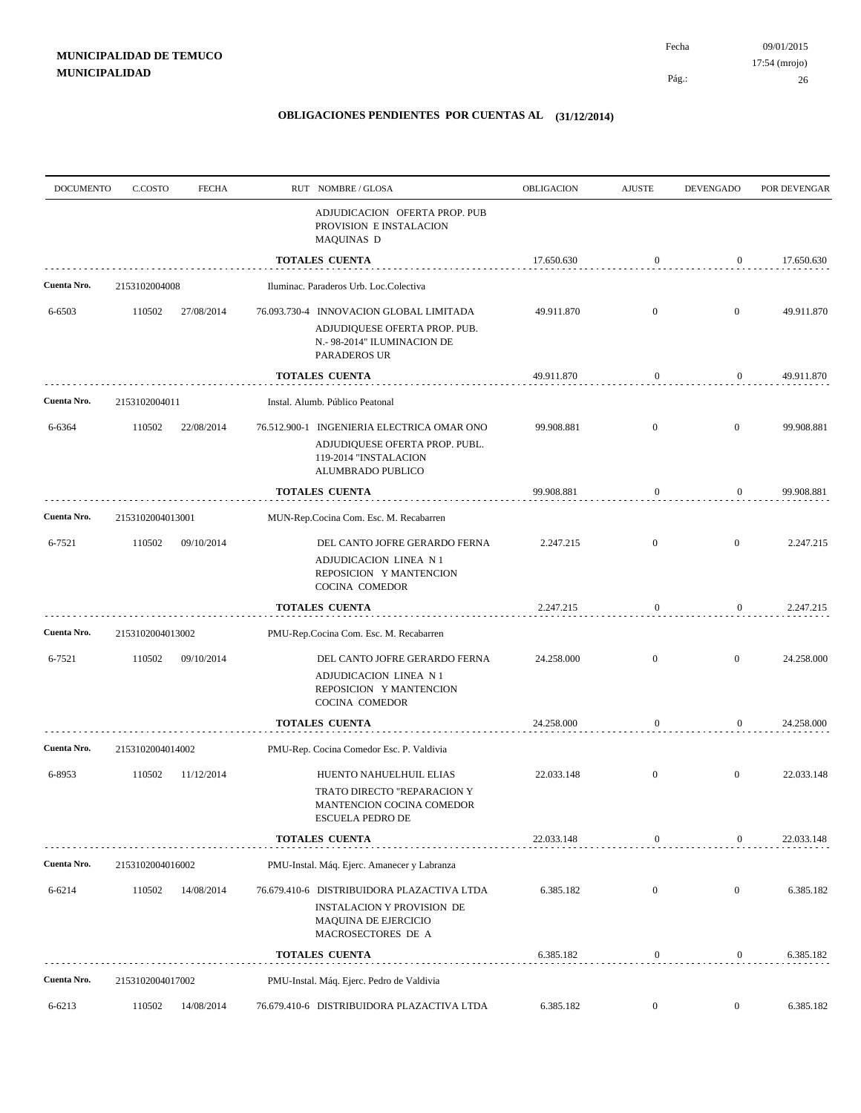Pág.:

| <b>DOCUMENTO</b> | C.COSTO          | <b>FECHA</b> | RUT NOMBRE/GLOSA                                                                                                           | <b>OBLIGACION</b> | <b>AJUSTE</b>    | <b>DEVENGADO</b> | POR DEVENGAR |
|------------------|------------------|--------------|----------------------------------------------------------------------------------------------------------------------------|-------------------|------------------|------------------|--------------|
|                  |                  |              | ADJUDICACION OFERTA PROP. PUB<br>PROVISION E INSTALACION<br>MAQUINAS D                                                     |                   |                  |                  |              |
|                  |                  |              | <b>TOTALES CUENTA</b>                                                                                                      | 17.650.630        | $\bf{0}$         | $\mathbf{0}$     | 17.650.630   |
| Cuenta Nro.      | 2153102004008    |              | Iluminac. Paraderos Urb. Loc.Colectiva                                                                                     |                   |                  |                  |              |
| 6-6503           | 110502           | 27/08/2014   | 76.093.730-4 INNOVACION GLOBAL LIMITADA                                                                                    | 49.911.870        | $\mathbf{0}$     | $\overline{0}$   | 49.911.870   |
|                  |                  |              | ADJUDIQUESE OFERTA PROP. PUB.<br>N.- 98-2014" ILUMINACION DE<br>PARADEROS UR                                               |                   |                  |                  |              |
|                  |                  |              | TOTALES CUENTA                                                                                                             | 49.911.870        | $\bf{0}$         | $\mathbf{0}$     | 49.911.870   |
| Cuenta Nro.      | 2153102004011    |              | Instal. Alumb. Público Peatonal                                                                                            |                   |                  |                  |              |
| 6-6364           | 110502           | 22/08/2014   | 76.512.900-1 INGENIERIA ELECTRICA OMAR ONO<br>ADJUDIQUESE OFERTA PROP. PUBL.<br>119-2014 "INSTALACION<br>ALUMBRADO PUBLICO | 99.908.881        | $\mathbf{0}$     | $\boldsymbol{0}$ | 99.908.881   |
|                  |                  |              | TOTALES CUENTA                                                                                                             | 99.908.881        | 0                | $\boldsymbol{0}$ | 99.908.881   |
| Cuenta Nro.      | 2153102004013001 |              | MUN-Rep.Cocina Com. Esc. M. Recabarren                                                                                     |                   |                  |                  |              |
| 6-7521           | 110502           | 09/10/2014   | DEL CANTO JOFRE GERARDO FERNA                                                                                              | 2.247.215         | $\overline{0}$   | $\boldsymbol{0}$ | 2.247.215    |
|                  |                  |              | ADJUDICACION LINEA N 1<br>REPOSICION Y MANTENCION<br>COCINA COMEDOR                                                        |                   |                  |                  |              |
|                  |                  |              | <b>TOTALES CUENTA</b>                                                                                                      | 2.247.215         | 0                | $\boldsymbol{0}$ | 2.247.215    |
| Cuenta Nro.      | 2153102004013002 |              | PMU-Rep.Cocina Com. Esc. M. Recabarren                                                                                     |                   |                  |                  |              |
| 6-7521           | 110502           | 09/10/2014   | DEL CANTO JOFRE GERARDO FERNA                                                                                              | 24.258.000        | $\mathbf{0}$     | $\mathbf{0}$     | 24.258.000   |
|                  |                  |              | ADJUDICACION LINEA N 1<br>REPOSICION Y MANTENCION<br>COCINA COMEDOR                                                        |                   |                  |                  |              |
|                  |                  |              | <b>TOTALES CUENTA</b>                                                                                                      | 24.258.000        | $\boldsymbol{0}$ | $\overline{0}$   | 24.258.000   |
| Cuenta Nro.      | 2153102004014002 |              | PMU-Rep. Cocina Comedor Esc. P. Valdivia                                                                                   |                   |                  |                  |              |
| 6-8953           | 110502           | 11/12/2014   | HUENTO NAHUELHUIL ELIAS                                                                                                    | 22.033.148        | $\mathbf{0}$     | $\mathbf{0}$     | 22.033.148   |
|                  |                  |              | TRATO DIRECTO "REPARACION Y<br>MANTENCION COCINA COMEDOR<br>ESCUELA PEDRO DE                                               |                   |                  |                  |              |
|                  |                  |              | <b>TOTALES CUENTA</b>                                                                                                      | 22.033.148        | 0                | $\boldsymbol{0}$ | 22.033.148   |
| Cuenta Nro.      | 2153102004016002 |              | PMU-Instal. Máq. Ejerc. Amanecer y Labranza                                                                                |                   |                  |                  |              |
| 6-6214           | 110502           | 14/08/2014   | 76.679.410-6 DISTRIBUIDORA PLAZACTIVA LTDA                                                                                 | 6.385.182         | $\mathbf{0}$     | $\overline{0}$   | 6.385.182    |
|                  |                  |              | <b>INSTALACION Y PROVISION DE</b><br>MAQUINA DE EJERCICIO<br>MACROSECTORES DE A                                            |                   |                  |                  |              |
|                  |                  |              | TOTALES CUENTA                                                                                                             | 6.385.182         | $\boldsymbol{0}$ | $\boldsymbol{0}$ | 6.385.182    |
| Cuenta Nro.      | 2153102004017002 |              | PMU-Instal. Máq. Ejerc. Pedro de Valdivia                                                                                  |                   |                  |                  |              |
| 6-6213           | 110502           | 14/08/2014   | 76.679.410-6 DISTRIBUIDORA PLAZACTIVA LTDA                                                                                 | 6.385.182         | $\boldsymbol{0}$ | $\boldsymbol{0}$ | 6.385.182    |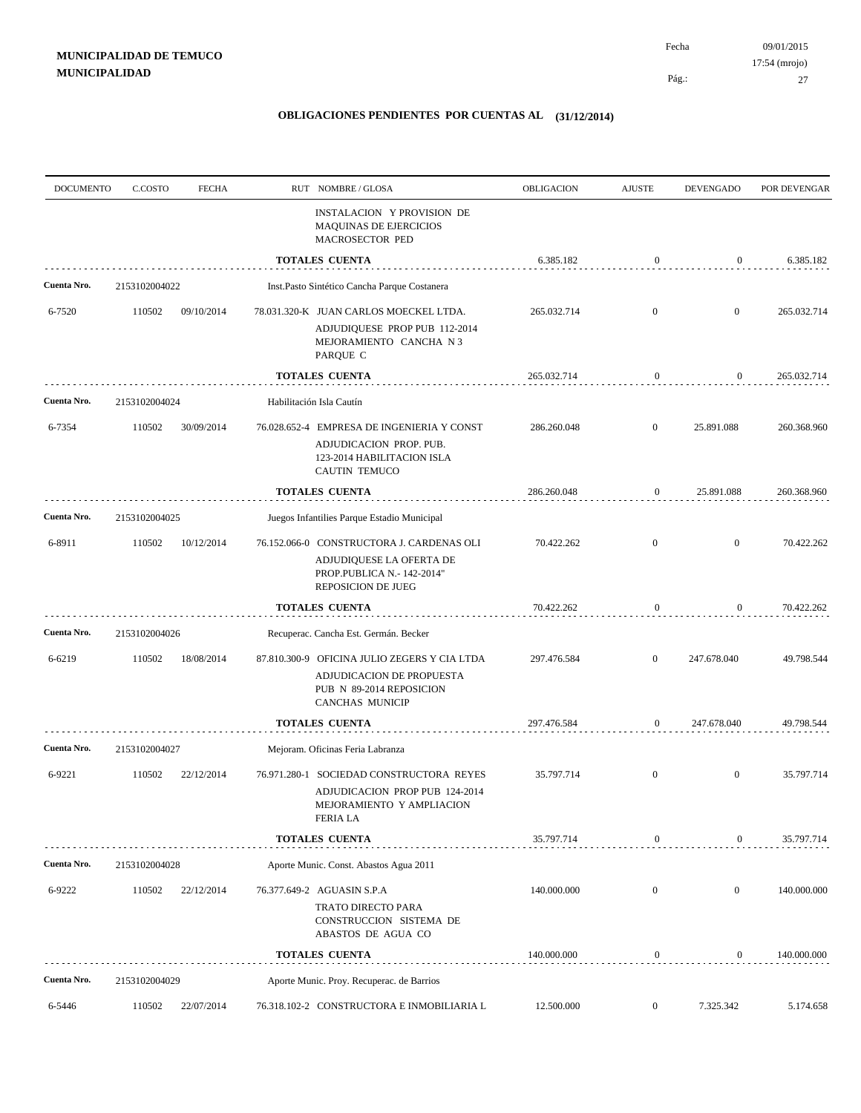| <b>DOCUMENTO</b> | C.COSTO       | <b>FECHA</b> | RUT NOMBRE/GLOSA                                                                                                            | OBLIGACION  | <b>AJUSTE</b>    | <b>DEVENGADO</b> | POR DEVENGAR |
|------------------|---------------|--------------|-----------------------------------------------------------------------------------------------------------------------------|-------------|------------------|------------------|--------------|
|                  |               |              | INSTALACION Y PROVISION DE<br>MAQUINAS DE EJERCICIOS<br>MACROSECTOR PED                                                     |             |                  |                  |              |
|                  |               |              | <b>TOTALES CUENTA</b>                                                                                                       | 6.385.182   | $\bf{0}$         | $\mathbf{0}$     | 6.385.182    |
| Cuenta Nro.      | 2153102004022 |              | Inst.Pasto Sintético Cancha Parque Costanera                                                                                |             |                  |                  |              |
| 6-7520           | 110502        | 09/10/2014   | 78.031.320-K JUAN CARLOS MOECKEL LTDA.                                                                                      | 265.032.714 | $\mathbf{0}$     | $\mathbf{0}$     | 265.032.714  |
|                  |               |              | ADJUDIQUESE PROP PUB 112-2014<br>MEJORAMIENTO CANCHA N 3<br>PARQUE C                                                        |             |                  |                  |              |
|                  |               |              | <b>TOTALES CUENTA</b>                                                                                                       | 265.032.714 | $\bf{0}$         | $\mathbf{0}$     | 265.032.714  |
| Cuenta Nro.      | 2153102004024 |              | Habilitación Isla Cautín                                                                                                    |             |                  |                  |              |
| 6-7354           | 110502        | 30/09/2014   | 76.028.652-4 EMPRESA DE INGENIERIA Y CONST<br>ADJUDICACION PROP. PUB.<br>123-2014 HABILITACION ISLA<br><b>CAUTIN TEMUCO</b> | 286.260.048 | $\overline{0}$   | 25.891.088       | 260.368.960  |
|                  |               |              | <b>TOTALES CUENTA</b>                                                                                                       | 286.260.048 | 0                | 25.891.088       | 260.368.960  |
| Cuenta Nro.      | 2153102004025 |              | Juegos Infantilies Parque Estadio Municipal                                                                                 |             |                  |                  |              |
| 6-8911           | 110502        | 10/12/2014   | 76.152.066-0 CONSTRUCTORA J. CARDENAS OLI<br>ADJUDIQUESE LA OFERTA DE<br>PROP.PUBLICA N.- 142-2014"<br>REPOSICION DE JUEG   | 70.422.262  | $\overline{0}$   | $\boldsymbol{0}$ | 70.422.262   |
|                  |               |              | <b>TOTALES CUENTA</b>                                                                                                       | 70.422.262  | 0                | $\boldsymbol{0}$ | 70.422.262   |
| Cuenta Nro.      | 2153102004026 |              | Recuperac. Cancha Est. Germán. Becker                                                                                       |             |                  |                  |              |
| 6-6219           | 110502        | 18/08/2014   | 87.810.300-9 OFICINA JULIO ZEGERS Y CIA LTDA<br>ADJUDICACION DE PROPUESTA<br>PUB N 89-2014 REPOSICION<br>CANCHAS MUNICIP    | 297.476.584 | $\mathbf{0}$     | 247.678.040      | 49.798.544   |
|                  |               |              | <b>TOTALES CUENTA</b>                                                                                                       | 297.476.584 | $\mathbf{0}$     | 247.678.040      | 49.798.544   |
| Cuenta Nro.      | 2153102004027 |              | Mejoram. Oficinas Feria Labranza                                                                                            |             |                  |                  |              |
| 6-9221           | 110502        | 22/12/2014   | 76.971.280-1 SOCIEDAD CONSTRUCTORA REYES<br>ADJUDICACION PROP PUB 124-2014<br>MEJORAMIENTO Y AMPLIACION<br>FERIA LA         | 35.797.714  | $\mathbf{0}$     | $\mathbf{0}$     | 35.797.714   |
|                  |               |              | <b>TOTALES CUENTA</b>                                                                                                       | 35.797.714  | 0                | $\boldsymbol{0}$ | 35.797.714   |
| Cuenta Nro.      | 2153102004028 |              | Aporte Munic. Const. Abastos Agua 2011                                                                                      |             |                  |                  |              |
| 6-9222           | 110502        | 22/12/2014   | 76.377.649-2 AGUASIN S.P.A                                                                                                  | 140.000.000 | $\mathbf{0}$     | $\boldsymbol{0}$ | 140.000.000  |
|                  |               |              | TRATO DIRECTO PARA<br>CONSTRUCCION SISTEMA DE<br>ABASTOS DE AGUA CO                                                         |             |                  |                  |              |
|                  |               |              | <b>TOTALES CUENTA</b>                                                                                                       | 140.000.000 | $\boldsymbol{0}$ | $\boldsymbol{0}$ | 140.000.000  |
| Cuenta Nro.      | 2153102004029 |              | Aporte Munic. Proy. Recuperac. de Barrios                                                                                   |             |                  |                  |              |
| 6-5446           | 110502        | 22/07/2014   | 76.318.102-2 CONSTRUCTORA E INMOBILIARIA L                                                                                  | 12.500.000  | $\boldsymbol{0}$ | 7.325.342        | 5.174.658    |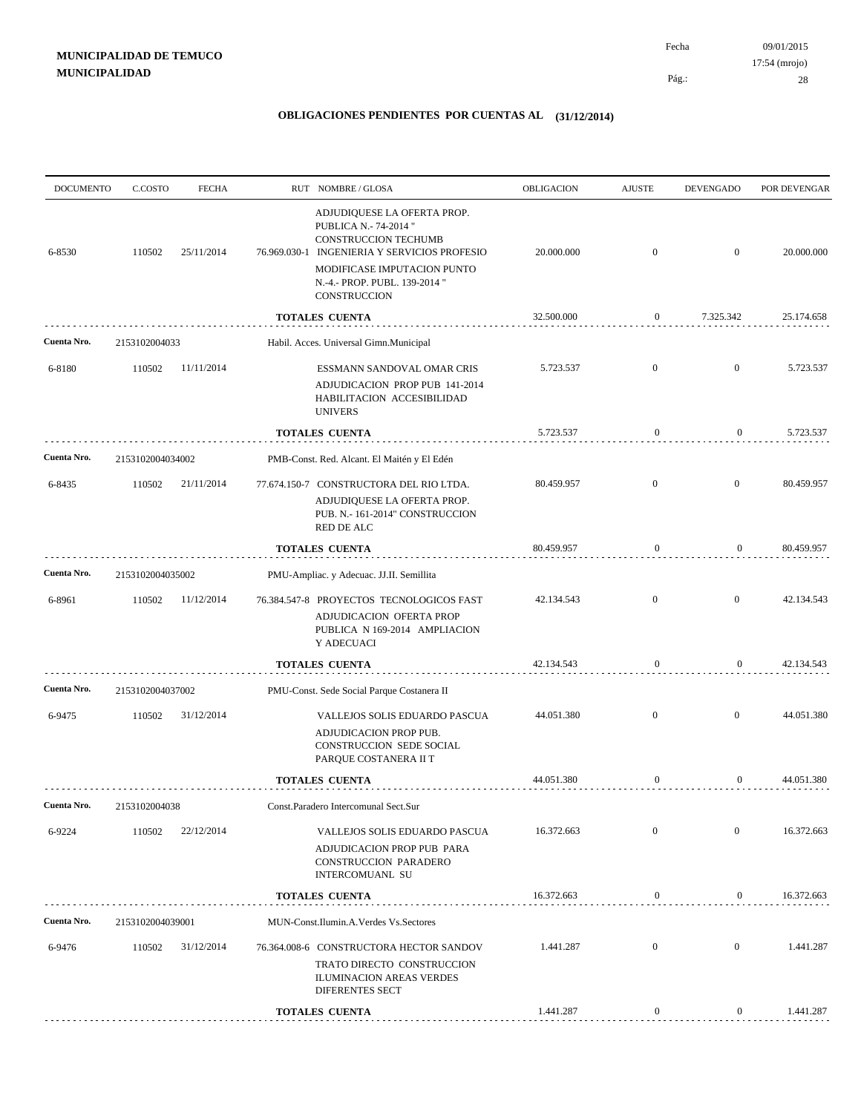| <b>DOCUMENTO</b> | C.COSTO          | <b>FECHA</b> | RUT NOMBRE / GLOSA                                                                                                                                                                                           | OBLIGACION | <b>AJUSTE</b>    | <b>DEVENGADO</b> |                                                                                                                                                                                                                                                                                                                        |
|------------------|------------------|--------------|--------------------------------------------------------------------------------------------------------------------------------------------------------------------------------------------------------------|------------|------------------|------------------|------------------------------------------------------------------------------------------------------------------------------------------------------------------------------------------------------------------------------------------------------------------------------------------------------------------------|
| 6-8530           | 110502           | 25/11/2014   | ADJUDIQUESE LA OFERTA PROP.<br>PUBLICA N.- 74-2014 "<br>CONSTRUCCION TECHUMB<br>76.969.030-1 INGENIERIA Y SERVICIOS PROFESIO<br>MODIFICASE IMPUTACION PUNTO<br>N.-4.- PROP. PUBL. 139-2014 "<br>CONSTRUCCION | 20.000.000 | $\mathbf{0}$     | $\mathbf{0}$     | 20.000.000                                                                                                                                                                                                                                                                                                             |
|                  |                  |              | <b>TOTALES CUENTA</b>                                                                                                                                                                                        | 32.500.000 | $\overline{0}$   | 7.325.342        | 25.174.658                                                                                                                                                                                                                                                                                                             |
| Cuenta Nro.      | 2153102004033    |              | Habil. Acces. Universal Gimn.Municipal                                                                                                                                                                       |            |                  |                  |                                                                                                                                                                                                                                                                                                                        |
| 6-8180           | 110502           | 11/11/2014   | ESSMANN SANDOVAL OMAR CRIS<br>ADJUDICACION PROP PUB 141-2014                                                                                                                                                 | 5.723.537  | $\mathbf{0}$     | $\mathbf{0}$     | 5.723.537                                                                                                                                                                                                                                                                                                              |
|                  |                  |              | HABILITACION ACCESIBILIDAD<br><b>UNIVERS</b>                                                                                                                                                                 |            |                  |                  |                                                                                                                                                                                                                                                                                                                        |
|                  |                  |              | <b>TOTALES CUENTA</b>                                                                                                                                                                                        | 5.723.537  | $\boldsymbol{0}$ | $\bf{0}$         | POR DEVENGAR<br>5.723.537<br>$\mathbf{0}$<br>80.459.957<br>$\mathbf{0}$<br>80.459.957<br>$\mathbf{0}$<br>42.134.543<br>$\boldsymbol{0}$<br>42.134.543<br>$\overline{0}$<br>44.051.380<br>$\boldsymbol{0}$<br>44.051.380<br>$\overline{0}$<br>16.372.663<br>$\overline{0}$<br>16.372.663<br>$\overline{0}$<br>1.441.287 |
| Cuenta Nro.      | 2153102004034002 |              | PMB-Const. Red. Alcant. El Maitén y El Edén                                                                                                                                                                  |            |                  |                  |                                                                                                                                                                                                                                                                                                                        |
| 6-8435           | 110502           | 21/11/2014   | 77.674.150-7 CONSTRUCTORA DEL RIO LTDA.<br>ADJUDIQUESE LA OFERTA PROP.<br>PUB. N.- 161-2014" CONSTRUCCION<br>RED DE ALC                                                                                      | 80.459.957 | $\mathbf{0}$     |                  |                                                                                                                                                                                                                                                                                                                        |
|                  |                  |              | TOTALES CUENTA                                                                                                                                                                                               | 80.459.957 | $\boldsymbol{0}$ |                  |                                                                                                                                                                                                                                                                                                                        |
| Cuenta Nro.      | 2153102004035002 |              | PMU-Ampliac. y Adecuac. JJ.II. Semillita                                                                                                                                                                     |            |                  |                  |                                                                                                                                                                                                                                                                                                                        |
| 6-8961           | 110502           | 11/12/2014   | 76.384.547-8 PROYECTOS TECNOLOGICOS FAST<br>ADJUDICACION OFERTA PROP<br>PUBLICA N 169-2014 AMPLIACION<br>Y ADECUACI                                                                                          | 42.134.543 | $\mathbf{0}$     |                  |                                                                                                                                                                                                                                                                                                                        |
|                  |                  |              | TOTALES CUENTA                                                                                                                                                                                               | 42.134.543 | $\boldsymbol{0}$ |                  |                                                                                                                                                                                                                                                                                                                        |
| Cuenta Nro.      | 2153102004037002 |              | PMU-Const. Sede Social Parque Costanera II                                                                                                                                                                   |            |                  |                  |                                                                                                                                                                                                                                                                                                                        |
| 6-9475           | 110502           | 31/12/2014   | VALLEJOS SOLIS EDUARDO PASCUA<br>ADJUDICACION PROP PUB.<br>CONSTRUCCION SEDE SOCIAL<br>PARQUE COSTANERA II T                                                                                                 | 44.051.380 | $\mathbf{0}$     |                  |                                                                                                                                                                                                                                                                                                                        |
|                  |                  |              | <b>TOTALES CUENTA</b>                                                                                                                                                                                        | 44.051.380 | $\mathbf{0}$     |                  |                                                                                                                                                                                                                                                                                                                        |
| Cuenta Nro.      | 2153102004038    |              | Const.Paradero Intercomunal Sect.Sur                                                                                                                                                                         |            |                  |                  |                                                                                                                                                                                                                                                                                                                        |
| 6-9224           | 110502           | 22/12/2014   | VALLEJOS SOLIS EDUARDO PASCUA                                                                                                                                                                                | 16.372.663 | $\overline{0}$   |                  |                                                                                                                                                                                                                                                                                                                        |
|                  |                  |              | ADJUDICACION PROP PUB PARA<br>CONSTRUCCION PARADERO<br>INTERCOMUANL SU                                                                                                                                       |            |                  |                  |                                                                                                                                                                                                                                                                                                                        |
|                  |                  |              | <b>TOTALES CUENTA</b>                                                                                                                                                                                        | 16.372.663 | $\mathbf{0}$     |                  |                                                                                                                                                                                                                                                                                                                        |
| Cuenta Nro.      | 2153102004039001 |              | MUN-Const.Ilumin.A.Verdes Vs.Sectores                                                                                                                                                                        |            |                  |                  |                                                                                                                                                                                                                                                                                                                        |
| 6-9476           | 110502           | 31/12/2014   | 76.364.008-6 CONSTRUCTORA HECTOR SANDOV<br>TRATO DIRECTO CONSTRUCCION<br><b>ILUMINACION AREAS VERDES</b><br>DIFERENTES SECT                                                                                  | 1.441.287  | $\mathbf{0}$     |                  |                                                                                                                                                                                                                                                                                                                        |
|                  |                  |              | TOTALES CUENTA                                                                                                                                                                                               | 1.441.287  | $\boldsymbol{0}$ | $\mathbf{0}$     | 1.441.287                                                                                                                                                                                                                                                                                                              |
|                  |                  |              |                                                                                                                                                                                                              |            |                  |                  |                                                                                                                                                                                                                                                                                                                        |